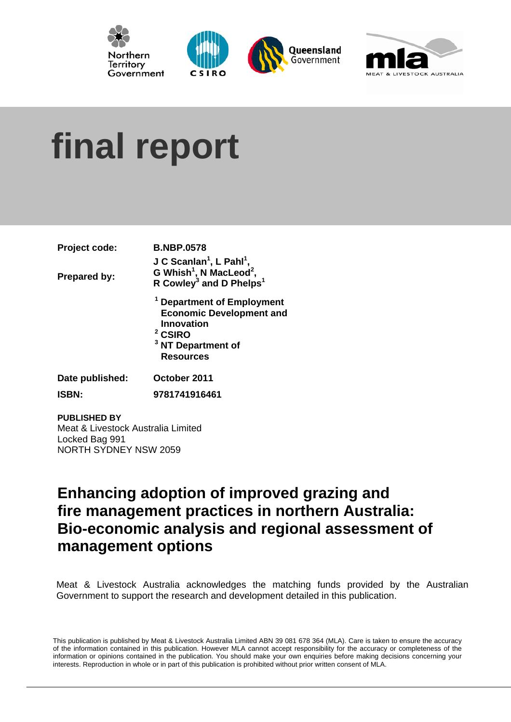





# **final report**

| Project code:       | <b>B.NBP.0578</b>                                                                                                   |
|---------------------|---------------------------------------------------------------------------------------------------------------------|
|                     | J C Scanlan <sup>1</sup> , L Pahl <sup>1</sup> ,                                                                    |
| <b>Prepared by:</b> | G Whish <sup>1</sup> , N MacLeod <sup>2</sup> ,                                                                     |
|                     | R Cowley <sup>3</sup> and D Phelps <sup>1</sup>                                                                     |
|                     | <sup>1</sup> Department of Employment<br><b>Economic Development and</b><br><b>Innovation</b><br><sup>2</sup> CSIRO |
|                     | <sup>3</sup> NT Department of                                                                                       |
|                     | <b>Resources</b>                                                                                                    |
| Date published:     | October 2011                                                                                                        |

**ISBN: 9781741916461** 

#### **PUBLISHED BY**  Meat & Livestock Australia Limited Locked Bag 991 NORTH SYDNEY NSW 2059

# **Enhancing adoption of improved grazing and fire management practices in northern Australia: Bio-economic analysis and regional assessment of management options**

Meat & Livestock Australia acknowledges the matching funds provided by the Australian Government to support the research and development detailed in this publication.

This publication is published by Meat & Livestock Australia Limited ABN 39 081 678 364 (MLA). Care is taken to ensure the accuracy of the information contained in this publication. However MLA cannot accept responsibility for the accuracy or completeness of the information or opinions contained in the publication. You should make your own enquiries before making decisions concerning you r interests. Reproduction in whole or in part of this publication is prohibited without prior written consent of MLA.

l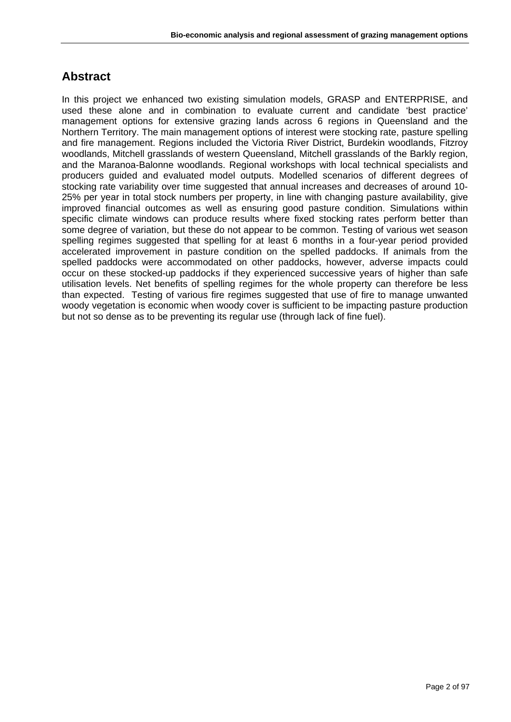# **Abstract**

In this project we enhanced two existing simulation models, GRASP and ENTERPRISE, and used these alone and in combination to evaluate current and candidate 'best practice' management options for extensive grazing lands across 6 regions in Queensland and the Northern Territory. The main management options of interest were stocking rate, pasture spelling and fire management. Regions included the Victoria River District, Burdekin woodlands, Fitzroy woodlands, Mitchell grasslands of western Queensland, Mitchell grasslands of the Barkly region, and the Maranoa-Balonne woodlands. Regional workshops with local technical specialists and producers guided and evaluated model outputs. Modelled scenarios of different degrees of stocking rate variability over time suggested that annual increases and decreases of around 10- 25% per year in total stock numbers per property, in line with changing pasture availability, give improved financial outcomes as well as ensuring good pasture condition. Simulations within specific climate windows can produce results where fixed stocking rates perform better than some degree of variation, but these do not appear to be common. Testing of various wet season spelling regimes suggested that spelling for at least 6 months in a four-year period provided accelerated improvement in pasture condition on the spelled paddocks. If animals from the spelled paddocks were accommodated on other paddocks, however, adverse impacts could occur on these stocked-up paddocks if they experienced successive years of higher than safe utilisation levels. Net benefits of spelling regimes for the whole property can therefore be less than expected. Testing of various fire regimes suggested that use of fire to manage unwanted woody vegetation is economic when woody cover is sufficient to be impacting pasture production but not so dense as to be preventing its regular use (through lack of fine fuel).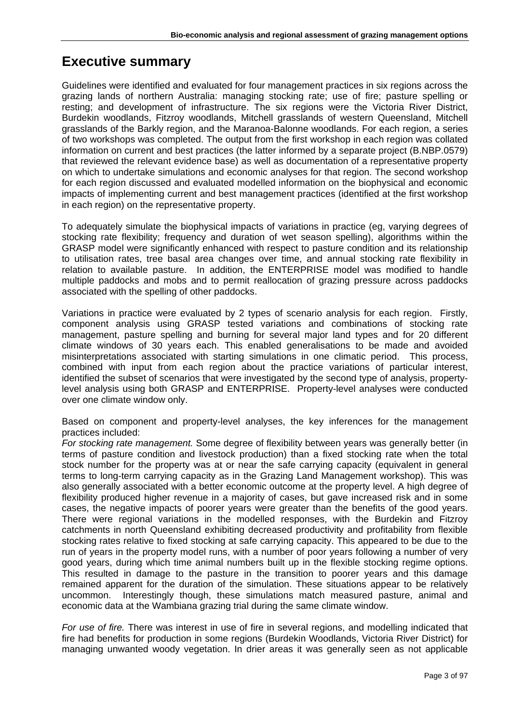# **Executive summary**

Guidelines were identified and evaluated for four management practices in six regions across the grazing lands of northern Australia: managing stocking rate; use of fire; pasture spelling or resting; and development of infrastructure. The six regions were the Victoria River District, Burdekin woodlands, Fitzroy woodlands, Mitchell grasslands of western Queensland, Mitchell grasslands of the Barkly region, and the Maranoa-Balonne woodlands. For each region, a series of two workshops was completed. The output from the first workshop in each region was collated information on current and best practices (the latter informed by a separate project (B.NBP.0579) that reviewed the relevant evidence base) as well as documentation of a representative property on which to undertake simulations and economic analyses for that region. The second workshop for each region discussed and evaluated modelled information on the biophysical and economic impacts of implementing current and best management practices (identified at the first workshop in each region) on the representative property.

To adequately simulate the biophysical impacts of variations in practice (eg, varying degrees of stocking rate flexibility; frequency and duration of wet season spelling), algorithms within the GRASP model were significantly enhanced with respect to pasture condition and its relationship to utilisation rates, tree basal area changes over time, and annual stocking rate flexibility in relation to available pasture. In addition, the ENTERPRISE model was modified to handle multiple paddocks and mobs and to permit reallocation of grazing pressure across paddocks associated with the spelling of other paddocks.

Variations in practice were evaluated by 2 types of scenario analysis for each region. Firstly, component analysis using GRASP tested variations and combinations of stocking rate management, pasture spelling and burning for several major land types and for 20 different climate windows of 30 years each. This enabled generalisations to be made and avoided misinterpretations associated with starting simulations in one climatic period. This process, combined with input from each region about the practice variations of particular interest, identified the subset of scenarios that were investigated by the second type of analysis, propertylevel analysis using both GRASP and ENTERPRISE. Property-level analyses were conducted over one climate window only.

Based on component and property-level analyses, the key inferences for the management practices included:

*For stocking rate management.* Some degree of flexibility between years was generally better (in terms of pasture condition and livestock production) than a fixed stocking rate when the total stock number for the property was at or near the safe carrying capacity (equivalent in general terms to long-term carrying capacity as in the Grazing Land Management workshop). This was also generally associated with a better economic outcome at the property level. A high degree of flexibility produced higher revenue in a majority of cases, but gave increased risk and in some cases, the negative impacts of poorer years were greater than the benefits of the good years. There were regional variations in the modelled responses, with the Burdekin and Fitzroy catchments in north Queensland exhibiting decreased productivity and profitability from flexible stocking rates relative to fixed stocking at safe carrying capacity. This appeared to be due to the run of years in the property model runs, with a number of poor years following a number of very good years, during which time animal numbers built up in the flexible stocking regime options. This resulted in damage to the pasture in the transition to poorer years and this damage remained apparent for the duration of the simulation. These situations appear to be relatively uncommon. Interestingly though, these simulations match measured pasture, animal and economic data at the Wambiana grazing trial during the same climate window.

*For use of fire.* There was interest in use of fire in several regions, and modelling indicated that fire had benefits for production in some regions (Burdekin Woodlands, Victoria River District) for managing unwanted woody vegetation. In drier areas it was generally seen as not applicable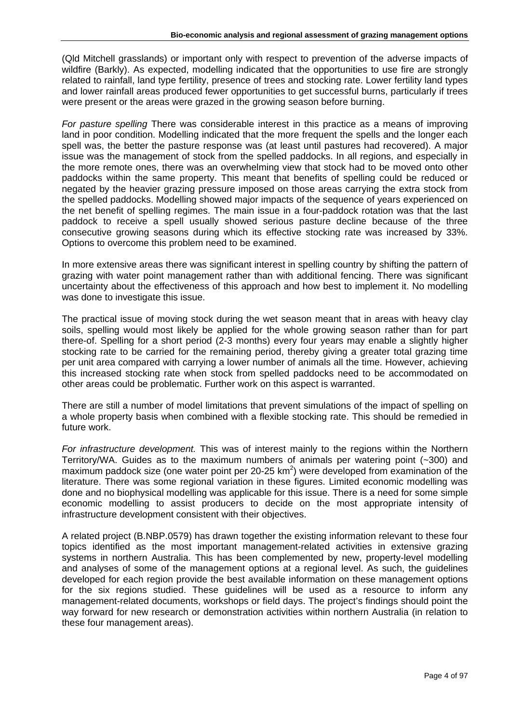(Qld Mitchell grasslands) or important only with respect to prevention of the adverse impacts of wildfire (Barkly). As expected, modelling indicated that the opportunities to use fire are strongly related to rainfall, land type fertility, presence of trees and stocking rate. Lower fertility land types and lower rainfall areas produced fewer opportunities to get successful burns, particularly if trees were present or the areas were grazed in the growing season before burning.

*For pasture spelling* There was considerable interest in this practice as a means of improving land in poor condition. Modelling indicated that the more frequent the spells and the longer each spell was, the better the pasture response was (at least until pastures had recovered). A major issue was the management of stock from the spelled paddocks. In all regions, and especially in the more remote ones, there was an overwhelming view that stock had to be moved onto other paddocks within the same property. This meant that benefits of spelling could be reduced or negated by the heavier grazing pressure imposed on those areas carrying the extra stock from the spelled paddocks. Modelling showed major impacts of the sequence of years experienced on the net benefit of spelling regimes. The main issue in a four-paddock rotation was that the last paddock to receive a spell usually showed serious pasture decline because of the three consecutive growing seasons during which its effective stocking rate was increased by 33%. Options to overcome this problem need to be examined.

In more extensive areas there was significant interest in spelling country by shifting the pattern of grazing with water point management rather than with additional fencing. There was significant uncertainty about the effectiveness of this approach and how best to implement it. No modelling was done to investigate this issue.

The practical issue of moving stock during the wet season meant that in areas with heavy clay soils, spelling would most likely be applied for the whole growing season rather than for part there-of. Spelling for a short period (2-3 months) every four years may enable a slightly higher stocking rate to be carried for the remaining period, thereby giving a greater total grazing time per unit area compared with carrying a lower number of animals all the time. However, achieving this increased stocking rate when stock from spelled paddocks need to be accommodated on other areas could be problematic. Further work on this aspect is warranted.

There are still a number of model limitations that prevent simulations of the impact of spelling on a whole property basis when combined with a flexible stocking rate. This should be remedied in future work.

*For infrastructure development.* This was of interest mainly to the regions within the Northern Territory/WA. Guides as to the maximum numbers of animals per watering point (~300) and maximum paddock size (one water point per 20-25  $km^2$ ) were developed from examination of the literature. There was some regional variation in these figures. Limited economic modelling was done and no biophysical modelling was applicable for this issue. There is a need for some simple economic modelling to assist producers to decide on the most appropriate intensity of infrastructure development consistent with their objectives.

A related project (B.NBP.0579) has drawn together the existing information relevant to these four topics identified as the most important management-related activities in extensive grazing systems in northern Australia. This has been complemented by new, property-level modelling and analyses of some of the management options at a regional level. As such, the guidelines developed for each region provide the best available information on these management options for the six regions studied. These guidelines will be used as a resource to inform any management-related documents, workshops or field days. The project's findings should point the way forward for new research or demonstration activities within northern Australia (in relation to these four management areas).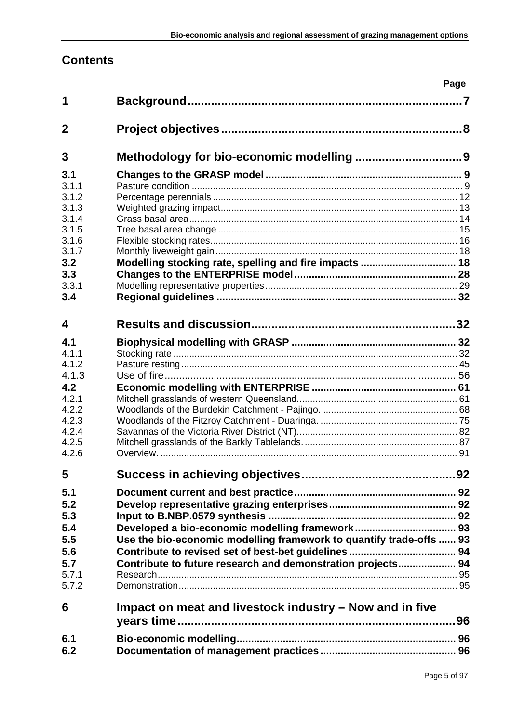# **Contents**

|                         |                                                                                                                                    | Page |
|-------------------------|------------------------------------------------------------------------------------------------------------------------------------|------|
| 1                       |                                                                                                                                    |      |
| $\mathbf 2$             |                                                                                                                                    |      |
| 3                       |                                                                                                                                    |      |
| 3.1<br>3.1.1            |                                                                                                                                    |      |
| 3.1.2<br>3.1.3<br>3.1.4 |                                                                                                                                    |      |
| 3.1.5<br>3.1.6<br>3.1.7 |                                                                                                                                    |      |
| 3.2<br>3.3              | Modelling stocking rate, spelling and fire impacts  18                                                                             |      |
| 3.3.1<br>3.4            |                                                                                                                                    |      |
| 4                       |                                                                                                                                    |      |
| 4.1<br>4.1.1<br>4.1.2   |                                                                                                                                    |      |
| 4.1.3<br>4.2            |                                                                                                                                    |      |
| 4.2.1<br>4.2.2<br>4.2.3 |                                                                                                                                    |      |
| 4.2.4<br>4.2.5<br>4.2.6 |                                                                                                                                    |      |
| 5                       |                                                                                                                                    |      |
| 5.1<br>5.2              |                                                                                                                                    |      |
| 5.3<br>5.4<br>5.5       |                                                                                                                                    |      |
| 5.6<br>5.7              | Use the bio-economic modelling framework to quantify trade-offs  93<br>Contribute to future research and demonstration projects 94 |      |
| 5.7.1<br>5.7.2          |                                                                                                                                    |      |
| 6                       | Impact on meat and livestock industry – Now and in five                                                                            |      |
| 6.1<br>6.2              |                                                                                                                                    |      |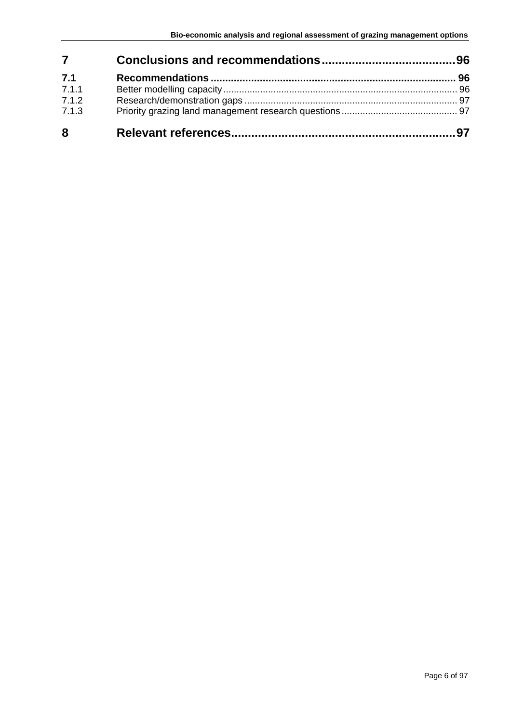| $\overline{7}$ |  |
|----------------|--|
| 7.1            |  |
| 7.1.1          |  |
| 7.1.2          |  |
| 7.1.3          |  |
| 8              |  |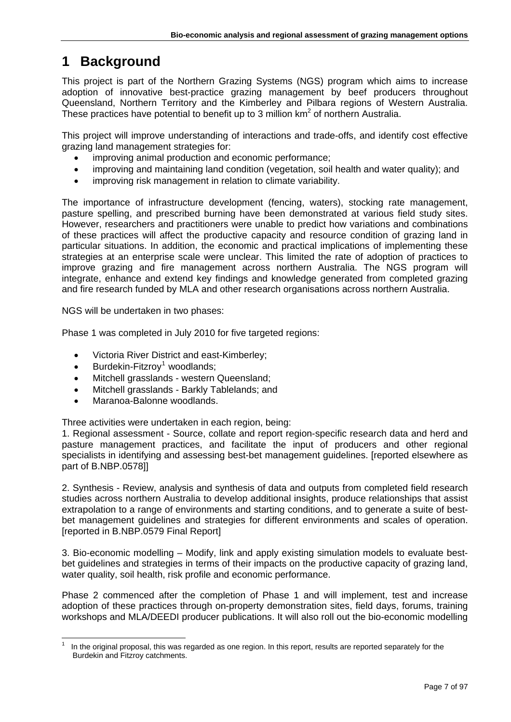# <span id="page-6-0"></span>**1 Background**

This project is part of the Northern Grazing Systems (NGS) program which aims to increase adoption of innovative best-practice grazing management by beef producers throughout Queensland, Northern Territory and the Kimberley and Pilbara regions of Western Australia. These practices have potential to benefit up to 3 million  $km^2$  of northern Australia.

This project will improve understanding of interactions and trade-offs, and identify cost effective grazing land management strategies for:

- improving animal production and economic performance;
- improving and maintaining land condition (vegetation, soil health and water quality); and
- improving risk management in relation to climate variability.

The importance of infrastructure development (fencing, waters), stocking rate management, pasture spelling, and prescribed burning have been demonstrated at various field study sites. However, researchers and practitioners were unable to predict how variations and combinations of these practices will affect the productive capacity and resource condition of grazing land in particular situations. In addition, the economic and practical implications of implementing these strategies at an enterprise scale were unclear. This limited the rate of adoption of practices to improve grazing and fire management across northern Australia. The NGS program will integrate, enhance and extend key findings and knowledge generated from completed grazing and fire research funded by MLA and other research organisations across northern Australia.

NGS will be undertaken in two phases:

Phase 1 was completed in July 2010 for five targeted regions:

- Victoria River District and east-Kimberley;
- $\bullet$  Burdekin-Fitzroy<sup>[1](#page-6-1)</sup> woodlands;
- Mitchell grasslands western Queensland;
- Mitchell grasslands Barkly Tablelands; and
- Maranoa-Balonne woodlands.

Three activities were undertaken in each region, being:

1. Regional assessment - Source, collate and report region-specific research data and herd and pasture management practices, and facilitate the input of producers and other regional specialists in identifying and assessing best-bet management guidelines. [reported elsewhere as part of B.NBP.0578]]

2. Synthesis - Review, analysis and synthesis of data and outputs from completed field research studies across northern Australia to develop additional insights, produce relationships that assist extrapolation to a range of environments and starting conditions, and to generate a suite of bestbet management guidelines and strategies for different environments and scales of operation. [reported in B.NBP.0579 Final Report]

3. Bio-economic modelling – Modify, link and apply existing simulation models to evaluate bestbet guidelines and strategies in terms of their impacts on the productive capacity of grazing land, water quality, soil health, risk profile and economic performance.

Phase 2 commenced after the completion of Phase 1 and will implement, test and increase adoption of these practices through on-property demonstration sites, field days, forums, training workshops and MLA/DEEDI producer publications. It will also roll out the bio-economic modelling

<span id="page-6-1"></span> 1 In the original proposal, this was regarded as one region. In this report, results are reported separately for the Burdekin and Fitzroy catchments.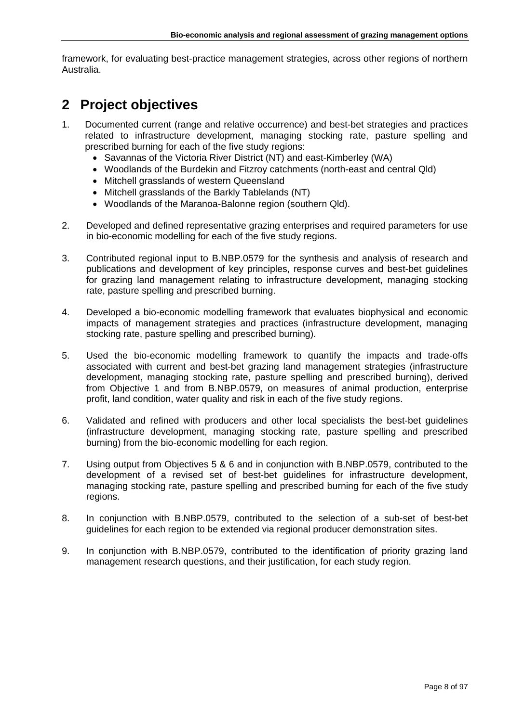framework, for evaluating best-practice management strategies, across other regions of northern Australia.

# <span id="page-7-0"></span>**2 Project objectives**

- 1. Documented current (range and relative occurrence) and best-bet strategies and practices related to infrastructure development, managing stocking rate, pasture spelling and prescribed burning for each of the five study regions:
	- Savannas of the Victoria River District (NT) and east-Kimberley (WA)
	- Woodlands of the Burdekin and Fitzroy catchments (north-east and central Qld)
	- Mitchell grasslands of western Queensland
	- Mitchell grasslands of the Barkly Tablelands (NT)
	- Woodlands of the Maranoa-Balonne region (southern Qld).
- 2. Developed and defined representative grazing enterprises and required parameters for use in bio-economic modelling for each of the five study regions.
- 3. Contributed regional input to B.NBP.0579 for the synthesis and analysis of research and publications and development of key principles, response curves and best-bet guidelines for grazing land management relating to infrastructure development, managing stocking rate, pasture spelling and prescribed burning.
- 4. Developed a bio-economic modelling framework that evaluates biophysical and economic impacts of management strategies and practices (infrastructure development, managing stocking rate, pasture spelling and prescribed burning).
- 5. Used the bio-economic modelling framework to quantify the impacts and trade-offs associated with current and best-bet grazing land management strategies (infrastructure development, managing stocking rate, pasture spelling and prescribed burning), derived from Objective 1 and from B.NBP.0579, on measures of animal production, enterprise profit, land condition, water quality and risk in each of the five study regions.
- 6. Validated and refined with producers and other local specialists the best-bet guidelines (infrastructure development, managing stocking rate, pasture spelling and prescribed burning) from the bio-economic modelling for each region.
- 7. Using output from Objectives 5 & 6 and in conjunction with B.NBP.0579, contributed to the development of a revised set of best-bet guidelines for infrastructure development, managing stocking rate, pasture spelling and prescribed burning for each of the five study regions.
- 8. In conjunction with B.NBP.0579, contributed to the selection of a sub-set of best-bet guidelines for each region to be extended via regional producer demonstration sites.
- 9. In conjunction with B.NBP.0579, contributed to the identification of priority grazing land management research questions, and their justification, for each study region.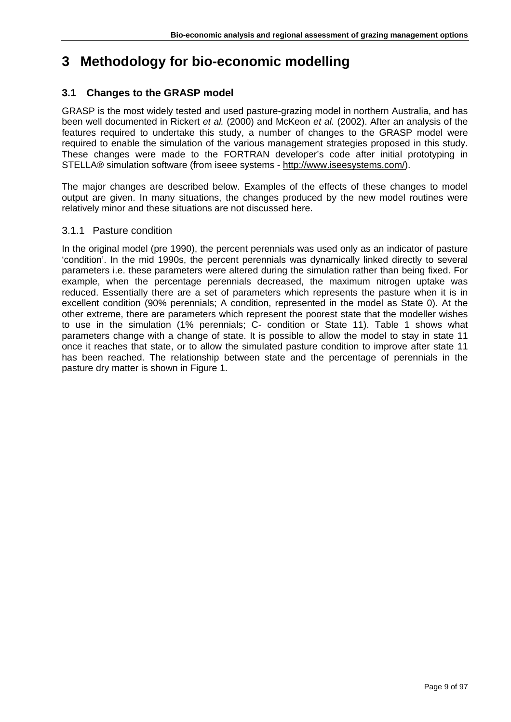# <span id="page-8-0"></span>**3 Methodology for bio-economic modelling**

# <span id="page-8-1"></span>**3.1 Changes to the GRASP model**

GRASP is the most widely tested and used pasture-grazing model in northern Australia, and has been well documented in Rickert *et al.* (2000) and McKeon *et al.* (2002). After an analysis of the features required to undertake this study, a number of changes to the GRASP model were required to enable the simulation of the various management strategies proposed in this study. These changes were made to the FORTRAN developer's code after initial prototyping in STELLA® simulation software (from iseee systems - http://www.iseesystems.com/).

The major changes are described below. Examples of the effects of these changes to model output are given. In many situations, the changes produced by the new model routines were relatively minor and these situations are not discussed here.

# <span id="page-8-2"></span>3.1.1 Pasture condition

In the original model (pre 1990), the percent perennials was used only as an indicator of pasture 'condition'. In the mid 1990s, the percent perennials was dynamically linked directly to several parameters i.e. these parameters were altered during the simulation rather than being fixed. For example, when the percentage perennials decreased, the maximum nitrogen uptake was reduced. Essentially there are a set of parameters which represents the pasture when it is in excellent condition (90% perennials; A condition, represented in the model as State 0). At the other extreme, there are parameters which represent the poorest state that the modeller wishes to use in the simulation (1% perennials; C- condition or State 11). Table 1 shows what parameters change with a change of state. It is possible to allow the model to stay in state 11 once it reaches that state, or to allow the simulated pasture condition to improve after state 11 has been reached. The relationship between state and the percentage of perennials in the pasture dry matter is shown in Figure 1.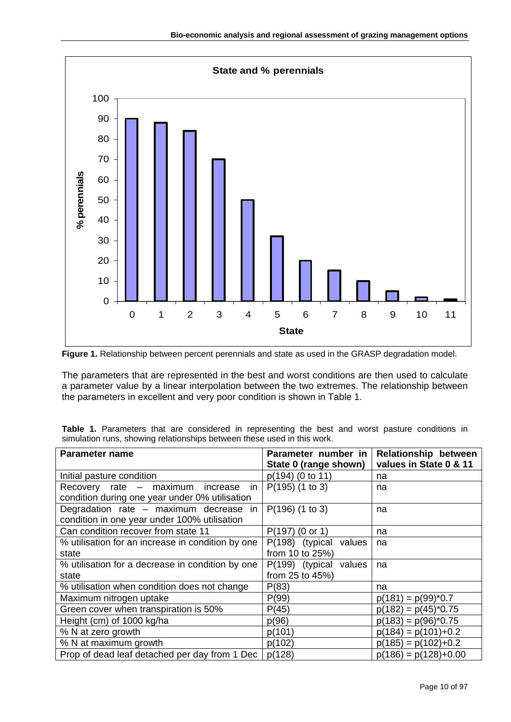



The parameters that are represented in the best and worst conditions are then used to calculate a parameter value by a linear interpolation between the two extremes. The relationship between the parameters in excellent and very poor condition is shown in Table 1.

|  |  |  | Table 1. Parameters that are considered in representing the best and worst pasture conditions in |  |  |  |  |
|--|--|--|--------------------------------------------------------------------------------------------------|--|--|--|--|
|  |  |  | simulation runs, showing relationships between these used in this work.                          |  |  |  |  |

| Parameter name                                    | Parameter number in       | <b>Relationship between</b><br>values in State 0 & 11 |
|---------------------------------------------------|---------------------------|-------------------------------------------------------|
|                                                   | State 0 (range shown)     |                                                       |
| Initial pasture condition                         | $p(194)$ (0 to 11)        | na                                                    |
| Recovery rate – maximum increase<br>in            | $P(195)$ (1 to 3)         | na                                                    |
| condition during one year under 0% utilisation    |                           |                                                       |
| Degradation rate - maximum decrease in            | $P(196)$ (1 to 3)         | na                                                    |
| condition in one year under 100% utilisation      |                           |                                                       |
| Can condition recover from state 11               | $P(197)$ (0 or 1)         | na                                                    |
| % utilisation for an increase in condition by one | P(198) (typical<br>values | na                                                    |
| state                                             | from 10 to 25%)           |                                                       |
| % utilisation for a decrease in condition by one  | P(199) (typical<br>values | na                                                    |
| state                                             | from 25 to 45%)           |                                                       |
| % utilisation when condition does not change      | P(83)                     | na                                                    |
| Maximum nitrogen uptake                           | P(99)                     | $p(181) = p(99)^*0.7$                                 |
| Green cover when transpiration is 50%             | P(45)                     | $p(182) = p(45)^*0.75$                                |
| Height (cm) of 1000 kg/ha                         | p(96)                     | $p(183) = p(96)^*0.75$                                |
| % N at zero growth                                | p(101)                    | $p(184) = p(101)+0.2$                                 |
| % N at maximum growth                             | p(102)                    | $p(185) = p(102)+0.2$                                 |
| Prop of dead leaf detached per day from 1 Dec     | p(128)                    | $p(186) = p(128)+0.00$                                |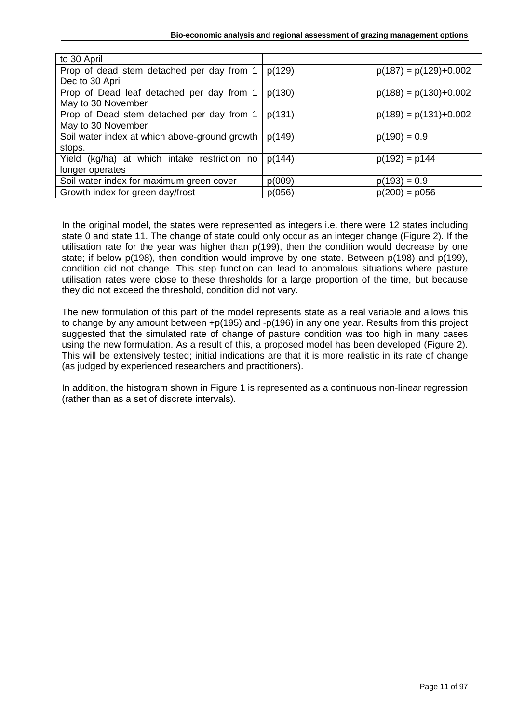| to 30 April                                   |        |                         |
|-----------------------------------------------|--------|-------------------------|
| Prop of dead stem detached per day from 1     | p(129) | $p(187) = p(129)+0.002$ |
| Dec to 30 April                               |        |                         |
| Prop of Dead leaf detached per day from 1     | p(130) | $p(188) = p(130)+0.002$ |
| May to 30 November                            |        |                         |
| Prop of Dead stem detached per day from 1     | p(131) | $p(189) = p(131)+0.002$ |
| May to 30 November                            |        |                         |
| Soil water index at which above-ground growth | p(149) | $p(190) = 0.9$          |
| stops.                                        |        |                         |
| Yield (kg/ha) at which intake restriction no  | p(144) | $p(192) = p144$         |
| longer operates                               |        |                         |
| Soil water index for maximum green cover      | p(009) | $p(193) = 0.9$          |
| Growth index for green day/frost              | p(056) | $p(200) = p056$         |

In the original model, the states were represented as integers i.e. there were 12 states including state 0 and state 11. The change of state could only occur as an integer change (Figure 2). If the utilisation rate for the year was higher than p(199), then the condition would decrease by one state; if below p(198), then condition would improve by one state. Between p(198) and p(199), condition did not change. This step function can lead to anomalous situations where pasture utilisation rates were close to these thresholds for a large proportion of the time, but because they did not exceed the threshold, condition did not vary.

The new formulation of this part of the model represents state as a real variable and allows this to change by any amount between +p(195) and -p(196) in any one year. Results from this project suggested that the simulated rate of change of pasture condition was too high in many cases using the new formulation. As a result of this, a proposed model has been developed (Figure 2). This will be extensively tested; initial indications are that it is more realistic in its rate of change (as judged by experienced researchers and practitioners).

In addition, the histogram shown in Figure 1 is represented as a continuous non-linear regression (rather than as a set of discrete intervals).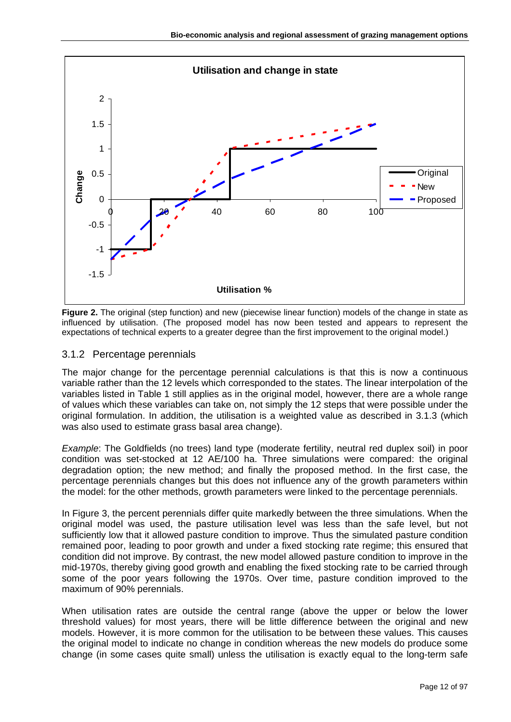

**Figure 2.** The original (step function) and new (piecewise linear function) models of the change in state as influenced by utilisation. (The proposed model has now been tested and appears to represent the expectations of technical experts to a greater degree than the first improvement to the original model.)

## <span id="page-11-0"></span>3.1.2 Percentage perennials

The major change for the percentage perennial calculations is that this is now a continuous variable rather than the 12 levels which corresponded to the states. The linear interpolation of the variables listed in Table 1 still applies as in the original model, however, there are a whole range of values which these variables can take on, not simply the 12 steps that were possible under the original formulation. In addition, the utilisation is a weighted value as described in 3.1.3 (which was also used to estimate grass basal area change).

*Example*: The Goldfields (no trees) land type (moderate fertility, neutral red duplex soil) in poor condition was set-stocked at 12 AE/100 ha. Three simulations were compared: the original degradation option; the new method; and finally the proposed method. In the first case, the percentage perennials changes but this does not influence any of the growth parameters within the model: for the other methods, growth parameters were linked to the percentage perennials.

In Figure 3, the percent perennials differ quite markedly between the three simulations. When the original model was used, the pasture utilisation level was less than the safe level, but not sufficiently low that it allowed pasture condition to improve. Thus the simulated pasture condition remained poor, leading to poor growth and under a fixed stocking rate regime; this ensured that condition did not improve. By contrast, the new model allowed pasture condition to improve in the mid-1970s, thereby giving good growth and enabling the fixed stocking rate to be carried through some of the poor years following the 1970s. Over time, pasture condition improved to the maximum of 90% perennials.

When utilisation rates are outside the central range (above the upper or below the lower threshold values) for most years, there will be little difference between the original and new models. However, it is more common for the utilisation to be between these values. This causes the original model to indicate no change in condition whereas the new models do produce some change (in some cases quite small) unless the utilisation is exactly equal to the long-term safe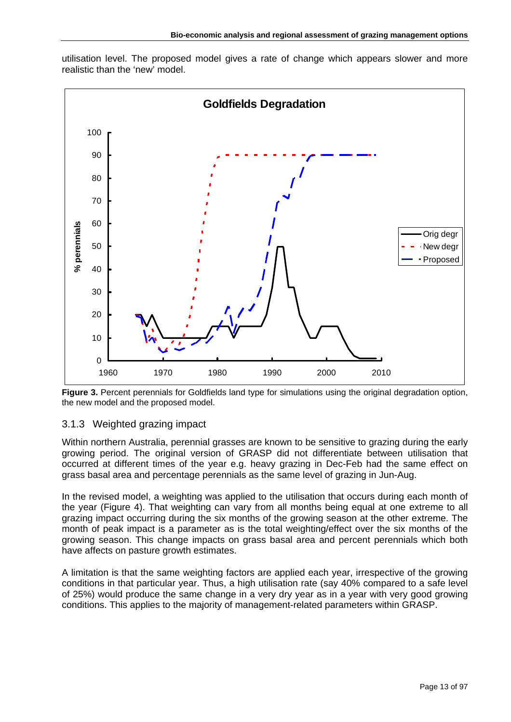



**Figure 3.** Percent perennials for Goldfields land type for simulations using the original degradation option, the new model and the proposed model.

## <span id="page-12-0"></span>3.1.3 Weighted grazing impact

Within northern Australia, perennial grasses are known to be sensitive to grazing during the early growing period. The original version of GRASP did not differentiate between utilisation that occurred at different times of the year e.g. heavy grazing in Dec-Feb had the same effect on grass basal area and percentage perennials as the same level of grazing in Jun-Aug.

In the revised model, a weighting was applied to the utilisation that occurs during each month of the year (Figure 4). That weighting can vary from all months being equal at one extreme to all grazing impact occurring during the six months of the growing season at the other extreme. The month of peak impact is a parameter as is the total weighting/effect over the six months of the growing season. This change impacts on grass basal area and percent perennials which both have affects on pasture growth estimates.

A limitation is that the same weighting factors are applied each year, irrespective of the growing conditions in that particular year. Thus, a high utilisation rate (say 40% compared to a safe level of 25%) would produce the same change in a very dry year as in a year with very good growing conditions. This applies to the majority of management-related parameters within GRASP.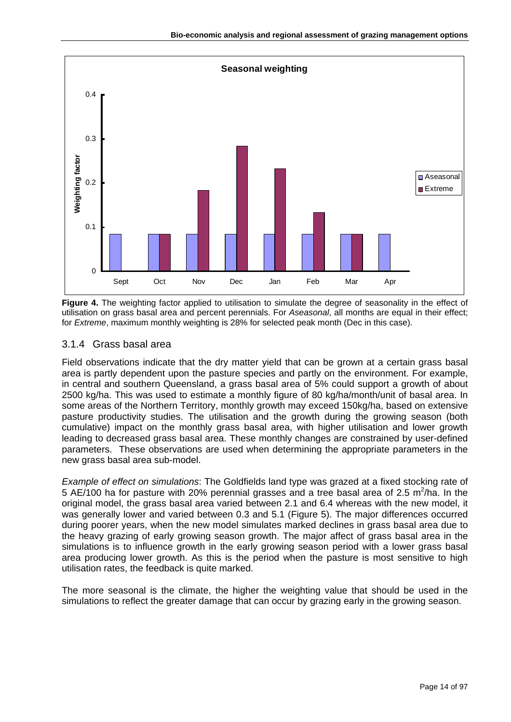

**Figure 4.** The weighting factor applied to utilisation to simulate the degree of seasonality in the effect of utilisation on grass basal area and percent perennials. For *Aseasonal*, all months are equal in their effect; for *Extreme*, maximum monthly weighting is 28% for selected peak month (Dec in this case).

# <span id="page-13-0"></span>3.1.4 Grass basal area

Field observations indicate that the dry matter yield that can be grown at a certain grass basal area is partly dependent upon the pasture species and partly on the environment. For example, in central and southern Queensland, a grass basal area of 5% could support a growth of about 2500 kg/ha. This was used to estimate a monthly figure of 80 kg/ha/month/unit of basal area. In some areas of the Northern Territory, monthly growth may exceed 150kg/ha, based on extensive pasture productivity studies. The utilisation and the growth during the growing season (both cumulative) impact on the monthly grass basal area, with higher utilisation and lower growth leading to decreased grass basal area. These monthly changes are constrained by user-defined parameters. These observations are used when determining the appropriate parameters in the new grass basal area sub-model.

*Example of effect on simulations*: The Goldfields land type was grazed at a fixed stocking rate of 5 AE/100 ha for pasture with 20% perennial grasses and a tree basal area of 2.5 m<sup>2</sup>/ha. In the original model, the grass basal area varied between 2.1 and 6.4 whereas with the new model, it was generally lower and varied between 0.3 and 5.1 (Figure 5). The major differences occurred during poorer years, when the new model simulates marked declines in grass basal area due to the heavy grazing of early growing season growth. The major affect of grass basal area in the simulations is to influence growth in the early growing season period with a lower grass basal area producing lower growth. As this is the period when the pasture is most sensitive to high utilisation rates, the feedback is quite marked.

The more seasonal is the climate, the higher the weighting value that should be used in the simulations to reflect the greater damage that can occur by grazing early in the growing season.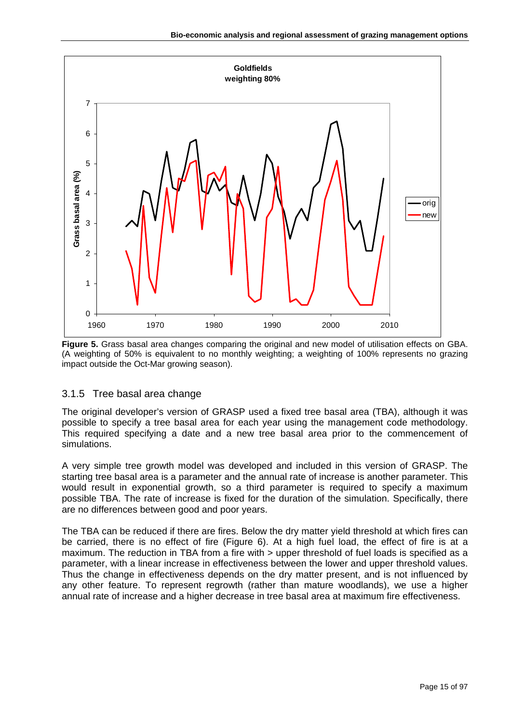

**Figure 5.** Grass basal area changes comparing the original and new model of utilisation effects on GBA. (A weighting of 50% is equivalent to no monthly weighting; a weighting of 100% represents no grazing impact outside the Oct-Mar growing season).

# <span id="page-14-0"></span>3.1.5 Tree basal area change

The original developer's version of GRASP used a fixed tree basal area (TBA), although it was possible to specify a tree basal area for each year using the management code methodology. This required specifying a date and a new tree basal area prior to the commencement of simulations.

A very simple tree growth model was developed and included in this version of GRASP. The starting tree basal area is a parameter and the annual rate of increase is another parameter. This would result in exponential growth, so a third parameter is required to specify a maximum possible TBA. The rate of increase is fixed for the duration of the simulation. Specifically, there are no differences between good and poor years.

The TBA can be reduced if there are fires. Below the dry matter yield threshold at which fires can be carried, there is no effect of fire (Figure 6). At a high fuel load, the effect of fire is at a maximum. The reduction in TBA from a fire with > upper threshold of fuel loads is specified as a parameter, with a linear increase in effectiveness between the lower and upper threshold values. Thus the change in effectiveness depends on the dry matter present, and is not influenced by any other feature. To represent regrowth (rather than mature woodlands), we use a higher annual rate of increase and a higher decrease in tree basal area at maximum fire effectiveness.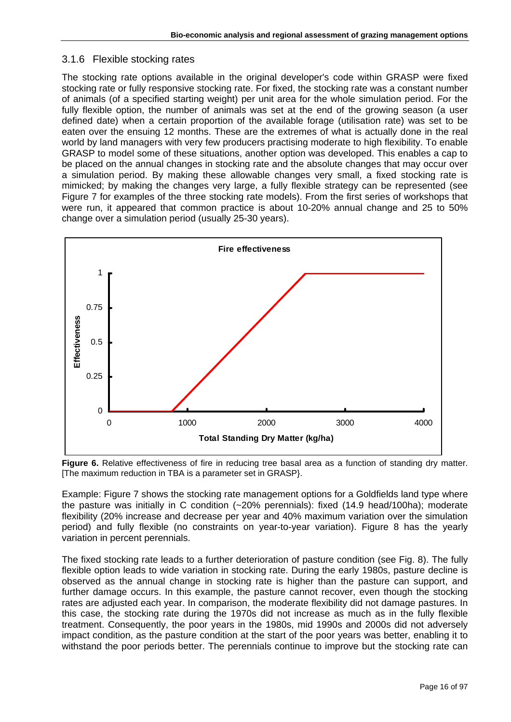#### <span id="page-15-0"></span>3.1.6 Flexible stocking rates

The stocking rate options available in the original developer's code within GRASP were fixed stocking rate or fully responsive stocking rate. For fixed, the stocking rate was a constant number of animals (of a specified starting weight) per unit area for the whole simulation period. For the fully flexible option, the number of animals was set at the end of the growing season (a user defined date) when a certain proportion of the available forage (utilisation rate) was set to be eaten over the ensuing 12 months. These are the extremes of what is actually done in the real world by land managers with very few producers practising moderate to high flexibility. To enable GRASP to model some of these situations, another option was developed. This enables a cap to be placed on the annual changes in stocking rate and the absolute changes that may occur over a simulation period. By making these allowable changes very small, a fixed stocking rate is mimicked; by making the changes very large, a fully flexible strategy can be represented (see Figure 7 for examples of the three stocking rate models). From the first series of workshops that were run, it appeared that common practice is about 10-20% annual change and 25 to 50% change over a simulation period (usually 25-30 years).



**Figure 6.** Relative effectiveness of fire in reducing tree basal area as a function of standing dry matter. [The maximum reduction in TBA is a parameter set in GRASP}.

Example: Figure 7 shows the stocking rate management options for a Goldfields land type where the pasture was initially in C condition (~20% perennials): fixed (14.9 head/100ha); moderate flexibility (20% increase and decrease per year and 40% maximum variation over the simulation period) and fully flexible (no constraints on year-to-year variation). Figure 8 has the yearly variation in percent perennials.

The fixed stocking rate leads to a further deterioration of pasture condition (see Fig. 8). The fully flexible option leads to wide variation in stocking rate. During the early 1980s, pasture decline is observed as the annual change in stocking rate is higher than the pasture can support, and further damage occurs. In this example, the pasture cannot recover, even though the stocking rates are adjusted each year. In comparison, the moderate flexibility did not damage pastures. In this case, the stocking rate during the 1970s did not increase as much as in the fully flexible treatment. Consequently, the poor years in the 1980s, mid 1990s and 2000s did not adversely impact condition, as the pasture condition at the start of the poor years was better, enabling it to withstand the poor periods better. The perennials continue to improve but the stocking rate can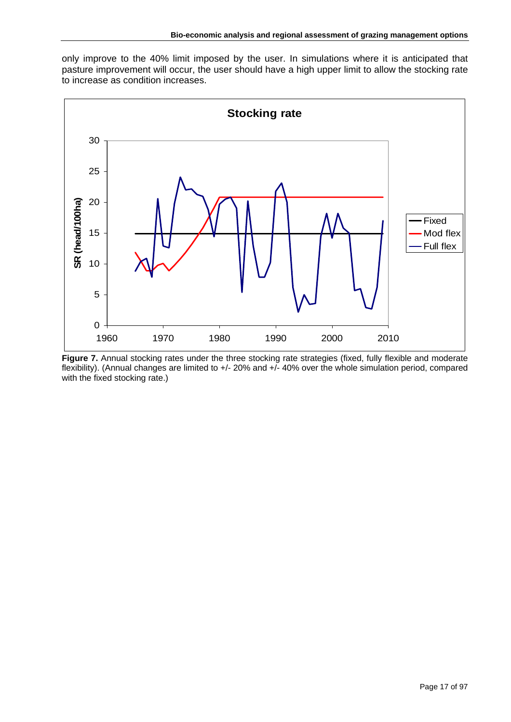only improve to the 40% limit imposed by the user. In simulations where it is anticipated that pasture improvement will occur, the user should have a high upper limit to allow the stocking rate to increase as condition increases.



**Figure 7.** Annual stocking rates under the three stocking rate strategies (fixed, fully flexible and moderate flexibility). (Annual changes are limited to +/- 20% and +/- 40% over the whole simulation period, compared with the fixed stocking rate.)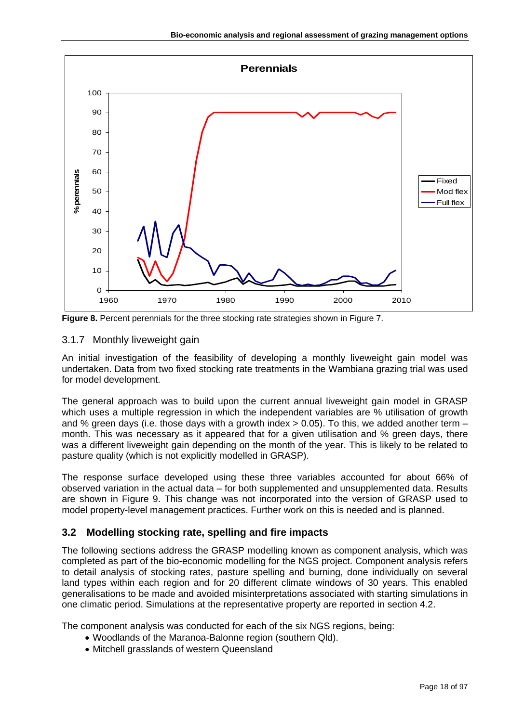

**Figure 8.** Percent perennials for the three stocking rate strategies shown in Figure 7.

# <span id="page-17-0"></span>3.1.7 Monthly liveweight gain

An initial investigation of the feasibility of developing a monthly liveweight gain model was undertaken. Data from two fixed stocking rate treatments in the Wambiana grazing trial was used for model development.

The general approach was to build upon the current annual liveweight gain model in GRASP which uses a multiple regression in which the independent variables are % utilisation of growth and % green days (i.e. those days with a growth index  $> 0.05$ ). To this, we added another term – month. This was necessary as it appeared that for a given utilisation and % green days, there was a different liveweight gain depending on the month of the year. This is likely to be related to pasture quality (which is not explicitly modelled in GRASP).

The response surface developed using these three variables accounted for about 66% of observed variation in the actual data – for both supplemented and unsupplemented data. Results are shown in Figure 9. This change was not incorporated into the version of GRASP used to model property-level management practices. Further work on this is needed and is planned.

# <span id="page-17-1"></span>**3.2 Modelling stocking rate, spelling and fire impacts**

The following sections address the GRASP modelling known as component analysis, which was completed as part of the bio-economic modelling for the NGS project. Component analysis refers to detail analysis of stocking rates, pasture spelling and burning, done individually on several land types within each region and for 20 different climate windows of 30 years. This enabled generalisations to be made and avoided misinterpretations associated with starting simulations in one climatic period. Simulations at the representative property are reported in section 4.2.

The component analysis was conducted for each of the six NGS regions, being:

- Woodlands of the Maranoa-Balonne region (southern Qld).
- Mitchell grasslands of western Queensland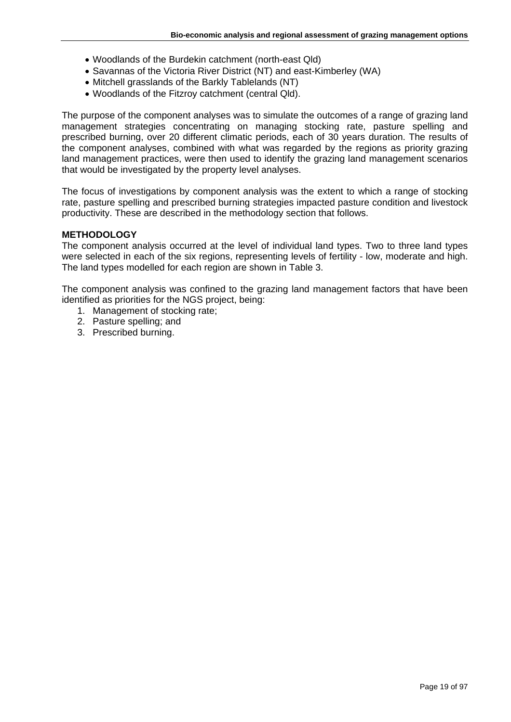- Woodlands of the Burdekin catchment (north-east Qld)
- Savannas of the Victoria River District (NT) and east-Kimberley (WA)
- Mitchell grasslands of the Barkly Tablelands (NT)
- Woodlands of the Fitzroy catchment (central Qld).

The purpose of the component analyses was to simulate the outcomes of a range of grazing land management strategies concentrating on managing stocking rate, pasture spelling and prescribed burning, over 20 different climatic periods, each of 30 years duration. The results of the component analyses, combined with what was regarded by the regions as priority grazing land management practices, were then used to identify the grazing land management scenarios that would be investigated by the property level analyses.

The focus of investigations by component analysis was the extent to which a range of stocking rate, pasture spelling and prescribed burning strategies impacted pasture condition and livestock productivity. These are described in the methodology section that follows.

#### **METHODOLOGY**

The component analysis occurred at the level of individual land types. Two to three land types were selected in each of the six regions, representing levels of fertility - low, moderate and high. The land types modelled for each region are shown in Table 3.

The component analysis was confined to the grazing land management factors that have been identified as priorities for the NGS project, being:

- 1. Management of stocking rate;
- 2. Pasture spelling; and
- 3. Prescribed burning.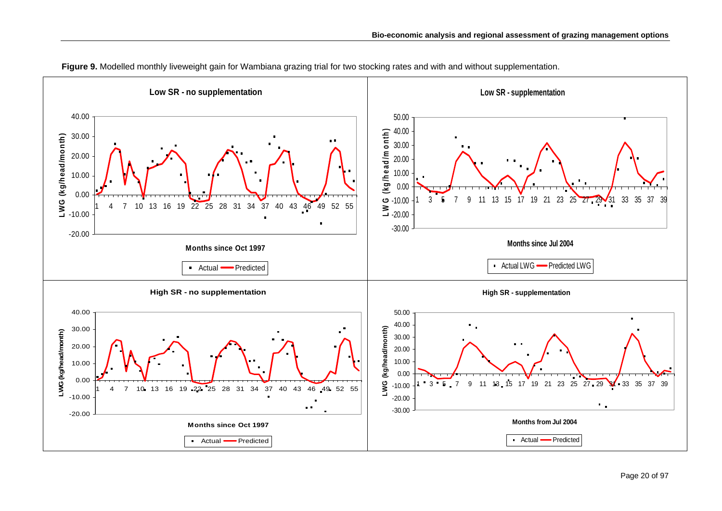

**Figure 9.** Modelled monthly liveweight gain for Wambiana grazing trial for two stocking rates and with and without supplementation.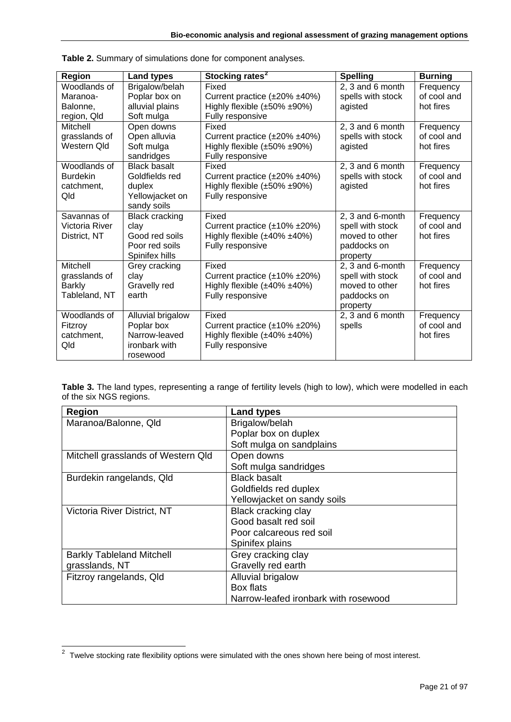| <b>Region</b>   | <b>Land types</b>     | Stocking rates <sup>2</sup>            | <b>Spelling</b>   | <b>Burning</b> |
|-----------------|-----------------------|----------------------------------------|-------------------|----------------|
| Woodlands of    | Brigalow/belah        | Fixed                                  | 2, 3 and 6 month  | Frequency      |
| Maranoa-        | Poplar box on         | Current practice $(\pm 20\% \pm 40\%)$ | spells with stock | of cool and    |
| Balonne.        | alluvial plains       | Highly flexible $(\pm 50\% \pm 90\%)$  | agisted           | hot fires      |
| region, Qld     | Soft mulga            | Fully responsive                       |                   |                |
| Mitchell        | Open downs            | Fixed                                  | 2, 3 and 6 month  | Frequency      |
| grasslands of   | Open alluvia          | Current practice (±20% ±40%)           | spells with stock | of cool and    |
| Western Qld     | Soft mulga            | Highly flexible $(\pm 50\% \pm 90\%)$  | agisted           | hot fires      |
|                 | sandridges            | Fully responsive                       |                   |                |
| Woodlands of    | <b>Black basalt</b>   | Fixed                                  | 2, 3 and 6 month  | Frequency      |
| <b>Burdekin</b> | Goldfields red        | Current practice $(\pm 20\% \pm 40\%)$ | spells with stock | of cool and    |
| catchment,      | duplex                | Highly flexible $(\pm 50\% \pm 90\%)$  | agisted           | hot fires      |
| Qld             | Yellowjacket on       | Fully responsive                       |                   |                |
|                 | sandy soils           |                                        |                   |                |
| Savannas of     | <b>Black cracking</b> | Fixed                                  | 2, 3 and 6-month  | Frequency      |
| Victoria River  | clay                  | Current practice $(\pm 10\% \pm 20\%)$ | spell with stock  | of cool and    |
| District, NT    | Good red soils        | Highly flexible (±40% ±40%)            | moved to other    | hot fires      |
|                 | Poor red soils        | Fully responsive                       | paddocks on       |                |
|                 | Spinifex hills        |                                        | property          |                |
| <b>Mitchell</b> | Grey cracking         | Fixed                                  | 2, 3 and 6-month  | Frequency      |
| grasslands of   | clay                  | Current practice (±10% ±20%)           | spell with stock  | of cool and    |
| <b>Barkly</b>   | Gravelly red          | Highly flexible $(\pm 40\% \pm 40\%)$  | moved to other    | hot fires      |
| Tableland, NT   | earth                 | Fully responsive                       | paddocks on       |                |
|                 |                       |                                        | property          |                |
| Woodlands of    | Alluvial brigalow     | Fixed                                  | 2, 3 and 6 month  | Frequency      |
| Fitzroy         | Poplar box            | Current practice $(\pm 10\% \pm 20\%)$ | spells            | of cool and    |
| catchment,      | Narrow-leaved         | Highly flexible $(\pm 40\% \pm 40\%)$  |                   | hot fires      |
| Qld             | ironbark with         | Fully responsive                       |                   |                |
|                 | rosewood              |                                        |                   |                |

| Table 2. Summary of simulations done for component analyses. |
|--------------------------------------------------------------|
|--------------------------------------------------------------|

**Table 3.** The land types, representing a range of fertility levels (high to low), which were modelled in each of the six NGS regions.

| <b>Region</b>                      | <b>Land types</b>                    |
|------------------------------------|--------------------------------------|
| Maranoa/Balonne, Qld               | Brigalow/belah                       |
|                                    | Poplar box on duplex                 |
|                                    | Soft mulga on sandplains             |
| Mitchell grasslands of Western Qld | Open downs                           |
|                                    | Soft mulga sandridges                |
| Burdekin rangelands, Qld           | <b>Black basalt</b>                  |
|                                    | Goldfields red duplex                |
|                                    | Yellowjacket on sandy soils          |
| Victoria River District, NT        | Black cracking clay                  |
|                                    | Good basalt red soil                 |
|                                    | Poor calcareous red soil             |
|                                    | Spinifex plains                      |
| <b>Barkly Tableland Mitchell</b>   | Grey cracking clay                   |
| grasslands, NT                     | Gravelly red earth                   |
| Fitzroy rangelands, Qld            | Alluvial brigalow                    |
|                                    | Box flats                            |
|                                    | Narrow-leafed ironbark with rosewood |

<span id="page-20-0"></span>**EXECUTE:**<br><sup>2</sup> Twelve stocking rate flexibility options were simulated with the ones shown here being of most interest.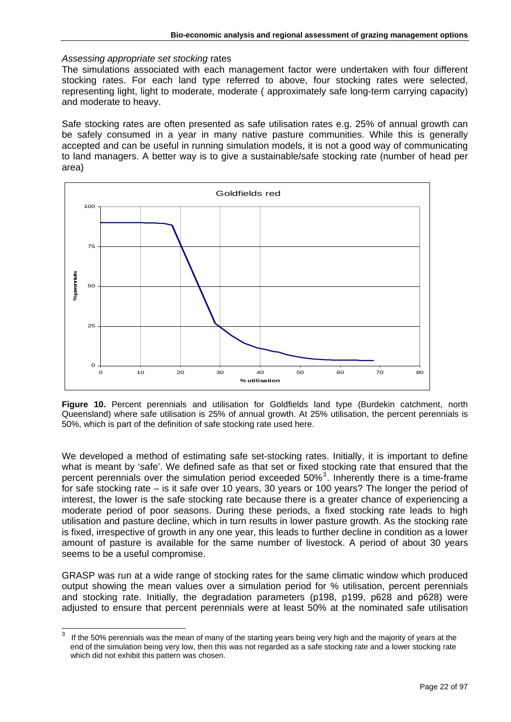#### *Assessing appropriate set stocking* rates

The simulations associated with each management factor were undertaken with four different stocking rates. For each land type referred to above, four stocking rates were selected, representing light, light to moderate, moderate ( approximately safe long-term carrying capacity) and moderate to heavy.

Safe stocking rates are often presented as safe utilisation rates e.g. 25% of annual growth can be safely consumed in a year in many native pasture communities. While this is generally accepted and can be useful in running simulation models, it is not a good way of communicating to land managers. A better way is to give a sustainable/safe stocking rate (number of head per area)



**Figure 10.** Percent perennials and utilisation for Goldfields land type (Burdekin catchment, north Queensland) where safe utilisation is 25% of annual growth. At 25% utilisation, the percent perennials is 50%, which is part of the definition of safe stocking rate used here.

We developed a method of estimating safe set-stocking rates. Initially, it is important to define what is meant by 'safe'. We defined safe as that set or fixed stocking rate that ensured that the percent perennials over the simulation period exceeded  $50\%$ <sup>[3](#page-21-0)</sup>. Inherently there is a time-frame for safe stocking rate – is it safe over 10 years, 30 years or 100 years? The longer the period of interest, the lower is the safe stocking rate because there is a greater chance of experiencing a moderate period of poor seasons. During these periods, a fixed stocking rate leads to high utilisation and pasture decline, which in turn results in lower pasture growth. As the stocking rate is fixed, irrespective of growth in any one year, this leads to further decline in condition as a lower amount of pasture is available for the same number of livestock. A period of about 30 years seems to be a useful compromise.

GRASP was run at a wide range of stocking rates for the same climatic window which produced output showing the mean values over a simulation period for % utilisation, percent perennials and stocking rate. Initially, the degradation parameters (p198, p199, p628 and p628) were adjusted to ensure that percent perennials were at least 50% at the nominated safe utilisation

<span id="page-21-0"></span><sup>-&</sup>lt;br>3 If the 50% perennials was the mean of many of the starting years being very high and the majority of years at the end of the simulation being very low, then this was not regarded as a safe stocking rate and a lower stocking rate which did not exhibit this pattern was chosen.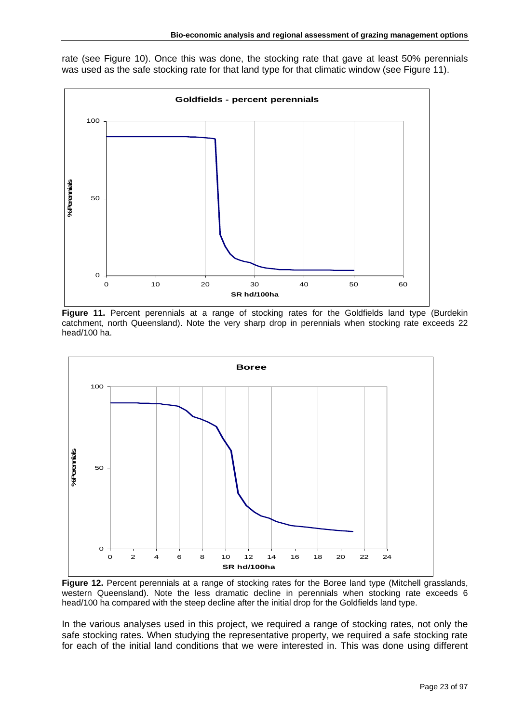rate (see Figure 10). Once this was done, the stocking rate that gave at least 50% perennials was used as the safe stocking rate for that land type for that climatic window (see Figure 11).



**Figure 11.** Percent perennials at a range of stocking rates for the Goldfields land type (Burdekin catchment, north Queensland). Note the very sharp drop in perennials when stocking rate exceeds 22 head/100 ha.



Figure 12. Percent perennials at a range of stocking rates for the Boree land type (Mitchell grasslands, western Queensland). Note the less dramatic decline in perennials when stocking rate exceeds 6 head/100 ha compared with the steep decline after the initial drop for the Goldfields land type.

In the various analyses used in this project, we required a range of stocking rates, not only the safe stocking rates. When studying the representative property, we required a safe stocking rate for each of the initial land conditions that we were interested in. This was done using different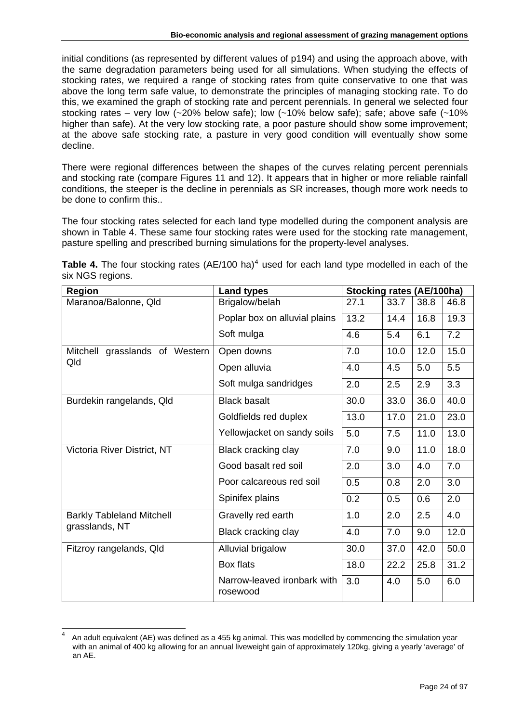initial conditions (as represented by different values of p194) and using the approach above, with the same degradation parameters being used for all simulations. When studying the effects of stocking rates, we required a range of stocking rates from quite conservative to one that was above the long term safe value, to demonstrate the principles of managing stocking rate. To do this, we examined the graph of stocking rate and percent perennials. In general we selected four stocking rates – very low  $\langle 20\%$  below safe); low  $\langle 20\%$  below safe); safe; above safe  $\langle 210\%$ higher than safe). At the very low stocking rate, a poor pasture should show some improvement; at the above safe stocking rate, a pasture in very good condition will eventually show some decline.

There were regional differences between the shapes of the curves relating percent perennials and stocking rate (compare Figures 11 and 12). It appears that in higher or more reliable rainfall conditions, the steeper is the decline in perennials as SR increases, though more work needs to be done to confirm this..

The four stocking rates selected for each land type modelled during the component analysis are shown in Table 4. These same four stocking rates were used for the stocking rate management, pasture spelling and prescribed burning simulations for the property-level analyses.

| Table 4. The four stocking rates (AE/100 ha) <sup>4</sup> used for each land type modelled in each of the |  |  |
|-----------------------------------------------------------------------------------------------------------|--|--|
| six NGS regions.                                                                                          |  |  |

| <b>Region</b>                     | <b>Land types</b>                       | <b>Stocking rates (AE/100ha)</b> |      |      |      |
|-----------------------------------|-----------------------------------------|----------------------------------|------|------|------|
| Maranoa/Balonne, Qld              | Brigalow/belah                          | 27.1                             | 33.7 | 38.8 | 46.8 |
|                                   | Poplar box on alluvial plains           | 13.2                             | 14.4 | 16.8 | 19.3 |
|                                   | Soft mulga                              | 4.6                              | 5.4  | 6.1  | 7.2  |
| grasslands of Western<br>Mitchell | Open downs                              | 7.0                              | 10.0 | 12.0 | 15.0 |
| Qld                               | Open alluvia                            | 4.0                              | 4.5  | 5.0  | 5.5  |
|                                   | Soft mulga sandridges                   | 2.0                              | 2.5  | 2.9  | 3.3  |
| Burdekin rangelands, Qld          | <b>Black basalt</b>                     | 30.0                             | 33.0 | 36.0 | 40.0 |
|                                   | Goldfields red duplex                   | 13.0                             | 17.0 | 21.0 | 23.0 |
|                                   | Yellowjacket on sandy soils             | 5.0                              | 7.5  | 11.0 | 13.0 |
| Victoria River District, NT       | Black cracking clay                     | 7.0                              | 9.0  | 11.0 | 18.0 |
|                                   | Good basalt red soil                    | 2.0                              | 3.0  | 4.0  | 7.0  |
|                                   | Poor calcareous red soil                | 0.5                              | 0.8  | 2.0  | 3.0  |
|                                   | Spinifex plains                         | 0.2                              | 0.5  | 0.6  | 2.0  |
| <b>Barkly Tableland Mitchell</b>  | Gravelly red earth                      | 1.0                              | 2.0  | 2.5  | 4.0  |
| grasslands, NT                    | Black cracking clay                     | 4.0                              | 7.0  | 9.0  | 12.0 |
| Fitzroy rangelands, Qld           | Alluvial brigalow                       | 30.0                             | 37.0 | 42.0 | 50.0 |
|                                   | Box flats                               | 18.0                             | 22.2 | 25.8 | 31.2 |
|                                   | Narrow-leaved ironbark with<br>rosewood | 3.0                              | 4.0  | 5.0  | 6.0  |

<span id="page-23-0"></span><sup>4</sup> An adult equivalent (AE) was defined as a 455 kg animal. This was modelled by commencing the simulation year with an animal of 400 kg allowing for an annual liveweight gain of approximately 120kg, giving a yearly 'average' of an AE.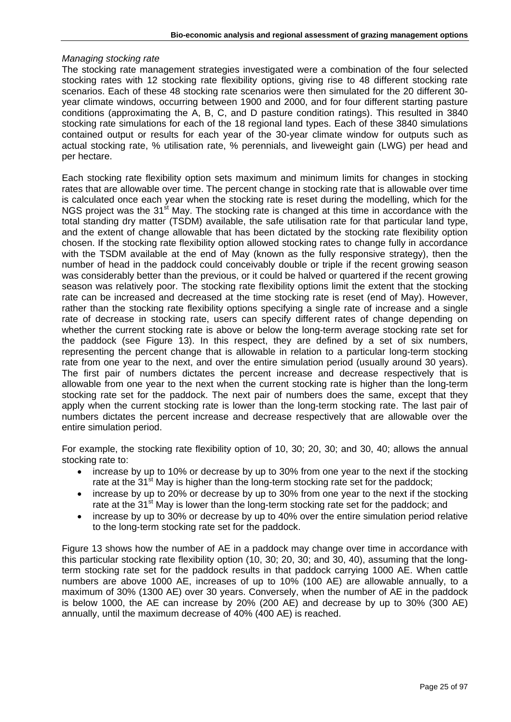#### *Managing stocking rate*

The stocking rate management strategies investigated were a combination of the four selected stocking rates with 12 stocking rate flexibility options, giving rise to 48 different stocking rate scenarios. Each of these 48 stocking rate scenarios were then simulated for the 20 different 30 year climate windows, occurring between 1900 and 2000, and for four different starting pasture conditions (approximating the A, B, C, and D pasture condition ratings). This resulted in 3840 stocking rate simulations for each of the 18 regional land types. Each of these 3840 simulations contained output or results for each year of the 30-year climate window for outputs such as actual stocking rate, % utilisation rate, % perennials, and liveweight gain (LWG) per head and per hectare.

Each stocking rate flexibility option sets maximum and minimum limits for changes in stocking rates that are allowable over time. The percent change in stocking rate that is allowable over time is calculated once each year when the stocking rate is reset during the modelling, which for the NGS project was the 31<sup>st</sup> May. The stocking rate is changed at this time in accordance with the total standing dry matter (TSDM) available, the safe utilisation rate for that particular land type, and the extent of change allowable that has been dictated by the stocking rate flexibility option chosen. If the stocking rate flexibility option allowed stocking rates to change fully in accordance with the TSDM available at the end of May (known as the fully responsive strategy), then the number of head in the paddock could conceivably double or triple if the recent growing season was considerably better than the previous, or it could be halved or quartered if the recent growing season was relatively poor. The stocking rate flexibility options limit the extent that the stocking rate can be increased and decreased at the time stocking rate is reset (end of May). However, rather than the stocking rate flexibility options specifying a single rate of increase and a single rate of decrease in stocking rate, users can specify different rates of change depending on whether the current stocking rate is above or below the long-term average stocking rate set for the paddock (see Figure 13). In this respect, they are defined by a set of six numbers, representing the percent change that is allowable in relation to a particular long-term stocking rate from one year to the next, and over the entire simulation period (usually around 30 years). The first pair of numbers dictates the percent increase and decrease respectively that is allowable from one year to the next when the current stocking rate is higher than the long-term stocking rate set for the paddock. The next pair of numbers does the same, except that they apply when the current stocking rate is lower than the long-term stocking rate. The last pair of numbers dictates the percent increase and decrease respectively that are allowable over the entire simulation period.

For example, the stocking rate flexibility option of 10, 30; 20, 30; and 30, 40; allows the annual stocking rate to:

- increase by up to 10% or decrease by up to 30% from one year to the next if the stocking rate at the  $31<sup>st</sup>$  May is higher than the long-term stocking rate set for the paddock;
- increase by up to 20% or decrease by up to 30% from one year to the next if the stocking rate at the  $31<sup>st</sup>$  May is lower than the long-term stocking rate set for the paddock; and
- increase by up to 30% or decrease by up to 40% over the entire simulation period relative to the long-term stocking rate set for the paddock.

Figure 13 shows how the number of AE in a paddock may change over time in accordance with this particular stocking rate flexibility option (10, 30; 20, 30; and 30, 40), assuming that the longterm stocking rate set for the paddock results in that paddock carrying 1000 AE. When cattle numbers are above 1000 AE, increases of up to 10% (100 AE) are allowable annually, to a maximum of 30% (1300 AE) over 30 years. Conversely, when the number of AE in the paddock is below 1000, the AE can increase by 20% (200 AE) and decrease by up to 30% (300 AE) annually, until the maximum decrease of 40% (400 AE) is reached.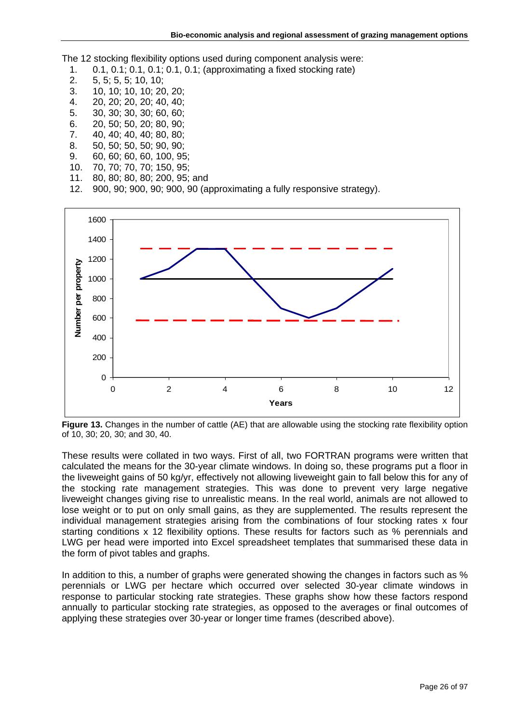The 12 stocking flexibility options used during component analysis were:

- 1. 0.1, 0.1; 0.1, 0.1; 0.1, 0.1; (approximating a fixed stocking rate)
- 2. 5, 5; 5, 5; 10, 10;
- 3. 10, 10; 10, 10; 20, 20;
- 4. 20, 20; 20, 20; 40, 40;
- 5. 30, 30; 30, 30; 60, 60;
- 6. 20, 50; 50, 20; 80, 90; 7. 40, 40; 40, 40; 80, 80;
- 8. 50, 50; 50, 50; 90, 90;
- 9. 60, 60; 60, 60, 100, 95;
- 10. 70, 70; 70, 70; 150, 95;
- 11. 80, 80; 80, 80; 200, 95; and
- 
- 12. 900, 90; 900, 90; 900, 90 (approximating a fully responsive strategy).



**Figure 13.** Changes in the number of cattle (AE) that are allowable using the stocking rate flexibility option of 10, 30; 20, 30; and 30, 40.

These results were collated in two ways. First of all, two FORTRAN programs were written that calculated the means for the 30-year climate windows. In doing so, these programs put a floor in the liveweight gains of 50 kg/yr, effectively not allowing liveweight gain to fall below this for any of the stocking rate management strategies. This was done to prevent very large negative liveweight changes giving rise to unrealistic means. In the real world, animals are not allowed to lose weight or to put on only small gains, as they are supplemented. The results represent the individual management strategies arising from the combinations of four stocking rates x four starting conditions x 12 flexibility options. These results for factors such as % perennials and LWG per head were imported into Excel spreadsheet templates that summarised these data in the form of pivot tables and graphs.

In addition to this, a number of graphs were generated showing the changes in factors such as % perennials or LWG per hectare which occurred over selected 30-year climate windows in response to particular stocking rate strategies. These graphs show how these factors respond annually to particular stocking rate strategies, as opposed to the averages or final outcomes of applying these strategies over 30-year or longer time frames (described above).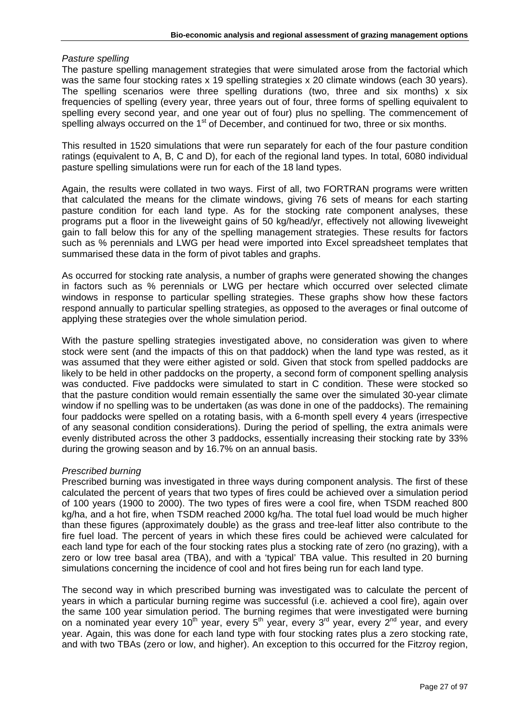#### *Pasture spelling*

The pasture spelling management strategies that were simulated arose from the factorial which was the same four stocking rates x 19 spelling strategies x 20 climate windows (each 30 years). The spelling scenarios were three spelling durations (two, three and six months) x six frequencies of spelling (every year, three years out of four, three forms of spelling equivalent to spelling every second year, and one year out of four) plus no spelling. The commencement of spelling always occurred on the 1<sup>st</sup> of December, and continued for two, three or six months.

This resulted in 1520 simulations that were run separately for each of the four pasture condition ratings (equivalent to A, B, C and D), for each of the regional land types. In total, 6080 individual pasture spelling simulations were run for each of the 18 land types.

Again, the results were collated in two ways. First of all, two FORTRAN programs were written that calculated the means for the climate windows, giving 76 sets of means for each starting pasture condition for each land type. As for the stocking rate component analyses, these programs put a floor in the liveweight gains of 50 kg/head/yr, effectively not allowing liveweight gain to fall below this for any of the spelling management strategies. These results for factors such as % perennials and LWG per head were imported into Excel spreadsheet templates that summarised these data in the form of pivot tables and graphs.

As occurred for stocking rate analysis, a number of graphs were generated showing the changes in factors such as % perennials or LWG per hectare which occurred over selected climate windows in response to particular spelling strategies. These graphs show how these factors respond annually to particular spelling strategies, as opposed to the averages or final outcome of applying these strategies over the whole simulation period.

With the pasture spelling strategies investigated above, no consideration was given to where stock were sent (and the impacts of this on that paddock) when the land type was rested, as it was assumed that they were either agisted or sold. Given that stock from spelled paddocks are likely to be held in other paddocks on the property, a second form of component spelling analysis was conducted. Five paddocks were simulated to start in C condition. These were stocked so that the pasture condition would remain essentially the same over the simulated 30-year climate window if no spelling was to be undertaken (as was done in one of the paddocks). The remaining four paddocks were spelled on a rotating basis, with a 6-month spell every 4 years (irrespective of any seasonal condition considerations). During the period of spelling, the extra animals were evenly distributed across the other 3 paddocks, essentially increasing their stocking rate by 33% during the growing season and by 16.7% on an annual basis.

#### *Prescribed burning*

Prescribed burning was investigated in three ways during component analysis. The first of these calculated the percent of years that two types of fires could be achieved over a simulation period of 100 years (1900 to 2000). The two types of fires were a cool fire, when TSDM reached 800 kg/ha, and a hot fire, when TSDM reached 2000 kg/ha. The total fuel load would be much higher than these figures (approximately double) as the grass and tree-leaf litter also contribute to the fire fuel load. The percent of years in which these fires could be achieved were calculated for each land type for each of the four stocking rates plus a stocking rate of zero (no grazing), with a zero or low tree basal area (TBA), and with a 'typical' TBA value. This resulted in 20 burning simulations concerning the incidence of cool and hot fires being run for each land type.

The second way in which prescribed burning was investigated was to calculate the percent of years in which a particular burning regime was successful (i.e. achieved a cool fire), again over the same 100 year simulation period. The burning regimes that were investigated were burning on a nominated year every 10<sup>th</sup> year, every 5<sup>th</sup> year, every 3<sup>rd</sup> year, every 2<sup>nd</sup> year, and every year. Again, this was done for each land type with four stocking rates plus a zero stocking rate, and with two TBAs (zero or low, and higher). An exception to this occurred for the Fitzroy region,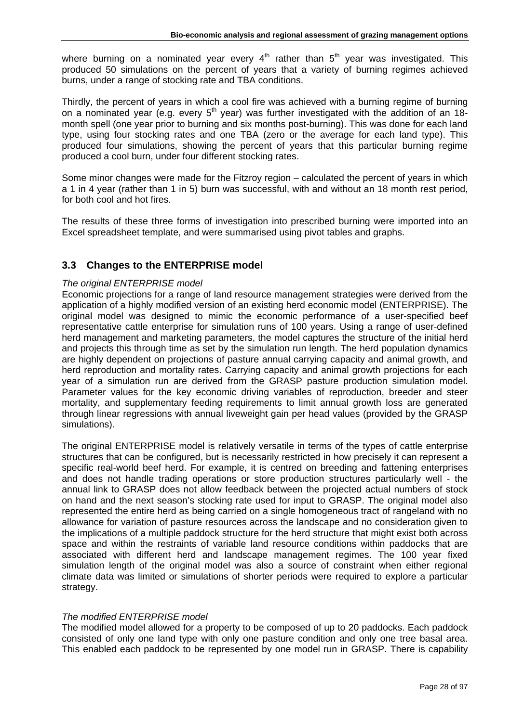where burning on a nominated year every  $4<sup>th</sup>$  rather than  $5<sup>th</sup>$  year was investigated. This produced 50 simulations on the percent of years that a variety of burning regimes achieved burns, under a range of stocking rate and TBA conditions.

Thirdly, the percent of years in which a cool fire was achieved with a burning regime of burning on a nominated year (e.g. every  $5<sup>th</sup>$  year) was further investigated with the addition of an 18month spell (one year prior to burning and six months post-burning). This was done for each land type, using four stocking rates and one TBA (zero or the average for each land type). This produced four simulations, showing the percent of years that this particular burning regime produced a cool burn, under four different stocking rates.

Some minor changes were made for the Fitzroy region – calculated the percent of years in which a 1 in 4 year (rather than 1 in 5) burn was successful, with and without an 18 month rest period, for both cool and hot fires.

The results of these three forms of investigation into prescribed burning were imported into an Excel spreadsheet template, and were summarised using pivot tables and graphs.

# <span id="page-27-0"></span>**3.3 Changes to the ENTERPRISE model**

#### *The original ENTERPRISE model*

Economic projections for a range of land resource management strategies were derived from the application of a highly modified version of an existing herd economic model (ENTERPRISE). The original model was designed to mimic the economic performance of a user-specified beef representative cattle enterprise for simulation runs of 100 years. Using a range of user-defined herd management and marketing parameters, the model captures the structure of the initial herd and projects this through time as set by the simulation run length. The herd population dynamics are highly dependent on projections of pasture annual carrying capacity and animal growth, and herd reproduction and mortality rates. Carrying capacity and animal growth projections for each year of a simulation run are derived from the GRASP pasture production simulation model. Parameter values for the key economic driving variables of reproduction, breeder and steer mortality, and supplementary feeding requirements to limit annual growth loss are generated through linear regressions with annual liveweight gain per head values (provided by the GRASP simulations).

The original ENTERPRISE model is relatively versatile in terms of the types of cattle enterprise structures that can be configured, but is necessarily restricted in how precisely it can represent a specific real-world beef herd. For example, it is centred on breeding and fattening enterprises and does not handle trading operations or store production structures particularly well - the annual link to GRASP does not allow feedback between the projected actual numbers of stock on hand and the next season's stocking rate used for input to GRASP. The original model also represented the entire herd as being carried on a single homogeneous tract of rangeland with no allowance for variation of pasture resources across the landscape and no consideration given to the implications of a multiple paddock structure for the herd structure that might exist both across space and within the restraints of variable land resource conditions within paddocks that are associated with different herd and landscape management regimes. The 100 year fixed simulation length of the original model was also a source of constraint when either regional climate data was limited or simulations of shorter periods were required to explore a particular strategy.

#### *The modified ENTERPRISE model*

The modified model allowed for a property to be composed of up to 20 paddocks. Each paddock consisted of only one land type with only one pasture condition and only one tree basal area. This enabled each paddock to be represented by one model run in GRASP. There is capability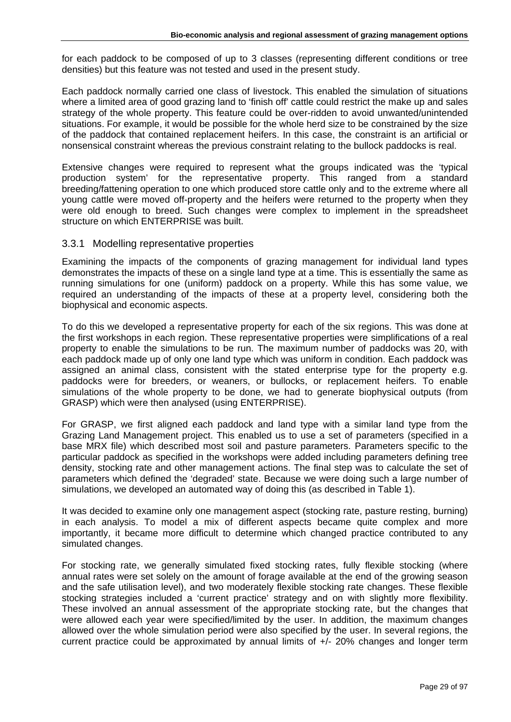for each paddock to be composed of up to 3 classes (representing different conditions or tree densities) but this feature was not tested and used in the present study.

Each paddock normally carried one class of livestock. This enabled the simulation of situations where a limited area of good grazing land to 'finish off' cattle could restrict the make up and sales strategy of the whole property. This feature could be over-ridden to avoid unwanted/unintended situations. For example, it would be possible for the whole herd size to be constrained by the size of the paddock that contained replacement heifers. In this case, the constraint is an artificial or nonsensical constraint whereas the previous constraint relating to the bullock paddocks is real.

Extensive changes were required to represent what the groups indicated was the 'typical production system' for the representative property. This ranged from a standard breeding/fattening operation to one which produced store cattle only and to the extreme where all young cattle were moved off-property and the heifers were returned to the property when they were old enough to breed. Such changes were complex to implement in the spreadsheet structure on which ENTERPRISE was built.

## <span id="page-28-0"></span>3.3.1 Modelling representative properties

Examining the impacts of the components of grazing management for individual land types demonstrates the impacts of these on a single land type at a time. This is essentially the same as running simulations for one (uniform) paddock on a property. While this has some value, we required an understanding of the impacts of these at a property level, considering both the biophysical and economic aspects.

To do this we developed a representative property for each of the six regions. This was done at the first workshops in each region. These representative properties were simplifications of a real property to enable the simulations to be run. The maximum number of paddocks was 20, with each paddock made up of only one land type which was uniform in condition. Each paddock was assigned an animal class, consistent with the stated enterprise type for the property e.g. paddocks were for breeders, or weaners, or bullocks, or replacement heifers. To enable simulations of the whole property to be done, we had to generate biophysical outputs (from GRASP) which were then analysed (using ENTERPRISE).

For GRASP, we first aligned each paddock and land type with a similar land type from the Grazing Land Management project. This enabled us to use a set of parameters (specified in a base MRX file) which described most soil and pasture parameters. Parameters specific to the particular paddock as specified in the workshops were added including parameters defining tree density, stocking rate and other management actions. The final step was to calculate the set of parameters which defined the 'degraded' state. Because we were doing such a large number of simulations, we developed an automated way of doing this (as described in Table 1).

It was decided to examine only one management aspect (stocking rate, pasture resting, burning) in each analysis. To model a mix of different aspects became quite complex and more importantly, it became more difficult to determine which changed practice contributed to any simulated changes.

For stocking rate, we generally simulated fixed stocking rates, fully flexible stocking (where annual rates were set solely on the amount of forage available at the end of the growing season and the safe utilisation level), and two moderately flexible stocking rate changes. These flexible stocking strategies included a 'current practice' strategy and on with slightly more flexibility. These involved an annual assessment of the appropriate stocking rate, but the changes that were allowed each year were specified/limited by the user. In addition, the maximum changes allowed over the whole simulation period were also specified by the user. In several regions, the current practice could be approximated by annual limits of +/- 20% changes and longer term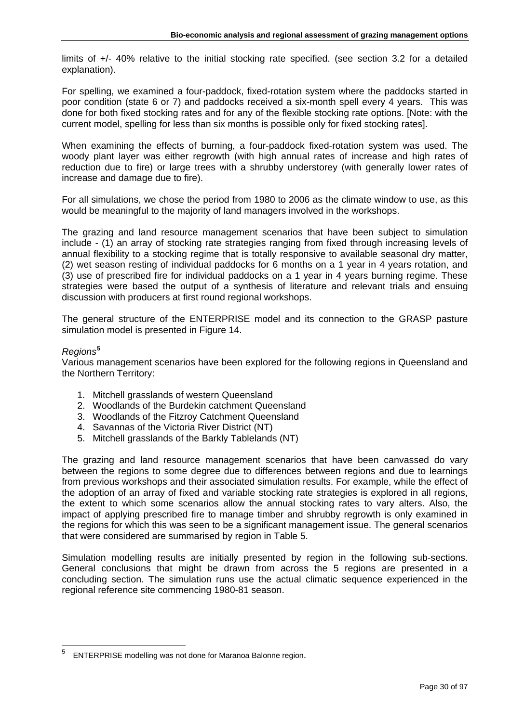limits of +/- 40% relative to the initial stocking rate specified. (see section 3.2 for a detailed explanation).

For spelling, we examined a four-paddock, fixed-rotation system where the paddocks started in poor condition (state 6 or 7) and paddocks received a six-month spell every 4 years. This was done for both fixed stocking rates and for any of the flexible stocking rate options. [Note: with the current model, spelling for less than six months is possible only for fixed stocking rates].

When examining the effects of burning, a four-paddock fixed-rotation system was used. The woody plant layer was either regrowth (with high annual rates of increase and high rates of reduction due to fire) or large trees with a shrubby understorey (with generally lower rates of increase and damage due to fire).

For all simulations, we chose the period from 1980 to 2006 as the climate window to use, as this would be meaningful to the majority of land managers involved in the workshops.

The grazing and land resource management scenarios that have been subject to simulation include - (1) an array of stocking rate strategies ranging from fixed through increasing levels of annual flexibility to a stocking regime that is totally responsive to available seasonal dry matter, (2) wet season resting of individual paddocks for 6 months on a 1 year in 4 years rotation, and (3) use of prescribed fire for individual paddocks on a 1 year in 4 years burning regime. These strategies were based the output of a synthesis of literature and relevant trials and ensuing discussion with producers at first round regional workshops.

The general structure of the ENTERPRISE model and its connection to the GRASP pasture simulation model is presented in Figure 14.

#### *Regions***[5](#page-29-0)**

Various management scenarios have been explored for the following regions in Queensland and the Northern Territory:

- 1. Mitchell grasslands of western Queensland
- 2. Woodlands of the Burdekin catchment Queensland
- 3. Woodlands of the Fitzroy Catchment Queensland
- 4. Savannas of the Victoria River District (NT)
- 5. Mitchell grasslands of the Barkly Tablelands (NT)

The grazing and land resource management scenarios that have been canvassed do vary between the regions to some degree due to differences between regions and due to learnings from previous workshops and their associated simulation results. For example, while the effect of the adoption of an array of fixed and variable stocking rate strategies is explored in all regions, the extent to which some scenarios allow the annual stocking rates to vary alters. Also, the impact of applying prescribed fire to manage timber and shrubby regrowth is only examined in the regions for which this was seen to be a significant management issue. The general scenarios that were considered are summarised by region in Table 5.

Simulation modelling results are initially presented by region in the following sub-sections. General conclusions that might be drawn from across the 5 regions are presented in a concluding section. The simulation runs use the actual climatic sequence experienced in the regional reference site commencing 1980-81 season.

<span id="page-29-0"></span><sup>5</sup> ENTERPRISE modelling was not done for Maranoa Balonne region.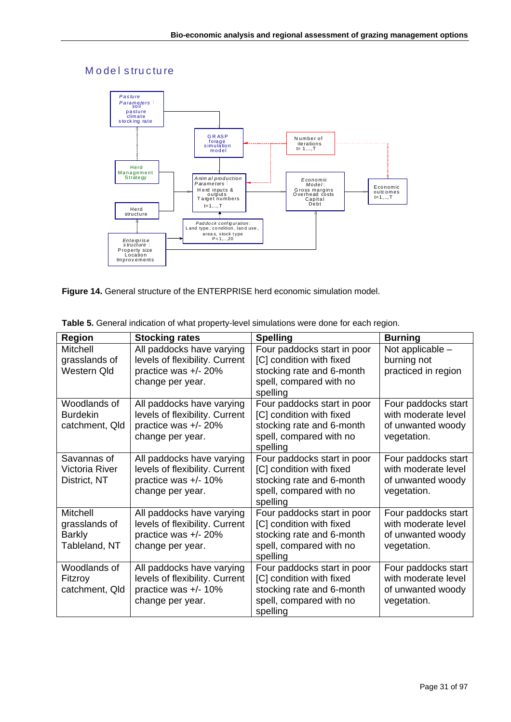# M odel structure



**Figure 14.** General structure of the ENTERPRISE herd economic simulation model.

| <b>Region</b>                                               | <b>Stocking rates</b>                                                                                   | <b>Spelling</b>                                                                                                             | <b>Burning</b>                                                                 |
|-------------------------------------------------------------|---------------------------------------------------------------------------------------------------------|-----------------------------------------------------------------------------------------------------------------------------|--------------------------------------------------------------------------------|
| Mitchell<br>grasslands of<br>Western Qld                    | All paddocks have varying<br>levels of flexibility. Current<br>practice was +/- 20%                     | Four paddocks start in poor<br>[C] condition with fixed<br>stocking rate and 6-month                                        | Not applicable -<br>burning not<br>practiced in region                         |
|                                                             | change per year.                                                                                        | spell, compared with no<br>spelling                                                                                         |                                                                                |
| Woodlands of<br><b>Burdekin</b><br>catchment, Qld           | All paddocks have varying<br>levels of flexibility. Current<br>practice was +/- 20%<br>change per year. | Four paddocks start in poor<br>[C] condition with fixed<br>stocking rate and 6-month<br>spell, compared with no<br>spelling | Four paddocks start<br>with moderate level<br>of unwanted woody<br>vegetation. |
| Savannas of<br>Victoria River<br>District, NT               | All paddocks have varying<br>levels of flexibility. Current<br>practice was +/- 10%<br>change per year. | Four paddocks start in poor<br>[C] condition with fixed<br>stocking rate and 6-month<br>spell, compared with no<br>spelling | Four paddocks start<br>with moderate level<br>of unwanted woody<br>vegetation. |
| Mitchell<br>grasslands of<br><b>Barkly</b><br>Tableland, NT | All paddocks have varying<br>levels of flexibility. Current<br>practice was +/- 20%<br>change per year. | Four paddocks start in poor<br>[C] condition with fixed<br>stocking rate and 6-month<br>spell, compared with no<br>spelling | Four paddocks start<br>with moderate level<br>of unwanted woody<br>vegetation. |
| Woodlands of<br>Fitzroy<br>catchment, Qld                   | All paddocks have varying<br>levels of flexibility. Current<br>practice was +/- 10%<br>change per year. | Four paddocks start in poor<br>[C] condition with fixed<br>stocking rate and 6-month<br>spell, compared with no<br>spelling | Four paddocks start<br>with moderate level<br>of unwanted woody<br>vegetation. |

**Table 5.** General indication of what property-level simulations were done for each region.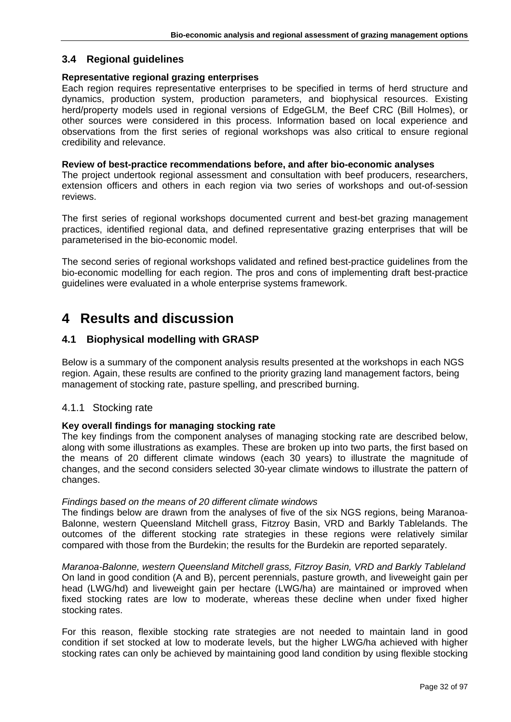# <span id="page-31-0"></span>**3.4 Regional guidelines**

#### **Representative regional grazing enterprises**

Each region requires representative enterprises to be specified in terms of herd structure and dynamics, production system, production parameters, and biophysical resources. Existing herd/property models used in regional versions of EdgeGLM, the Beef CRC (Bill Holmes), or other sources were considered in this process. Information based on local experience and observations from the first series of regional workshops was also critical to ensure regional credibility and relevance.

#### **Review of best-practice recommendations before, and after bio-economic analyses**

The project undertook regional assessment and consultation with beef producers, researchers, extension officers and others in each region via two series of workshops and out-of-session reviews.

The first series of regional workshops documented current and best-bet grazing management practices, identified regional data, and defined representative grazing enterprises that will be parameterised in the bio-economic model.

The second series of regional workshops validated and refined best-practice guidelines from the bio-economic modelling for each region. The pros and cons of implementing draft best-practice guidelines were evaluated in a whole enterprise systems framework.

# <span id="page-31-1"></span>**4 Results and discussion**

# <span id="page-31-2"></span>**4.1 Biophysical modelling with GRASP**

Below is a summary of the component analysis results presented at the workshops in each NGS region. Again, these results are confined to the priority grazing land management factors, being management of stocking rate, pasture spelling, and prescribed burning.

## <span id="page-31-3"></span>4.1.1 Stocking rate

## **Key overall findings for managing stocking rate**

The key findings from the component analyses of managing stocking rate are described below, along with some illustrations as examples. These are broken up into two parts, the first based on the means of 20 different climate windows (each 30 years) to illustrate the magnitude of changes, and the second considers selected 30-year climate windows to illustrate the pattern of changes.

#### *Findings based on the means of 20 different climate windows*

The findings below are drawn from the analyses of five of the six NGS regions, being Maranoa-Balonne, western Queensland Mitchell grass, Fitzroy Basin, VRD and Barkly Tablelands. The outcomes of the different stocking rate strategies in these regions were relatively similar compared with those from the Burdekin; the results for the Burdekin are reported separately.

*Maranoa-Balonne, western Queensland Mitchell grass, Fitzroy Basin, VRD and Barkly Tableland*  On land in good condition (A and B), percent perennials, pasture growth, and liveweight gain per head (LWG/hd) and liveweight gain per hectare (LWG/ha) are maintained or improved when fixed stocking rates are low to moderate, whereas these decline when under fixed higher stocking rates.

For this reason, flexible stocking rate strategies are not needed to maintain land in good condition if set stocked at low to moderate levels, but the higher LWG/ha achieved with higher stocking rates can only be achieved by maintaining good land condition by using flexible stocking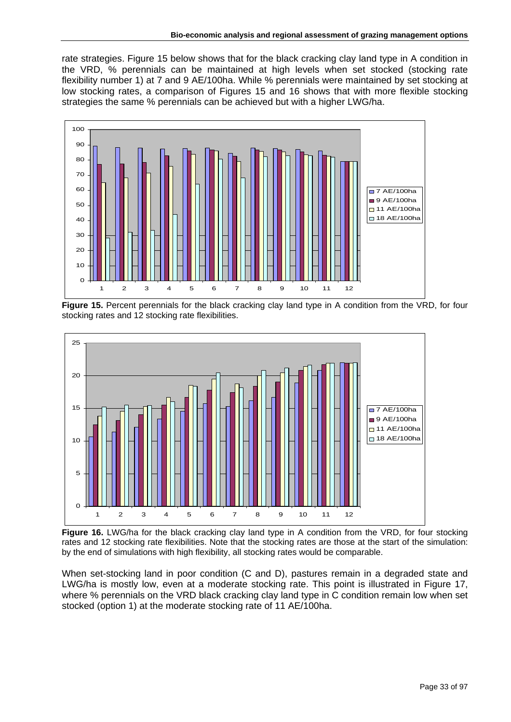rate strategies. Figure 15 below shows that for the black cracking clay land type in A condition in the VRD, % perennials can be maintained at high levels when set stocked (stocking rate flexibility number 1) at 7 and 9 AE/100ha. While % perennials were maintained by set stocking at low stocking rates, a comparison of Figures 15 and 16 shows that with more flexible stocking strategies the same % perennials can be achieved but with a higher LWG/ha.



**Figure 15.** Percent perennials for the black cracking clay land type in A condition from the VRD, for four stocking rates and 12 stocking rate flexibilities.



Figure 16. LWG/ha for the black cracking clay land type in A condition from the VRD, for four stocking rates and 12 stocking rate flexibilities. Note that the stocking rates are those at the start of the simulation: by the end of simulations with high flexibility, all stocking rates would be comparable.

When set-stocking land in poor condition (C and D), pastures remain in a degraded state and LWG/ha is mostly low, even at a moderate stocking rate. This point is illustrated in Figure 17, where % perennials on the VRD black cracking clay land type in C condition remain low when set stocked (option 1) at the moderate stocking rate of 11 AE/100ha.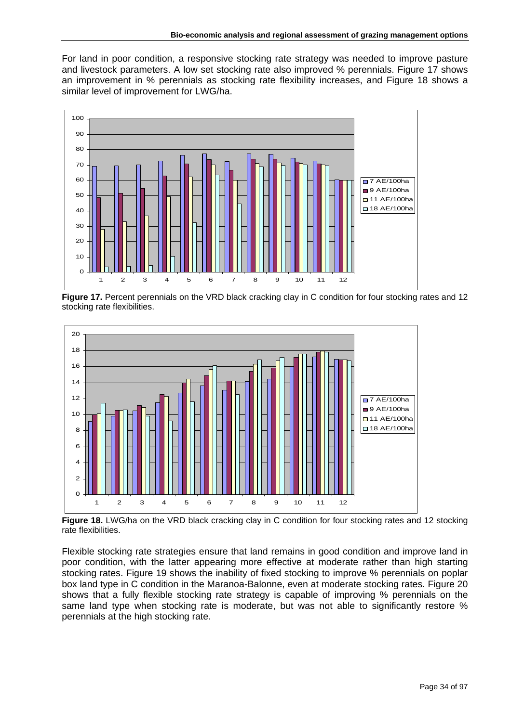For land in poor condition, a responsive stocking rate strategy was needed to improve pasture and livestock parameters. A low set stocking rate also improved % perennials. Figure 17 shows an improvement in % perennials as stocking rate flexibility increases, and Figure 18 shows a similar level of improvement for LWG/ha.



**Figure 17.** Percent perennials on the VRD black cracking clay in C condition for four stocking rates and 12 stocking rate flexibilities.



Figure 18. LWG/ha on the VRD black cracking clay in C condition for four stocking rates and 12 stocking rate flexibilities.

Flexible stocking rate strategies ensure that land remains in good condition and improve land in poor condition, with the latter appearing more effective at moderate rather than high starting stocking rates. Figure 19 shows the inability of fixed stocking to improve % perennials on poplar box land type in C condition in the Maranoa-Balonne, even at moderate stocking rates. Figure 20 shows that a fully flexible stocking rate strategy is capable of improving % perennials on the same land type when stocking rate is moderate, but was not able to significantly restore % perennials at the high stocking rate.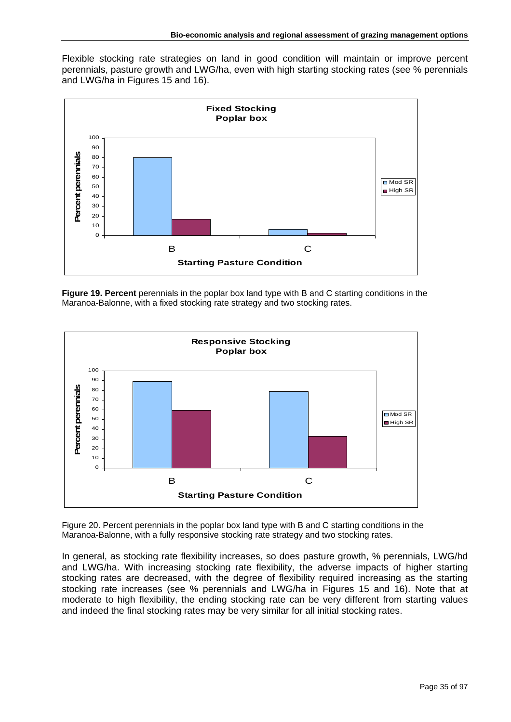Flexible stocking rate strategies on land in good condition will maintain or improve percent perennials, pasture growth and LWG/ha, even with high starting stocking rates (see % perennials and LWG/ha in Figures 15 and 16).



**Figure 19. Percent** perennials in the poplar box land type with B and C starting conditions in the Maranoa-Balonne, with a fixed stocking rate strategy and two stocking rates.



Figure 20. Percent perennials in the poplar box land type with B and C starting conditions in the Maranoa-Balonne, with a fully responsive stocking rate strategy and two stocking rates.

In general, as stocking rate flexibility increases, so does pasture growth, % perennials, LWG/hd and LWG/ha. With increasing stocking rate flexibility, the adverse impacts of higher starting stocking rates are decreased, with the degree of flexibility required increasing as the starting stocking rate increases (see % perennials and LWG/ha in Figures 15 and 16). Note that at moderate to high flexibility, the ending stocking rate can be very different from starting values and indeed the final stocking rates may be very similar for all initial stocking rates.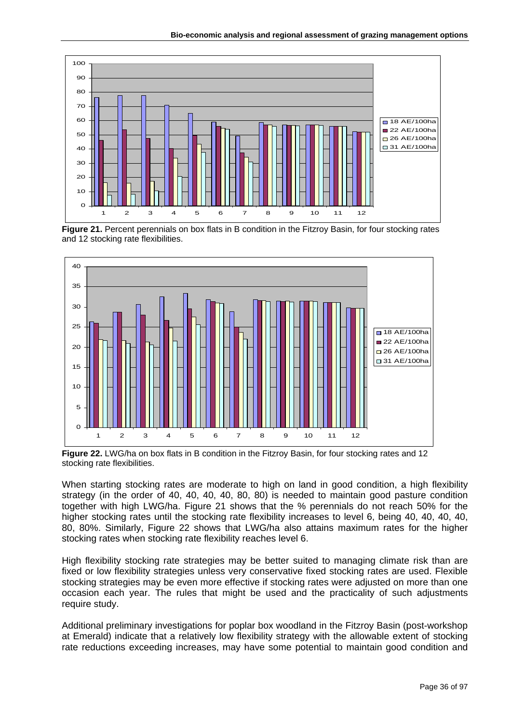

Figure 21. Percent perennials on box flats in B condition in the Fitzroy Basin, for four stocking rates and 12 stocking rate flexibilities.



**Figure 22.** LWG/ha on box flats in B condition in the Fitzroy Basin, for four stocking rates and 12 stocking rate flexibilities.

When starting stocking rates are moderate to high on land in good condition, a high flexibility strategy (in the order of 40, 40, 40, 40, 80, 80) is needed to maintain good pasture condition together with high LWG/ha. Figure 21 shows that the % perennials do not reach 50% for the higher stocking rates until the stocking rate flexibility increases to level 6, being 40, 40, 40, 40, 80, 80%. Similarly, Figure 22 shows that LWG/ha also attains maximum rates for the higher stocking rates when stocking rate flexibility reaches level 6.

High flexibility stocking rate strategies may be better suited to managing climate risk than are fixed or low flexibility strategies unless very conservative fixed stocking rates are used. Flexible stocking strategies may be even more effective if stocking rates were adjusted on more than one occasion each year. The rules that might be used and the practicality of such adjustments require study.

Additional preliminary investigations for poplar box woodland in the Fitzroy Basin (post-workshop at Emerald) indicate that a relatively low flexibility strategy with the allowable extent of stocking rate reductions exceeding increases, may have some potential to maintain good condition and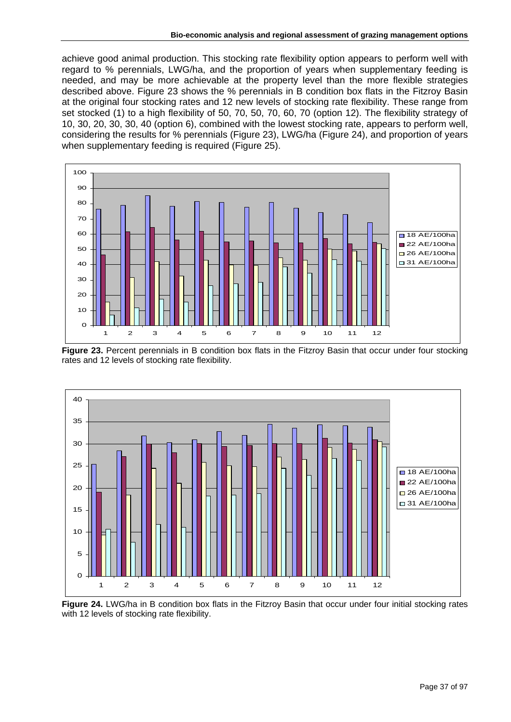achieve good animal production. This stocking rate flexibility option appears to perform well with regard to % perennials, LWG/ha, and the proportion of years when supplementary feeding is needed, and may be more achievable at the property level than the more flexible strategies described above. Figure 23 shows the % perennials in B condition box flats in the Fitzroy Basin at the original four stocking rates and 12 new levels of stocking rate flexibility. These range from set stocked (1) to a high flexibility of 50, 70, 50, 70, 60, 70 (option 12). The flexibility strategy of 10, 30, 20, 30, 30, 40 (option 6), combined with the lowest stocking rate, appears to perform well, considering the results for % perennials (Figure 23), LWG/ha (Figure 24), and proportion of years when supplementary feeding is required (Figure 25).



Figure 23. Percent perennials in B condition box flats in the Fitzroy Basin that occur under four stocking rates and 12 levels of stocking rate flexibility.



**Figure 24.** LWG/ha in B condition box flats in the Fitzroy Basin that occur under four initial stocking rates with 12 levels of stocking rate flexibility.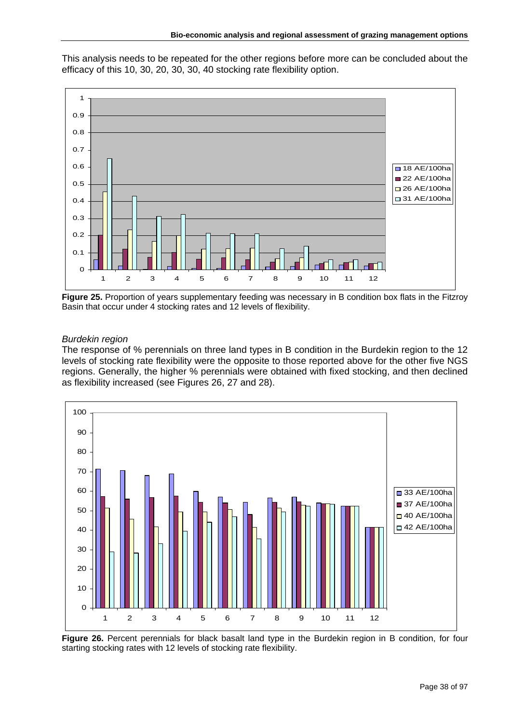This analysis needs to be repeated for the other regions before more can be concluded about the efficacy of this 10, 30, 20, 30, 30, 40 stocking rate flexibility option.



**Figure 25.** Proportion of years supplementary feeding was necessary in B condition box flats in the Fitzroy Basin that occur under 4 stocking rates and 12 levels of flexibility.

# *Burdekin region*

The response of % perennials on three land types in B condition in the Burdekin region to the 12 levels of stocking rate flexibility were the opposite to those reported above for the other five NGS regions. Generally, the higher % perennials were obtained with fixed stocking, and then declined as flexibility increased (see Figures 26, 27 and 28).



Figure 26. Percent perennials for black basalt land type in the Burdekin region in B condition, for four starting stocking rates with 12 levels of stocking rate flexibility.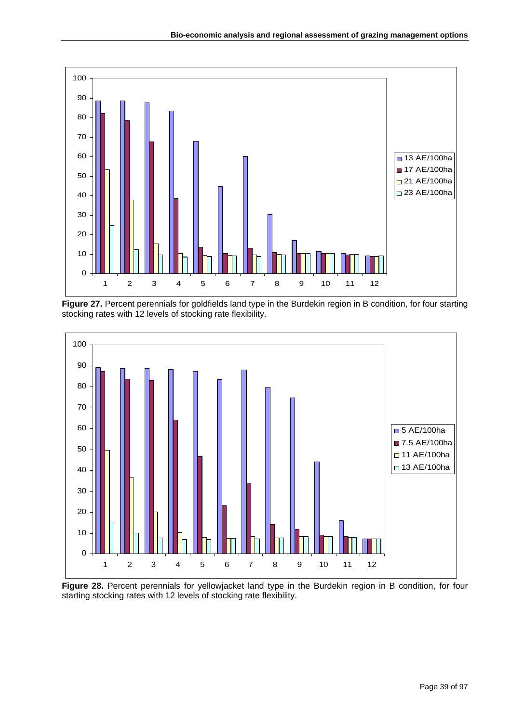

Figure 27. Percent perennials for goldfields land type in the Burdekin region in B condition, for four starting stocking rates with 12 levels of stocking rate flexibility.



Figure 28. Percent perennials for yellowjacket land type in the Burdekin region in B condition, for four starting stocking rates with 12 levels of stocking rate flexibility.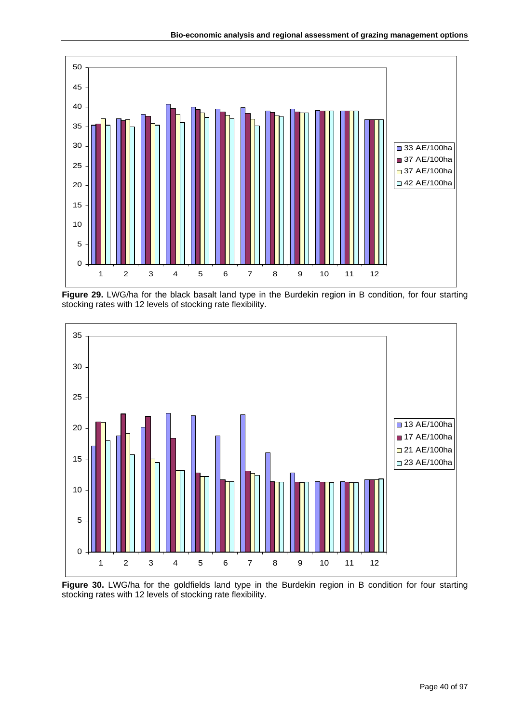

Figure 29. LWG/ha for the black basalt land type in the Burdekin region in B condition, for four starting stocking rates with 12 levels of stocking rate flexibility.



Figure 30. LWG/ha for the goldfields land type in the Burdekin region in B condition for four starting stocking rates with 12 levels of stocking rate flexibility.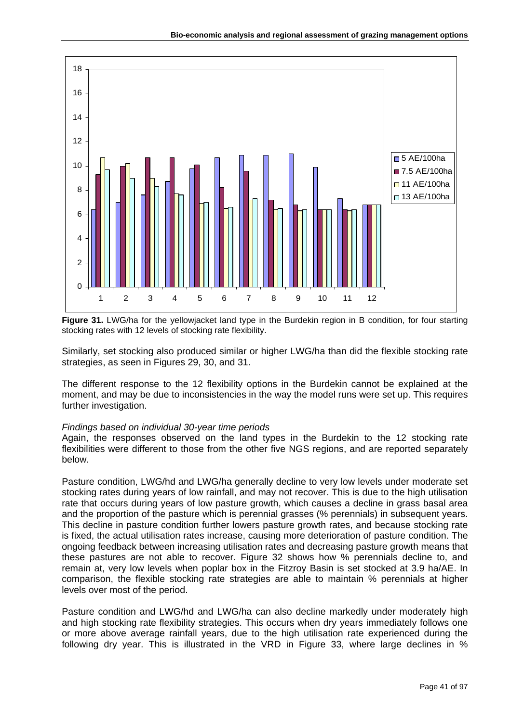

Figure 31. LWG/ha for the yellowjacket land type in the Burdekin region in B condition, for four starting stocking rates with 12 levels of stocking rate flexibility.

Similarly, set stocking also produced similar or higher LWG/ha than did the flexible stocking rate strategies, as seen in Figures 29, 30, and 31.

The different response to the 12 flexibility options in the Burdekin cannot be explained at the moment, and may be due to inconsistencies in the way the model runs were set up. This requires further investigation.

### *Findings based on individual 30-year time periods*

Again, the responses observed on the land types in the Burdekin to the 12 stocking rate flexibilities were different to those from the other five NGS regions, and are reported separately below.

Pasture condition, LWG/hd and LWG/ha generally decline to very low levels under moderate set stocking rates during years of low rainfall, and may not recover. This is due to the high utilisation rate that occurs during years of low pasture growth, which causes a decline in grass basal area and the proportion of the pasture which is perennial grasses (% perennials) in subsequent years. This decline in pasture condition further lowers pasture growth rates, and because stocking rate is fixed, the actual utilisation rates increase, causing more deterioration of pasture condition. The ongoing feedback between increasing utilisation rates and decreasing pasture growth means that these pastures are not able to recover. Figure 32 shows how % perennials decline to, and remain at, very low levels when poplar box in the Fitzroy Basin is set stocked at 3.9 ha/AE. In comparison, the flexible stocking rate strategies are able to maintain % perennials at higher levels over most of the period.

Pasture condition and LWG/hd and LWG/ha can also decline markedly under moderately high and high stocking rate flexibility strategies. This occurs when dry years immediately follows one or more above average rainfall years, due to the high utilisation rate experienced during the following dry year. This is illustrated in the VRD in Figure 33, where large declines in %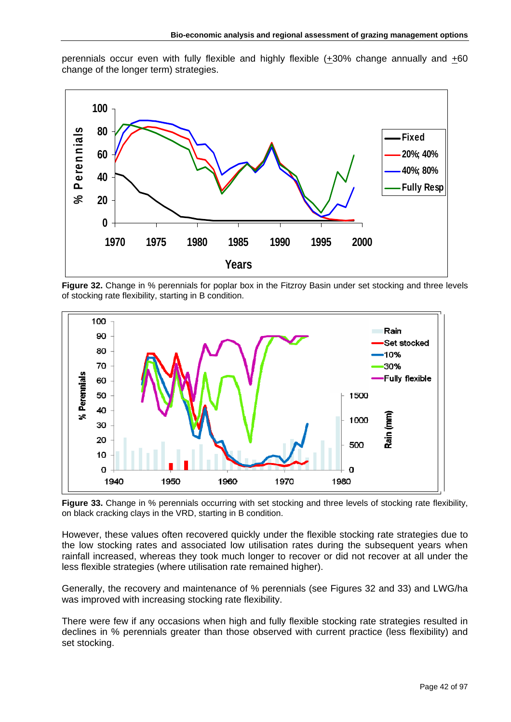perennials occur even with fully flexible and highly flexible  $(+30\%$  change annually and  $+60$ change of the longer term) strategies.



**Figure 32.** Change in % perennials for poplar box in the Fitzroy Basin under set stocking and three levels of stocking rate flexibility, starting in B condition.



**Figure 33.** Change in % perennials occurring with set stocking and three levels of stocking rate flexibility, on black cracking clays in the VRD, starting in B condition.

However, these values often recovered quickly under the flexible stocking rate strategies due to the low stocking rates and associated low utilisation rates during the subsequent years when rainfall increased, whereas they took much longer to recover or did not recover at all under the less flexible strategies (where utilisation rate remained higher).

Generally, the recovery and maintenance of % perennials (see Figures 32 and 33) and LWG/ha was improved with increasing stocking rate flexibility.

There were few if any occasions when high and fully flexible stocking rate strategies resulted in declines in % perennials greater than those observed with current practice (less flexibility) and set stocking.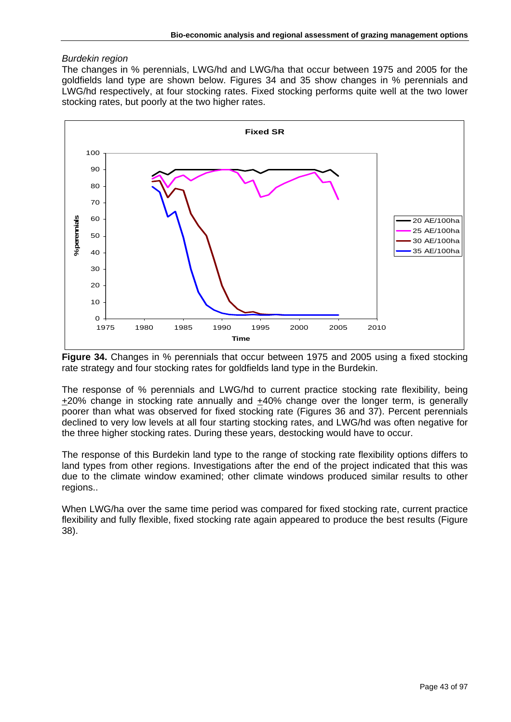## *Burdekin region*

The changes in % perennials, LWG/hd and LWG/ha that occur between 1975 and 2005 for the goldfields land type are shown below. Figures 34 and 35 show changes in % perennials and LWG/hd respectively, at four stocking rates. Fixed stocking performs quite well at the two lower stocking rates, but poorly at the two higher rates.



**Figure 34.** Changes in % perennials that occur between 1975 and 2005 using a fixed stocking rate strategy and four stocking rates for goldfields land type in the Burdekin.

The response of % perennials and LWG/hd to current practice stocking rate flexibility, being +20% change in stocking rate annually and +40% change over the longer term, is generally poorer than what was observed for fixed stocking rate (Figures 36 and 37). Percent perennials declined to very low levels at all four starting stocking rates, and LWG/hd was often negative for the three higher stocking rates. During these years, destocking would have to occur.

The response of this Burdekin land type to the range of stocking rate flexibility options differs to land types from other regions. Investigations after the end of the project indicated that this was due to the climate window examined; other climate windows produced similar results to other regions..

When LWG/ha over the same time period was compared for fixed stocking rate, current practice flexibility and fully flexible, fixed stocking rate again appeared to produce the best results (Figure 38).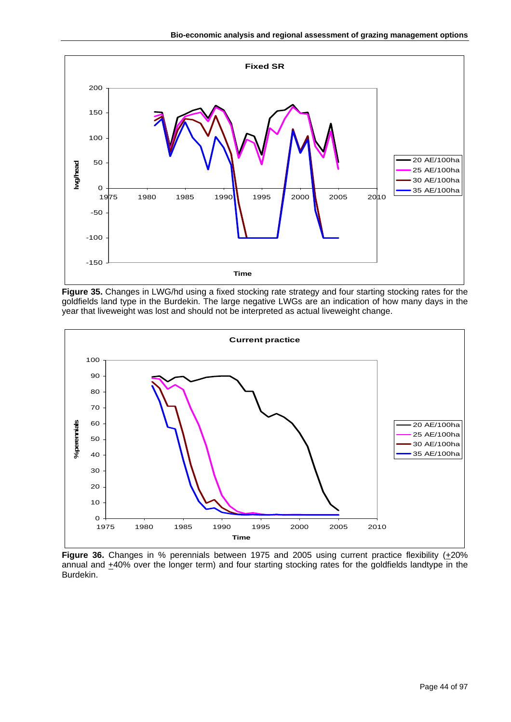

**Figure 35.** Changes in LWG/hd using a fixed stocking rate strategy and four starting stocking rates for the goldfields land type in the Burdekin. The large negative LWGs are an indication of how many days in the year that liveweight was lost and should not be interpreted as actual liveweight change.



**Figure 36.** Changes in % perennials between 1975 and 2005 using current practice flexibility ( $\pm$ 20% annual and +40% over the longer term) and four starting stocking rates for the goldfields landtype in the Burdekin.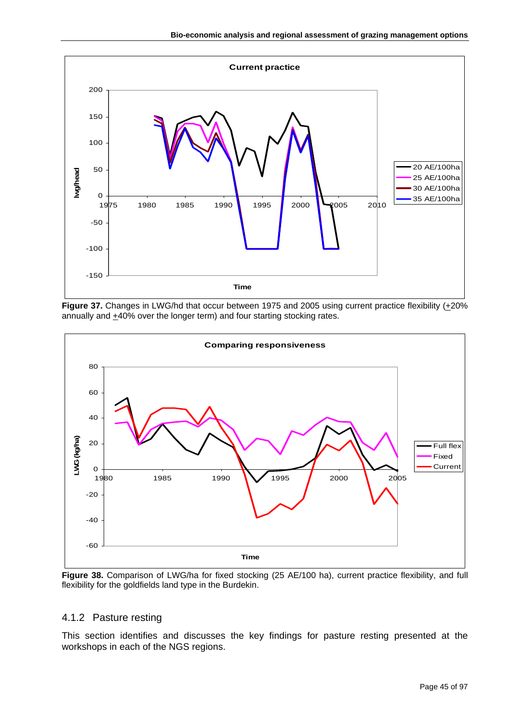

Figure 37. Changes in LWG/hd that occur between 1975 and 2005 using current practice flexibility (+20%) annually and  $\pm$ 40% over the longer term) and four starting stocking rates.



Figure 38. Comparison of LWG/ha for fixed stocking (25 AE/100 ha), current practice flexibility, and full flexibility for the goldfields land type in the Burdekin.

# 4.1.2 Pasture resting

This section identifies and discusses the key findings for pasture resting presented at the workshops in each of the NGS regions.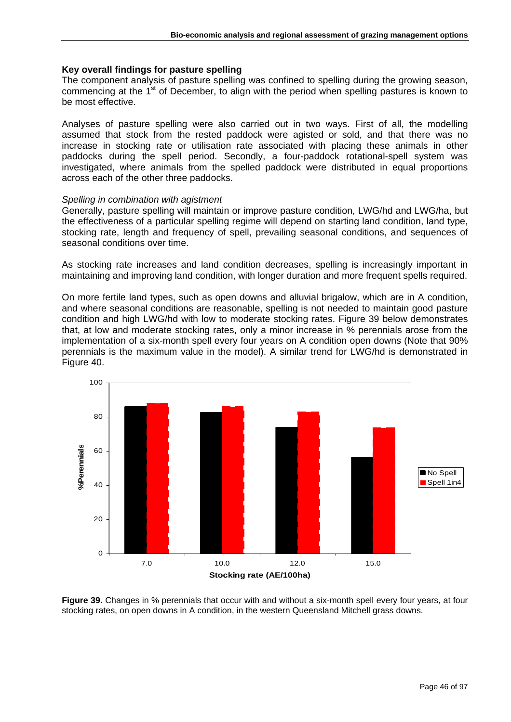### **Key overall findings for pasture spelling**

The component analysis of pasture spelling was confined to spelling during the growing season, commencing at the 1<sup>st</sup> of December, to align with the period when spelling pastures is known to be most effective.

Analyses of pasture spelling were also carried out in two ways. First of all, the modelling assumed that stock from the rested paddock were agisted or sold, and that there was no increase in stocking rate or utilisation rate associated with placing these animals in other paddocks during the spell period. Secondly, a four-paddock rotational-spell system was investigated, where animals from the spelled paddock were distributed in equal proportions across each of the other three paddocks.

## *Spelling in combination with agistment*

Generally, pasture spelling will maintain or improve pasture condition, LWG/hd and LWG/ha, but the effectiveness of a particular spelling regime will depend on starting land condition, land type, stocking rate, length and frequency of spell, prevailing seasonal conditions, and sequences of seasonal conditions over time.

As stocking rate increases and land condition decreases, spelling is increasingly important in maintaining and improving land condition, with longer duration and more frequent spells required.

On more fertile land types, such as open downs and alluvial brigalow, which are in A condition, and where seasonal conditions are reasonable, spelling is not needed to maintain good pasture condition and high LWG/hd with low to moderate stocking rates. Figure 39 below demonstrates that, at low and moderate stocking rates, only a minor increase in % perennials arose from the implementation of a six-month spell every four years on A condition open downs (Note that 90% perennials is the maximum value in the model). A similar trend for LWG/hd is demonstrated in Figure 40.



**Figure 39.** Changes in % perennials that occur with and without a six-month spell every four years, at four stocking rates, on open downs in A condition, in the western Queensland Mitchell grass downs.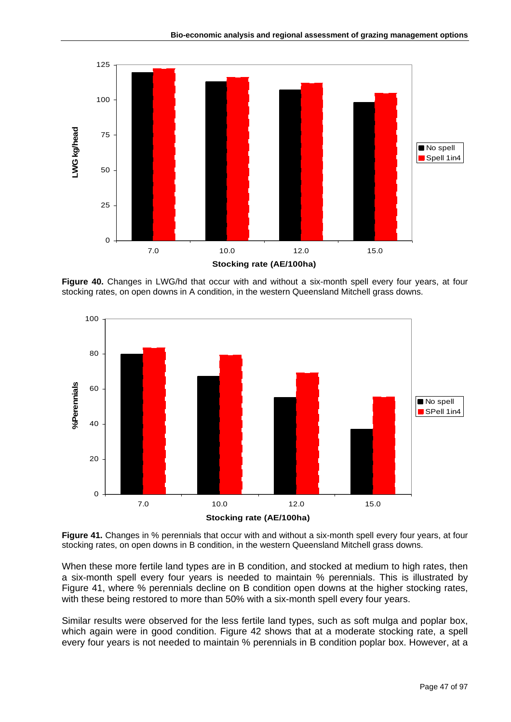

**Figure 40.** Changes in LWG/hd that occur with and without a six-month spell every four years, at four stocking rates, on open downs in A condition, in the western Queensland Mitchell grass downs.



**Figure 41.** Changes in % perennials that occur with and without a six-month spell every four years, at four stocking rates, on open downs in B condition, in the western Queensland Mitchell grass downs.

When these more fertile land types are in B condition, and stocked at medium to high rates, then a six-month spell every four years is needed to maintain % perennials. This is illustrated by Figure 41, where % perennials decline on B condition open downs at the higher stocking rates, with these being restored to more than 50% with a six-month spell every four years.

Similar results were observed for the less fertile land types, such as soft mulga and poplar box, which again were in good condition. Figure 42 shows that at a moderate stocking rate, a spell every four years is not needed to maintain % perennials in B condition poplar box. However, at a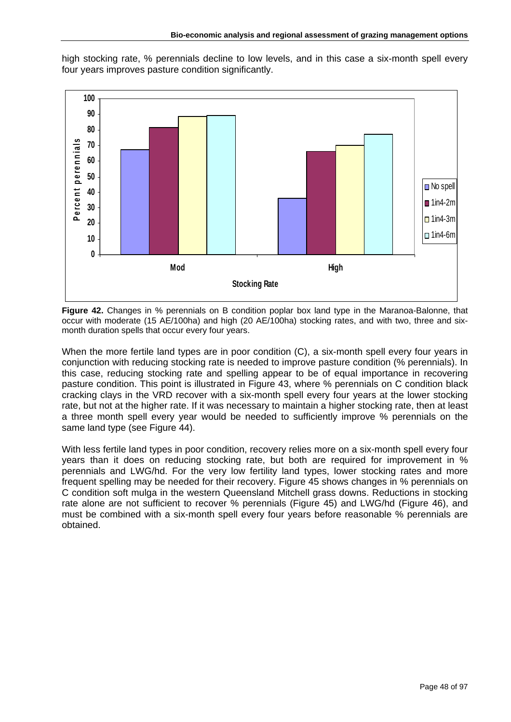high stocking rate, % perennials decline to low levels, and in this case a six-month spell every four years improves pasture condition significantly.



**Figure 42.** Changes in % perennials on B condition poplar box land type in the Maranoa-Balonne, that occur with moderate (15 AE/100ha) and high (20 AE/100ha) stocking rates, and with two, three and sixmonth duration spells that occur every four years.

When the more fertile land types are in poor condition (C), a six-month spell every four years in conjunction with reducing stocking rate is needed to improve pasture condition (% perennials). In this case, reducing stocking rate and spelling appear to be of equal importance in recovering pasture condition. This point is illustrated in Figure 43, where % perennials on C condition black cracking clays in the VRD recover with a six-month spell every four years at the lower stocking rate, but not at the higher rate. If it was necessary to maintain a higher stocking rate, then at least a three month spell every year would be needed to sufficiently improve % perennials on the same land type (see Figure 44).

With less fertile land types in poor condition, recovery relies more on a six-month spell every four years than it does on reducing stocking rate, but both are required for improvement in % perennials and LWG/hd. For the very low fertility land types, lower stocking rates and more frequent spelling may be needed for their recovery. Figure 45 shows changes in % perennials on C condition soft mulga in the western Queensland Mitchell grass downs. Reductions in stocking rate alone are not sufficient to recover % perennials (Figure 45) and LWG/hd (Figure 46), and must be combined with a six-month spell every four years before reasonable % perennials are obtained.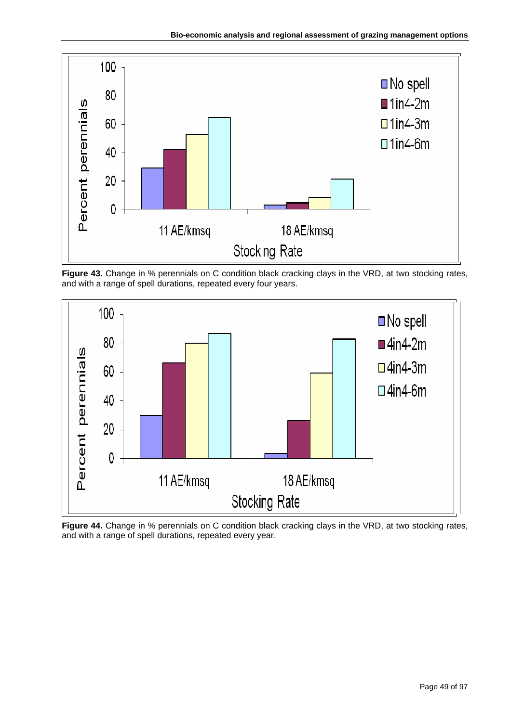

**Figure 43.** Change in % perennials on C condition black cracking clays in the VRD, at two stocking rates, and with a range of spell durations, repeated every four years.



**Figure 44.** Change in % perennials on C condition black cracking clays in the VRD, at two stocking rates, and with a range of spell durations, repeated every year.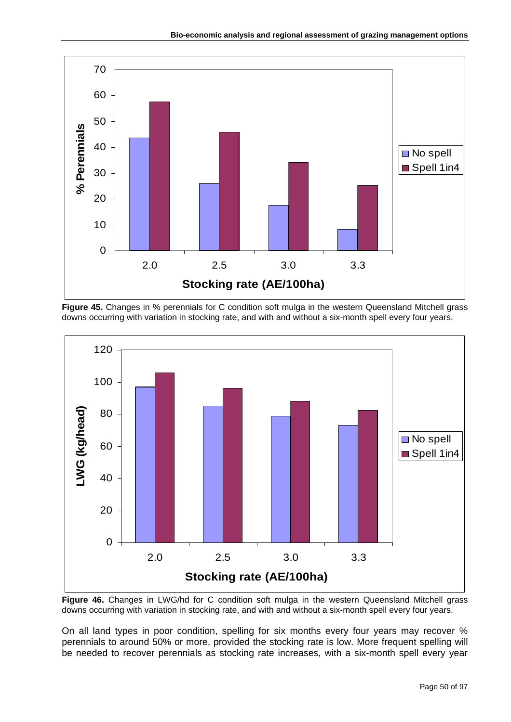





Figure 46. Changes in LWG/hd for C condition soft mulga in the western Queensland Mitchell grass downs occurring with variation in stocking rate, and with and without a six-month spell every four years.

On all land types in poor condition, spelling for six months every four years may recover % perennials to around 50% or more, provided the stocking rate is low. More frequent spelling will be needed to recover perennials as stocking rate increases, with a six-month spell every year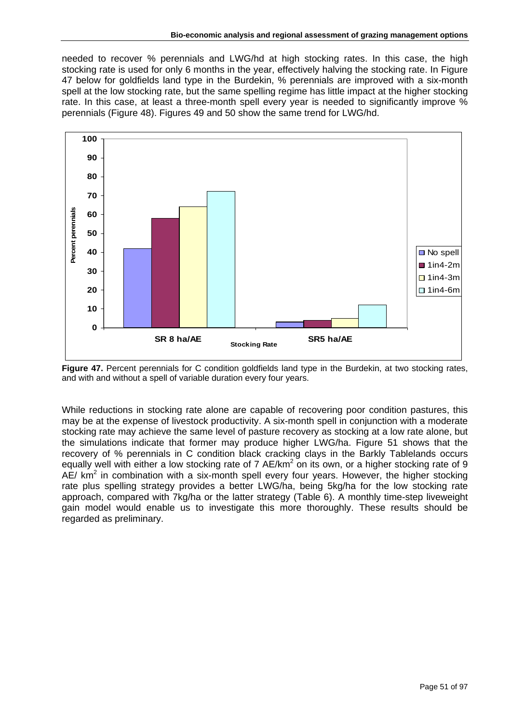needed to recover % perennials and LWG/hd at high stocking rates. In this case, the high stocking rate is used for only 6 months in the year, effectively halving the stocking rate. In Figure 47 below for goldfields land type in the Burdekin, % perennials are improved with a six-month spell at the low stocking rate, but the same spelling regime has little impact at the higher stocking rate. In this case, at least a three-month spell every year is needed to significantly improve % perennials (Figure 48). Figures 49 and 50 show the same trend for LWG/hd.



**Figure 47.** Percent perennials for C condition goldfields land type in the Burdekin, at two stocking rates, and with and without a spell of variable duration every four years.

While reductions in stocking rate alone are capable of recovering poor condition pastures, this may be at the expense of livestock productivity. A six-month spell in conjunction with a moderate stocking rate may achieve the same level of pasture recovery as stocking at a low rate alone, but the simulations indicate that former may produce higher LWG/ha. Figure 51 shows that the recovery of % perennials in C condition black cracking clays in the Barkly Tablelands occurs equally well with either a low stocking rate of 7 AE/km<sup>2</sup> on its own, or a higher stocking rate of 9 AE/  $km<sup>2</sup>$  in combination with a six-month spell every four years. However, the higher stocking rate plus spelling strategy provides a better LWG/ha, being 5kg/ha for the low stocking rate approach, compared with 7kg/ha or the latter strategy (Table 6). A monthly time-step liveweight gain model would enable us to investigate this more thoroughly. These results should be regarded as preliminary.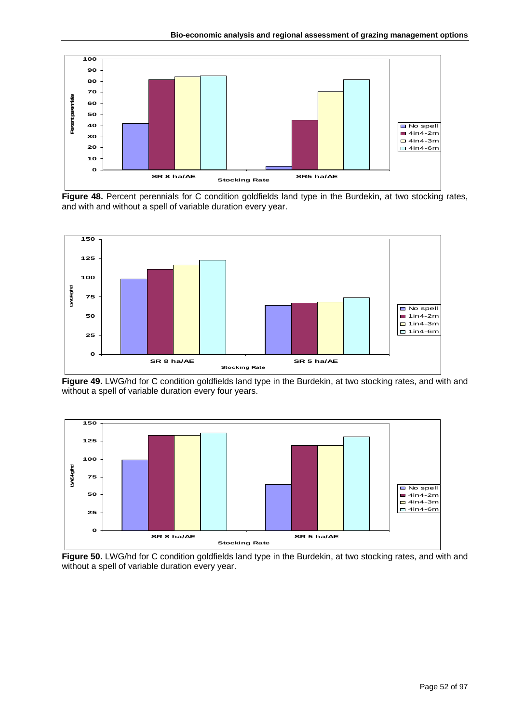

Figure 48. Percent perennials for C condition goldfields land type in the Burdekin, at two stocking rates, and with and without a spell of variable duration every year.



**Figure 49.** LWG/hd for C condition goldfields land type in the Burdekin, at two stocking rates, and with and without a spell of variable duration every four years.



**Figure 50.** LWG/hd for C condition goldfields land type in the Burdekin, at two stocking rates, and with and without a spell of variable duration every year.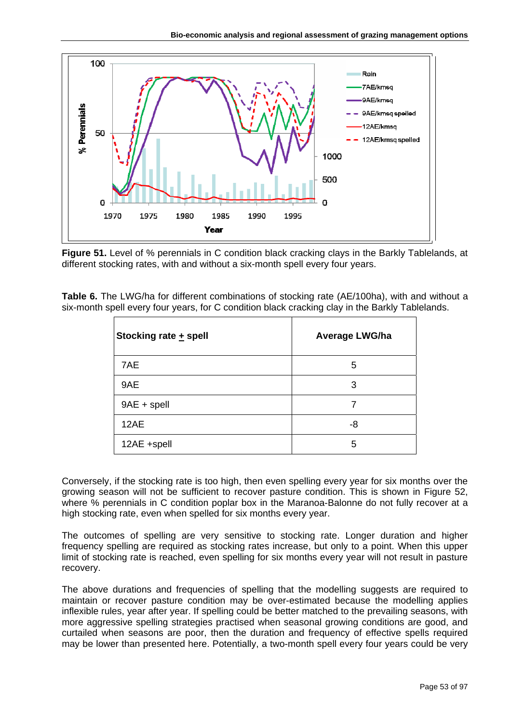

**Figure 51.** Level of % perennials in C condition black cracking clays in the Barkly Tablelands, at different stocking rates, with and without a six-month spell every four years.

| <b>Table 6.</b> The LWG/ha for different combinations of stocking rate (AE/100ha), with and without a |  |
|-------------------------------------------------------------------------------------------------------|--|
| six-month spell every four years, for C condition black cracking clay in the Barkly Tablelands.       |  |

| Stocking rate + spell | <b>Average LWG/ha</b> |
|-----------------------|-----------------------|
| 7AE                   | 5                     |
| 9AE                   | 3                     |
| $9AE + spell$         | 7                     |
| 12AE                  | -8                    |
| 12AE +spell           | 5                     |

Conversely, if the stocking rate is too high, then even spelling every year for six months over the growing season will not be sufficient to recover pasture condition. This is shown in Figure 52, where % perennials in C condition poplar box in the Maranoa-Balonne do not fully recover at a high stocking rate, even when spelled for six months every year.

The outcomes of spelling are very sensitive to stocking rate. Longer duration and higher frequency spelling are required as stocking rates increase, but only to a point. When this upper limit of stocking rate is reached, even spelling for six months every year will not result in pasture recovery.

The above durations and frequencies of spelling that the modelling suggests are required to maintain or recover pasture condition may be over-estimated because the modelling applies inflexible rules, year after year. If spelling could be better matched to the prevailing seasons, with more aggressive spelling strategies practised when seasonal growing conditions are good, and curtailed when seasons are poor, then the duration and frequency of effective spells required may be lower than presented here. Potentially, a two-month spell every four years could be very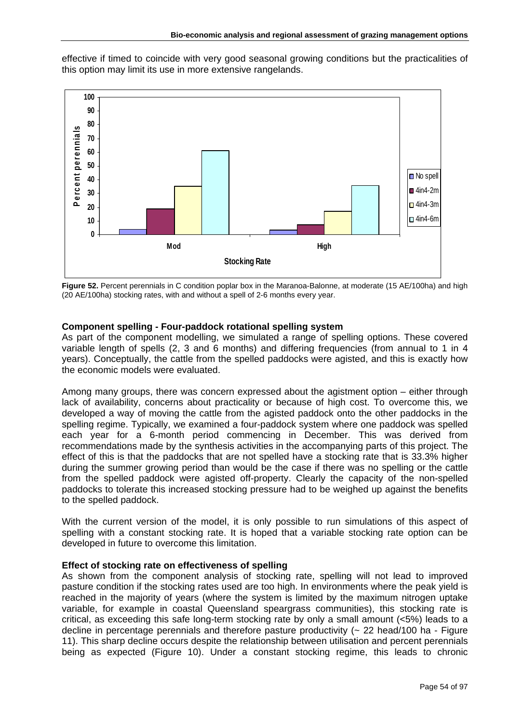effective if timed to coincide with very good seasonal growing conditions but the practicalities of this option may limit its use in more extensive rangelands.



**Figure 52.** Percent perennials in C condition poplar box in the Maranoa-Balonne, at moderate (15 AE/100ha) and high (20 AE/100ha) stocking rates, with and without a spell of 2-6 months every year.

## **Component spelling - Four-paddock rotational spelling system**

As part of the component modelling, we simulated a range of spelling options. These covered variable length of spells (2, 3 and 6 months) and differing frequencies (from annual to 1 in 4 years). Conceptually, the cattle from the spelled paddocks were agisted, and this is exactly how the economic models were evaluated.

Among many groups, there was concern expressed about the agistment option – either through lack of availability, concerns about practicality or because of high cost. To overcome this, we developed a way of moving the cattle from the agisted paddock onto the other paddocks in the spelling regime. Typically, we examined a four-paddock system where one paddock was spelled each year for a 6-month period commencing in December. This was derived from recommendations made by the synthesis activities in the accompanying parts of this project. The effect of this is that the paddocks that are not spelled have a stocking rate that is 33.3% higher during the summer growing period than would be the case if there was no spelling or the cattle from the spelled paddock were agisted off-property. Clearly the capacity of the non-spelled paddocks to tolerate this increased stocking pressure had to be weighed up against the benefits to the spelled paddock.

With the current version of the model, it is only possible to run simulations of this aspect of spelling with a constant stocking rate. It is hoped that a variable stocking rate option can be developed in future to overcome this limitation.

### **Effect of stocking rate on effectiveness of spelling**

As shown from the component analysis of stocking rate, spelling will not lead to improved pasture condition if the stocking rates used are too high. In environments where the peak yield is reached in the majority of years (where the system is limited by the maximum nitrogen uptake variable, for example in coastal Queensland speargrass communities), this stocking rate is critical, as exceeding this safe long-term stocking rate by only a small amount (<5%) leads to a decline in percentage perennials and therefore pasture productivity (~ 22 head/100 ha - Figure 11). This sharp decline occurs despite the relationship between utilisation and percent perennials being as expected (Figure 10). Under a constant stocking regime, this leads to chronic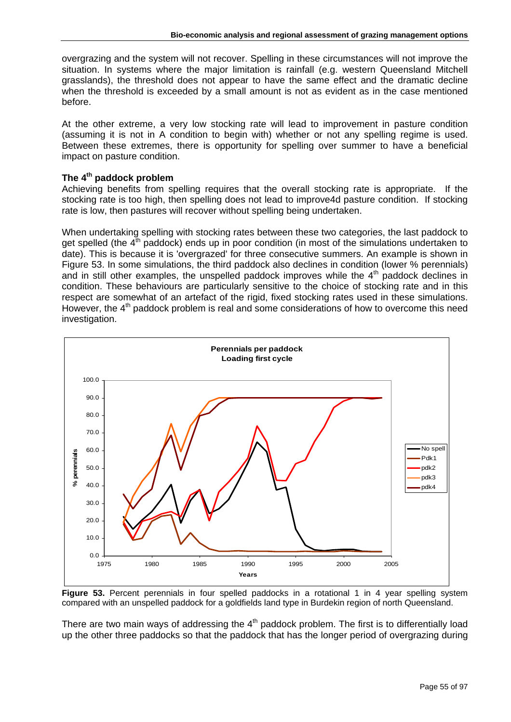overgrazing and the system will not recover. Spelling in these circumstances will not improve the situation. In systems where the major limitation is rainfall (e.g. western Queensland Mitchell grasslands), the threshold does not appear to have the same effect and the dramatic decline when the threshold is exceeded by a small amount is not as evident as in the case mentioned before.

At the other extreme, a very low stocking rate will lead to improvement in pasture condition (assuming it is not in A condition to begin with) whether or not any spelling regime is used. Between these extremes, there is opportunity for spelling over summer to have a beneficial impact on pasture condition.

# **The 4th paddock problem**

Achieving benefits from spelling requires that the overall stocking rate is appropriate. If the stocking rate is too high, then spelling does not lead to improve4d pasture condition. If stocking rate is low, then pastures will recover without spelling being undertaken.

When undertaking spelling with stocking rates between these two categories, the last paddock to get spelled (the  $4<sup>th</sup>$  paddock) ends up in poor condition (in most of the simulations undertaken to date). This is because it is 'overgrazed' for three consecutive summers. An example is shown in Figure 53. In some simulations, the third paddock also declines in condition (lower % perennials) and in still other examples, the unspelled paddock improves while the  $4<sup>th</sup>$  paddock declines in condition. These behaviours are particularly sensitive to the choice of stocking rate and in this respect are somewhat of an artefact of the rigid, fixed stocking rates used in these simulations. However, the  $4<sup>th</sup>$  paddock problem is real and some considerations of how to overcome this need investigation.



**Figure 53.** Percent perennials in four spelled paddocks in a rotational 1 in 4 year spelling system compared with an unspelled paddock for a goldfields land type in Burdekin region of north Queensland.

There are two main ways of addressing the  $4<sup>th</sup>$  paddock problem. The first is to differentially load up the other three paddocks so that the paddock that has the longer period of overgrazing during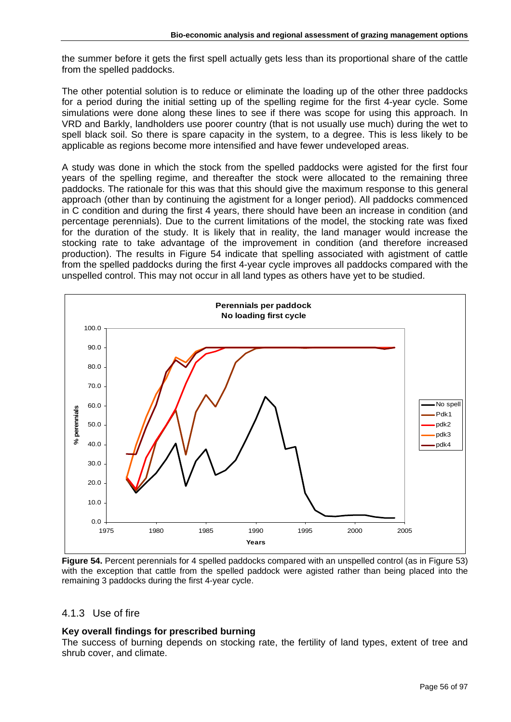the summer before it gets the first spell actually gets less than its proportional share of the cattle from the spelled paddocks.

The other potential solution is to reduce or eliminate the loading up of the other three paddocks for a period during the initial setting up of the spelling regime for the first 4-year cycle. Some simulations were done along these lines to see if there was scope for using this approach. In VRD and Barkly, landholders use poorer country (that is not usually use much) during the wet to spell black soil. So there is spare capacity in the system, to a degree. This is less likely to be applicable as regions become more intensified and have fewer undeveloped areas.

A study was done in which the stock from the spelled paddocks were agisted for the first four years of the spelling regime, and thereafter the stock were allocated to the remaining three paddocks. The rationale for this was that this should give the maximum response to this general approach (other than by continuing the agistment for a longer period). All paddocks commenced in C condition and during the first 4 years, there should have been an increase in condition (and percentage perennials). Due to the current limitations of the model, the stocking rate was fixed for the duration of the study. It is likely that in reality, the land manager would increase the stocking rate to take advantage of the improvement in condition (and therefore increased production). The results in Figure 54 indicate that spelling associated with agistment of cattle from the spelled paddocks during the first 4-year cycle improves all paddocks compared with the unspelled control. This may not occur in all land types as others have yet to be studied.



**Figure 54.** Percent perennials for 4 spelled paddocks compared with an unspelled control (as in Figure 53) with the exception that cattle from the spelled paddock were agisted rather than being placed into the remaining 3 paddocks during the first 4-year cycle.

# 4.1.3 Use of fire

# **Key overall findings for prescribed burning**

The success of burning depends on stocking rate, the fertility of land types, extent of tree and shrub cover, and climate.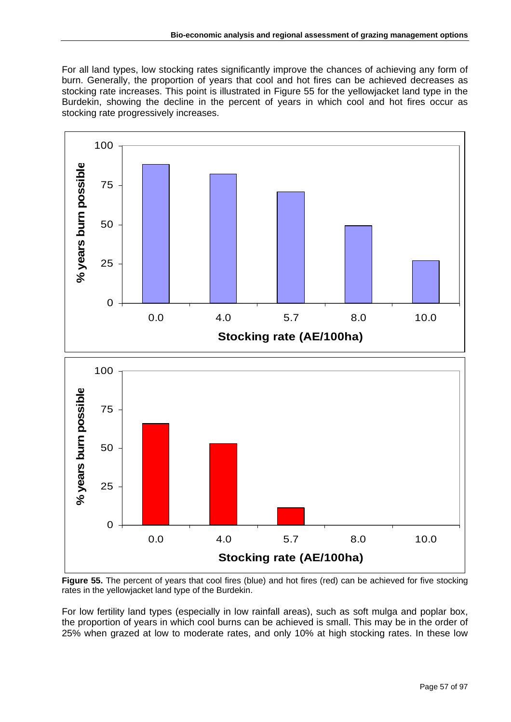For all land types, low stocking rates significantly improve the chances of achieving any form of burn. Generally, the proportion of years that cool and hot fires can be achieved decreases as stocking rate increases. This point is illustrated in Figure 55 for the yellowjacket land type in the Burdekin, showing the decline in the percent of years in which cool and hot fires occur as stocking rate progressively increases.



**Figure 55.** The percent of years that cool fires (blue) and hot fires (red) can be achieved for five stocking rates in the yellowjacket land type of the Burdekin.

For low fertility land types (especially in low rainfall areas), such as soft mulga and poplar box, the proportion of years in which cool burns can be achieved is small. This may be in the order of 25% when grazed at low to moderate rates, and only 10% at high stocking rates. In these low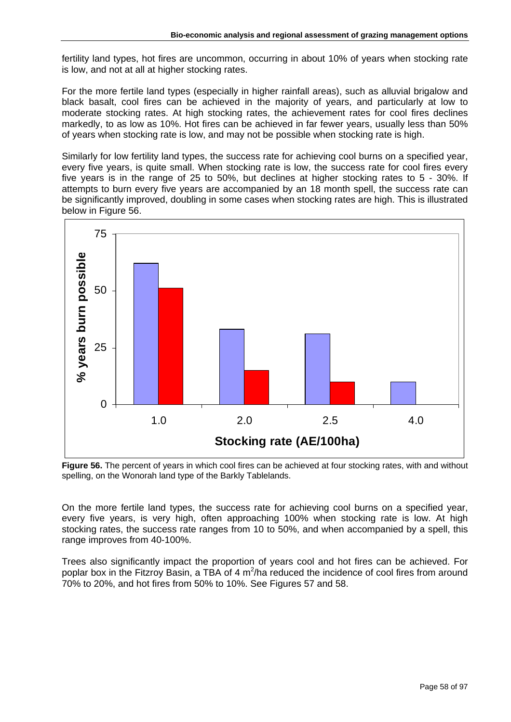fertility land types, hot fires are uncommon, occurring in about 10% of years when stocking rate is low, and not at all at higher stocking rates.

For the more fertile land types (especially in higher rainfall areas), such as alluvial brigalow and black basalt, cool fires can be achieved in the majority of years, and particularly at low to moderate stocking rates. At high stocking rates, the achievement rates for cool fires declines markedly, to as low as 10%. Hot fires can be achieved in far fewer years, usually less than 50% of years when stocking rate is low, and may not be possible when stocking rate is high.

Similarly for low fertility land types, the success rate for achieving cool burns on a specified year, every five years, is quite small. When stocking rate is low, the success rate for cool fires every five years is in the range of 25 to 50%, but declines at higher stocking rates to 5 - 30%. If attempts to burn every five years are accompanied by an 18 month spell, the success rate can be significantly improved, doubling in some cases when stocking rates are high. This is illustrated below in Figure 56.



**Figure 56.** The percent of years in which cool fires can be achieved at four stocking rates, with and without spelling, on the Wonorah land type of the Barkly Tablelands.

On the more fertile land types, the success rate for achieving cool burns on a specified year, every five years, is very high, often approaching 100% when stocking rate is low. At high stocking rates, the success rate ranges from 10 to 50%, and when accompanied by a spell, this range improves from 40-100%.

Trees also significantly impact the proportion of years cool and hot fires can be achieved. For poplar box in the Fitzroy Basin, a TBA of 4  $m^2/h$ a reduced the incidence of cool fires from around 70% to 20%, and hot fires from 50% to 10%. See Figures 57 and 58.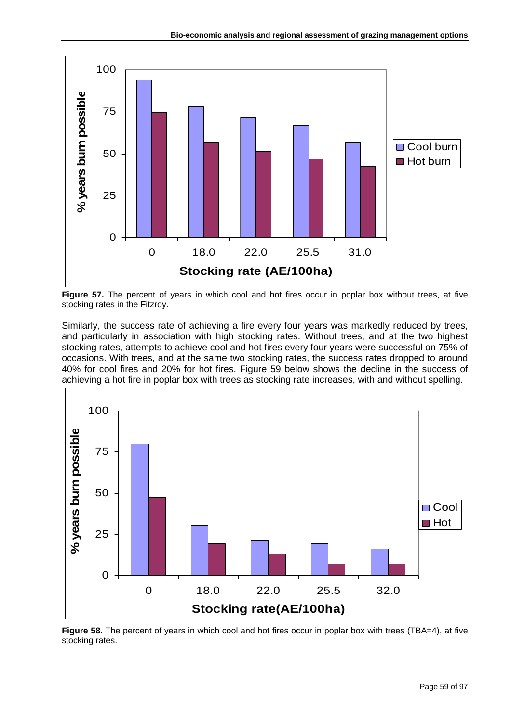

Figure 57. The percent of years in which cool and hot fires occur in poplar box without trees, at five stocking rates in the Fitzroy.

Similarly, the success rate of achieving a fire every four years was markedly reduced by trees, and particularly in association with high stocking rates. Without trees, and at the two highest stocking rates, attempts to achieve cool and hot fires every four years were successful on 75% of occasions. With trees, and at the same two stocking rates, the success rates dropped to around 40% for cool fires and 20% for hot fires. Figure 59 below shows the decline in the success of achieving a hot fire in poplar box with trees as stocking rate increases, with and without spelling.



**Figure 58.** The percent of years in which cool and hot fires occur in poplar box with trees (TBA=4), at five stocking rates.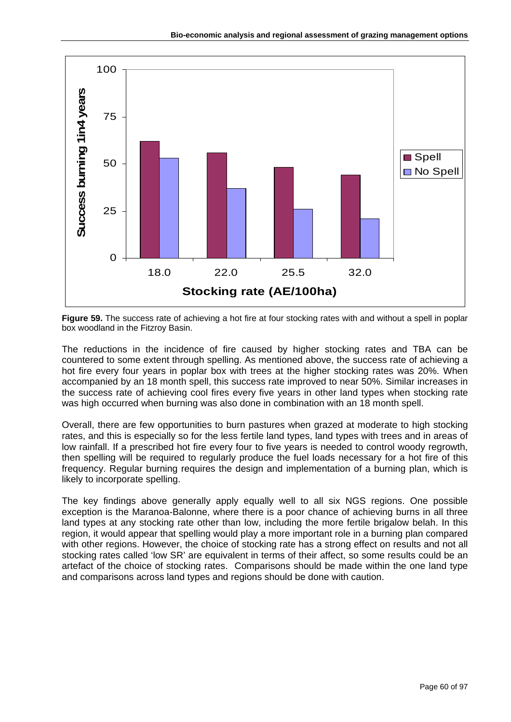

**Figure 59.** The success rate of achieving a hot fire at four stocking rates with and without a spell in poplar box woodland in the Fitzroy Basin.

The reductions in the incidence of fire caused by higher stocking rates and TBA can be countered to some extent through spelling. As mentioned above, the success rate of achieving a hot fire every four years in poplar box with trees at the higher stocking rates was 20%. When accompanied by an 18 month spell, this success rate improved to near 50%. Similar increases in the success rate of achieving cool fires every five years in other land types when stocking rate was high occurred when burning was also done in combination with an 18 month spell.

Overall, there are few opportunities to burn pastures when grazed at moderate to high stocking rates, and this is especially so for the less fertile land types, land types with trees and in areas of low rainfall. If a prescribed hot fire every four to five years is needed to control woody regrowth, then spelling will be required to regularly produce the fuel loads necessary for a hot fire of this frequency. Regular burning requires the design and implementation of a burning plan, which is likely to incorporate spelling.

The key findings above generally apply equally well to all six NGS regions. One possible exception is the Maranoa-Balonne, where there is a poor chance of achieving burns in all three land types at any stocking rate other than low, including the more fertile brigalow belah. In this region, it would appear that spelling would play a more important role in a burning plan compared with other regions. However, the choice of stocking rate has a strong effect on results and not all stocking rates called 'low SR' are equivalent in terms of their affect, so some results could be an artefact of the choice of stocking rates. Comparisons should be made within the one land type and comparisons across land types and regions should be done with caution.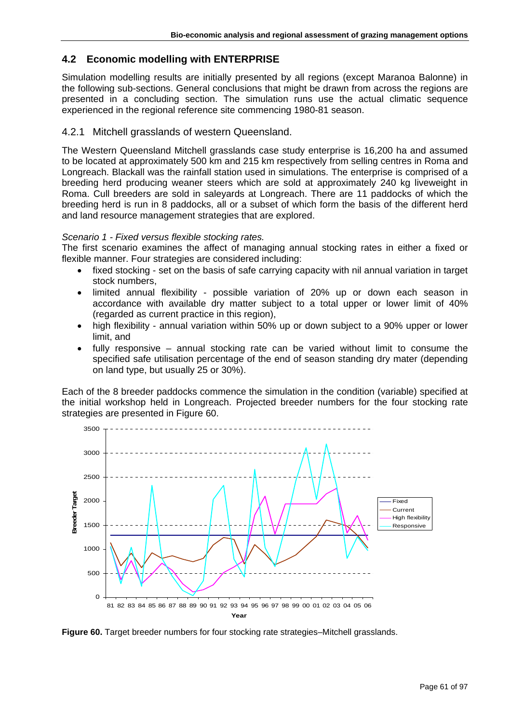# **4.2 Economic modelling with ENTERPRISE**

Simulation modelling results are initially presented by all regions (except Maranoa Balonne) in the following sub-sections. General conclusions that might be drawn from across the regions are presented in a concluding section. The simulation runs use the actual climatic sequence experienced in the regional reference site commencing 1980-81 season.

# 4.2.1 Mitchell grasslands of western Queensland.

The Western Queensland Mitchell grasslands case study enterprise is 16,200 ha and assumed to be located at approximately 500 km and 215 km respectively from selling centres in Roma and Longreach. Blackall was the rainfall station used in simulations. The enterprise is comprised of a breeding herd producing weaner steers which are sold at approximately 240 kg liveweight in Roma. Cull breeders are sold in saleyards at Longreach. There are 11 paddocks of which the breeding herd is run in 8 paddocks, all or a subset of which form the basis of the different herd and land resource management strategies that are explored.

# *Scenario 1 - Fixed versus flexible stocking rates.*

The first scenario examines the affect of managing annual stocking rates in either a fixed or flexible manner. Four strategies are considered including:

- fixed stocking set on the basis of safe carrying capacity with nil annual variation in target stock numbers,
- limited annual flexibility possible variation of 20% up or down each season in accordance with available dry matter subject to a total upper or lower limit of 40% (regarded as current practice in this region),
- high flexibility annual variation within 50% up or down subject to a 90% upper or lower limit, and
- fully responsive annual stocking rate can be varied without limit to consume the specified safe utilisation percentage of the end of season standing dry mater (depending on land type, but usually 25 or 30%).

Each of the 8 breeder paddocks commence the simulation in the condition (variable) specified at the initial workshop held in Longreach. Projected breeder numbers for the four stocking rate strategies are presented in Figure 60.



**Figure 60.** Target breeder numbers for four stocking rate strategies–Mitchell grasslands.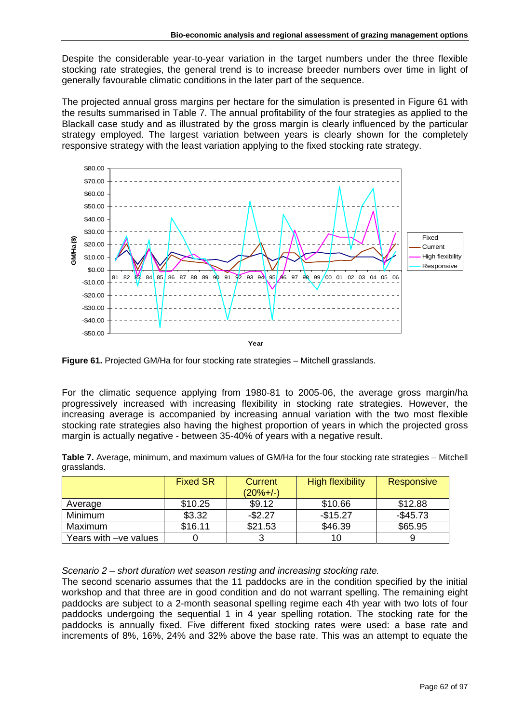Despite the considerable year-to-year variation in the target numbers under the three flexible stocking rate strategies, the general trend is to increase breeder numbers over time in light of generally favourable climatic conditions in the later part of the sequence.

The projected annual gross margins per hectare for the simulation is presented in Figure 61 with the results summarised in Table 7. The annual profitability of the four strategies as applied to the Blackall case study and as illustrated by the gross margin is clearly influenced by the particular strategy employed. The largest variation between years is clearly shown for the completely responsive strategy with the least variation applying to the fixed stocking rate strategy.



**Figure 61.** Projected GM/Ha for four stocking rate strategies – Mitchell grasslands.

For the climatic sequence applying from 1980-81 to 2005-06, the average gross margin/ha progressively increased with increasing flexibility in stocking rate strategies. However, the increasing average is accompanied by increasing annual variation with the two most flexible stocking rate strategies also having the highest proportion of years in which the projected gross margin is actually negative - between 35-40% of years with a negative result.

| Table 7. Average, minimum, and maximum values of GM/Ha for the four stocking rate strategies - Mitchell |  |  |  |  |
|---------------------------------------------------------------------------------------------------------|--|--|--|--|
| grasslands.                                                                                             |  |  |  |  |

|                       | <b>Fixed SR</b> | Current<br>$(20%+/-)$ | <b>High flexibility</b> | <b>Responsive</b> |
|-----------------------|-----------------|-----------------------|-------------------------|-------------------|
| Average               | \$10.25         | \$9.12                | \$10.66                 | \$12.88           |
| <b>Minimum</b>        | \$3.32          | $-$2.27$              | $-$15.27$               | $-$ \$45.73       |
| Maximum               | \$16.11         | \$21.53               | \$46.39                 | \$65.95           |
| Years with -ve values |                 | ົ                     |                         |                   |

*Scenario 2 – short duration wet season resting and increasing stocking rate.* 

The second scenario assumes that the 11 paddocks are in the condition specified by the initial workshop and that three are in good condition and do not warrant spelling. The remaining eight paddocks are subject to a 2-month seasonal spelling regime each 4th year with two lots of four paddocks undergoing the sequential 1 in 4 year spelling rotation. The stocking rate for the paddocks is annually fixed. Five different fixed stocking rates were used: a base rate and increments of 8%, 16%, 24% and 32% above the base rate. This was an attempt to equate the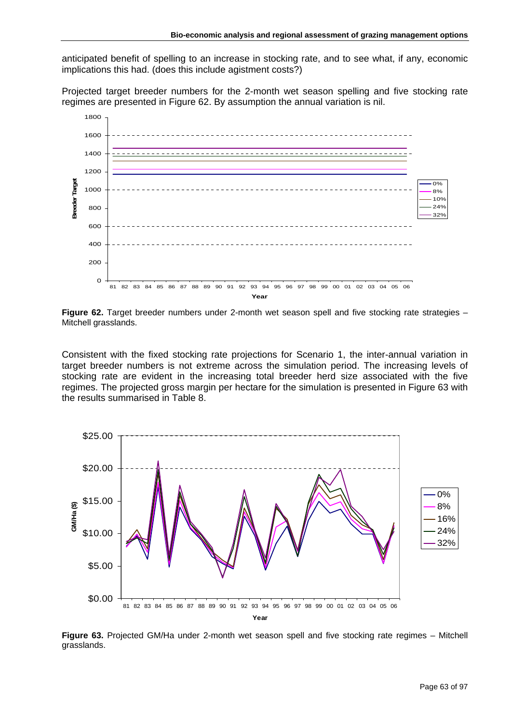anticipated benefit of spelling to an increase in stocking rate, and to see what, if any, economic implications this had. (does this include agistment costs?)

Projected target breeder numbers for the 2-month wet season spelling and five stocking rate regimes are presented in Figure 62. By assumption the annual variation is nil.



**Figure 62.** Target breeder numbers under 2-month wet season spell and five stocking rate strategies – Mitchell grasslands.

Consistent with the fixed stocking rate projections for Scenario 1, the inter-annual variation in target breeder numbers is not extreme across the simulation period. The increasing levels of stocking rate are evident in the increasing total breeder herd size associated with the five regimes. The projected gross margin per hectare for the simulation is presented in Figure 63 with the results summarised in Table 8.



**Figure 63.** Projected GM/Ha under 2-month wet season spell and five stocking rate regimes – Mitchell grasslands.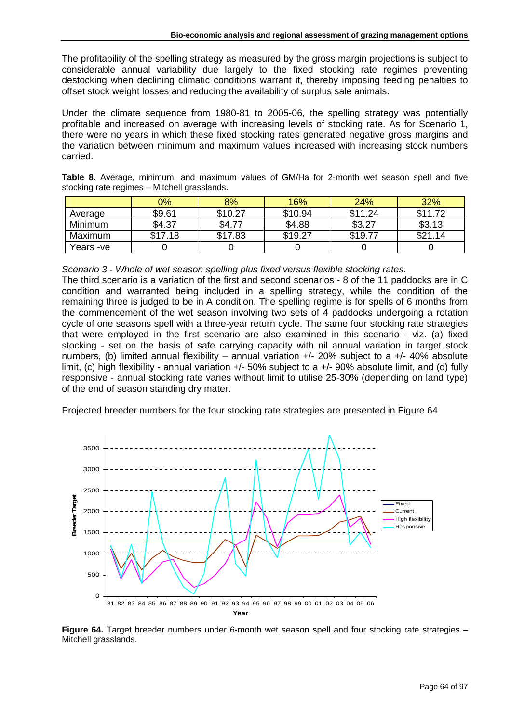The profitability of the spelling strategy as measured by the gross margin projections is subject to considerable annual variability due largely to the fixed stocking rate regimes preventing destocking when declining climatic conditions warrant it, thereby imposing feeding penalties to offset stock weight losses and reducing the availability of surplus sale animals.

Under the climate sequence from 1980-81 to 2005-06, the spelling strategy was potentially profitable and increased on average with increasing levels of stocking rate. As for Scenario 1, there were no years in which these fixed stocking rates generated negative gross margins and the variation between minimum and maximum values increased with increasing stock numbers carried.

|  | Table 8. Average, minimum, and maximum values of GM/Ha for 2-month wet season spell and five |  |  |  |  |  |  |
|--|----------------------------------------------------------------------------------------------|--|--|--|--|--|--|
|  | stocking rate regimes – Mitchell grasslands.                                                 |  |  |  |  |  |  |

|           | 0%      | 8%      | 16%     | 24%     | 32%     |
|-----------|---------|---------|---------|---------|---------|
| Average   | \$9.61  | \$10.27 | \$10.94 | \$11.24 | \$11.72 |
| Minimum   | \$4.37  | \$4.77  | \$4.88  | \$3.27  | \$3.13  |
| Maximum   | \$17.18 | \$17.83 | \$19.27 | \$19.77 | \$21.14 |
| Years -ve |         |         |         |         |         |

*Scenario 3 - Whole of wet season spelling plus fixed versus flexible stocking rates.* 

The third scenario is a variation of the first and second scenarios - 8 of the 11 paddocks are in C condition and warranted being included in a spelling strategy, while the condition of the remaining three is judged to be in A condition. The spelling regime is for spells of 6 months from the commencement of the wet season involving two sets of 4 paddocks undergoing a rotation cycle of one seasons spell with a three-year return cycle. The same four stocking rate strategies that were employed in the first scenario are also examined in this scenario - viz. (a) fixed stocking - set on the basis of safe carrying capacity with nil annual variation in target stock numbers, (b) limited annual flexibility – annual variation  $+/- 20\%$  subject to a  $+/- 40\%$  absolute limit, (c) high flexibility - annual variation +/- 50% subject to a +/- 90% absolute limit, and (d) fully responsive - annual stocking rate varies without limit to utilise 25-30% (depending on land type) of the end of season standing dry mater.

Projected breeder numbers for the four stocking rate strategies are presented in Figure 64.



**Figure 64.** Target breeder numbers under 6-month wet season spell and four stocking rate strategies – Mitchell grasslands.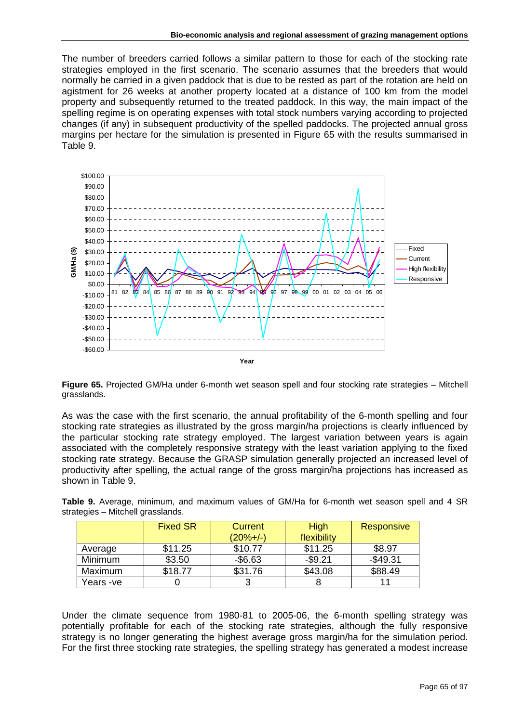The number of breeders carried follows a similar pattern to those for each of the stocking rate strategies employed in the first scenario. The scenario assumes that the breeders that would normally be carried in a given paddock that is due to be rested as part of the rotation are held on agistment for 26 weeks at another property located at a distance of 100 km from the model property and subsequently returned to the treated paddock. In this way, the main impact of the spelling regime is on operating expenses with total stock numbers varying according to projected changes (if any) in subsequent productivity of the spelled paddocks. The projected annual gross margins per hectare for the simulation is presented in Figure 65 with the results summarised in Table 9.



**Figure 65.** Projected GM/Ha under 6-month wet season spell and four stocking rate strategies – Mitchell grasslands.

As was the case with the first scenario, the annual profitability of the 6-month spelling and four stocking rate strategies as illustrated by the gross margin/ha projections is clearly influenced by the particular stocking rate strategy employed. The largest variation between years is again associated with the completely responsive strategy with the least variation applying to the fixed stocking rate strategy. Because the GRASP simulation generally projected an increased level of productivity after spelling, the actual range of the gross margin/ha projections has increased as shown in Table 9.

**Table 9.** Average, minimum, and maximum values of GM/Ha for 6-month wet season spell and 4 SR strategies – Mitchell grasslands.

|                | <b>Fixed SR</b> | Current    | <b>High</b> | Responsive |
|----------------|-----------------|------------|-------------|------------|
|                |                 | $(20%+/-)$ | flexibility |            |
| Average        | \$11.25         | \$10.77    | \$11.25     | \$8.97     |
| <b>Minimum</b> | \$3.50          | $-$6.63$   | $-$9.21$    | $-$49.31$  |
| Maximum        | \$18.77         | \$31.76    | \$43.08     | \$88.49    |
| Years -ve      |                 |            |             |            |

Under the climate sequence from 1980-81 to 2005-06, the 6-month spelling strategy was potentially profitable for each of the stocking rate strategies, although the fully responsive strategy is no longer generating the highest average gross margin/ha for the simulation period. For the first three stocking rate strategies, the spelling strategy has generated a modest increase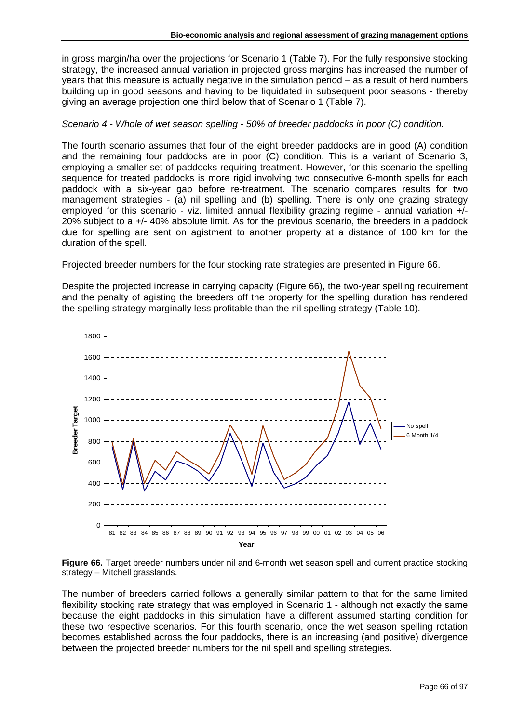in gross margin/ha over the projections for Scenario 1 (Table 7). For the fully responsive stocking strategy, the increased annual variation in projected gross margins has increased the number of years that this measure is actually negative in the simulation period – as a result of herd numbers building up in good seasons and having to be liquidated in subsequent poor seasons - thereby giving an average projection one third below that of Scenario 1 (Table 7).

# *Scenario 4 - Whole of wet season spelling - 50% of breeder paddocks in poor (C) condition.*

The fourth scenario assumes that four of the eight breeder paddocks are in good (A) condition and the remaining four paddocks are in poor (C) condition. This is a variant of Scenario 3, employing a smaller set of paddocks requiring treatment. However, for this scenario the spelling sequence for treated paddocks is more rigid involving two consecutive 6-month spells for each paddock with a six-year gap before re-treatment. The scenario compares results for two management strategies - (a) nil spelling and (b) spelling. There is only one grazing strategy employed for this scenario - viz. limited annual flexibility grazing regime - annual variation +/-20% subject to a +/- 40% absolute limit. As for the previous scenario, the breeders in a paddock due for spelling are sent on agistment to another property at a distance of 100 km for the duration of the spell.

Projected breeder numbers for the four stocking rate strategies are presented in Figure 66.

Despite the projected increase in carrying capacity (Figure 66), the two-year spelling requirement and the penalty of agisting the breeders off the property for the spelling duration has rendered the spelling strategy marginally less profitable than the nil spelling strategy (Table 10).



**Figure 66.** Target breeder numbers under nil and 6-month wet season spell and current practice stocking strategy – Mitchell grasslands.

The number of breeders carried follows a generally similar pattern to that for the same limited flexibility stocking rate strategy that was employed in Scenario 1 - although not exactly the same because the eight paddocks in this simulation have a different assumed starting condition for these two respective scenarios. For this fourth scenario, once the wet season spelling rotation becomes established across the four paddocks, there is an increasing (and positive) divergence between the projected breeder numbers for the nil spell and spelling strategies.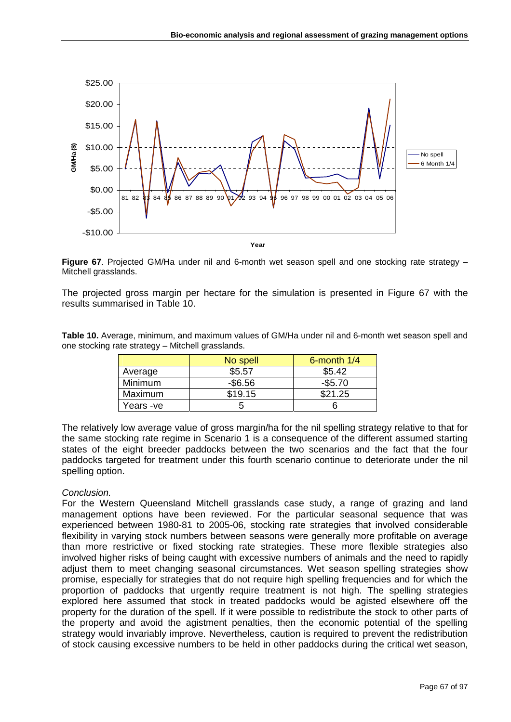

**Figure 67**. Projected GM/Ha under nil and 6-month wet season spell and one stocking rate strategy – Mitchell grasslands.

The projected gross margin per hectare for the simulation is presented in Figure 67 with the results summarised in Table 10.

**Table 10.** Average, minimum, and maximum values of GM/Ha under nil and 6-month wet season spell and one stocking rate strategy – Mitchell grasslands.

|           | No spell   | 6-month $1/4$ |
|-----------|------------|---------------|
| Average   | \$5.57     | \$5.42        |
| Minimum   | $-$ \$6.56 | $-$ \$5.70    |
| Maximum   | \$19.15    | \$21.25       |
| Years -ve |            |               |

The relatively low average value of gross margin/ha for the nil spelling strategy relative to that for the same stocking rate regime in Scenario 1 is a consequence of the different assumed starting states of the eight breeder paddocks between the two scenarios and the fact that the four paddocks targeted for treatment under this fourth scenario continue to deteriorate under the nil spelling option.

### *Conclusion.*

For the Western Queensland Mitchell grasslands case study, a range of grazing and land management options have been reviewed. For the particular seasonal sequence that was experienced between 1980-81 to 2005-06, stocking rate strategies that involved considerable flexibility in varying stock numbers between seasons were generally more profitable on average than more restrictive or fixed stocking rate strategies. These more flexible strategies also involved higher risks of being caught with excessive numbers of animals and the need to rapidly adjust them to meet changing seasonal circumstances. Wet season spelling strategies show promise, especially for strategies that do not require high spelling frequencies and for which the proportion of paddocks that urgently require treatment is not high. The spelling strategies explored here assumed that stock in treated paddocks would be agisted elsewhere off the property for the duration of the spell. If it were possible to redistribute the stock to other parts of the property and avoid the agistment penalties, then the economic potential of the spelling strategy would invariably improve. Nevertheless, caution is required to prevent the redistribution of stock causing excessive numbers to be held in other paddocks during the critical wet season,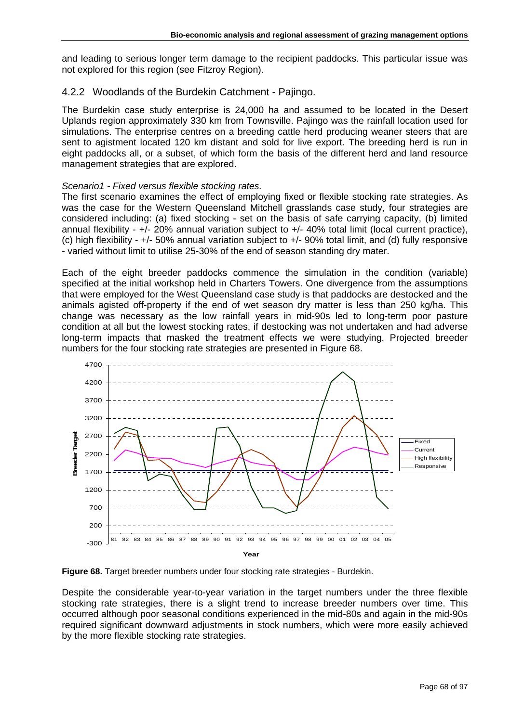and leading to serious longer term damage to the recipient paddocks. This particular issue was not explored for this region (see Fitzroy Region).

# 4.2.2 Woodlands of the Burdekin Catchment - Pajingo.

The Burdekin case study enterprise is 24,000 ha and assumed to be located in the Desert Uplands region approximately 330 km from Townsville. Pajingo was the rainfall location used for simulations. The enterprise centres on a breeding cattle herd producing weaner steers that are sent to agistment located 120 km distant and sold for live export. The breeding herd is run in eight paddocks all, or a subset, of which form the basis of the different herd and land resource management strategies that are explored.

## *Scenario1 - Fixed versus flexible stocking rates.*

The first scenario examines the effect of employing fixed or flexible stocking rate strategies. As was the case for the Western Queensland Mitchell grasslands case study, four strategies are considered including: (a) fixed stocking - set on the basis of safe carrying capacity, (b) limited annual flexibility - +/- 20% annual variation subject to +/- 40% total limit (local current practice), (c) high flexibility - +/- 50% annual variation subject to +/- 90% total limit, and (d) fully responsive - varied without limit to utilise 25-30% of the end of season standing dry mater.

Each of the eight breeder paddocks commence the simulation in the condition (variable) specified at the initial workshop held in Charters Towers. One divergence from the assumptions that were employed for the West Queensland case study is that paddocks are destocked and the animals agisted off-property if the end of wet season dry matter is less than 250 kg/ha. This change was necessary as the low rainfall years in mid-90s led to long-term poor pasture condition at all but the lowest stocking rates, if destocking was not undertaken and had adverse long-term impacts that masked the treatment effects we were studying. Projected breeder numbers for the four stocking rate strategies are presented in Figure 68.



**Figure 68.** Target breeder numbers under four stocking rate strategies - Burdekin.

Despite the considerable year-to-year variation in the target numbers under the three flexible stocking rate strategies, there is a slight trend to increase breeder numbers over time. This occurred although poor seasonal conditions experienced in the mid-80s and again in the mid-90s required significant downward adjustments in stock numbers, which were more easily achieved by the more flexible stocking rate strategies.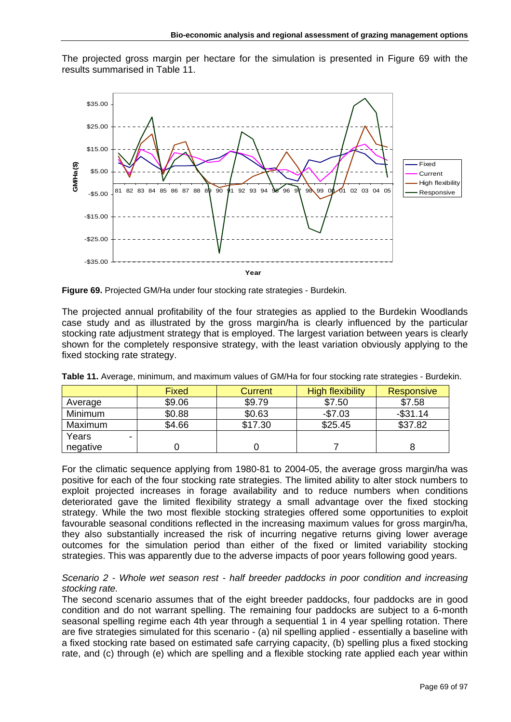The projected gross margin per hectare for the simulation is presented in Figure 69 with the results summarised in Table 11.



**Figure 69.** Projected GM/Ha under four stocking rate strategies - Burdekin.

The projected annual profitability of the four strategies as applied to the Burdekin Woodlands case study and as illustrated by the gross margin/ha is clearly influenced by the particular stocking rate adjustment strategy that is employed. The largest variation between years is clearly shown for the completely responsive strategy, with the least variation obviously applying to the fixed stocking rate strategy.

|          | Fixed  | Current | High flexibility | Responsive  |
|----------|--------|---------|------------------|-------------|
| Average  | \$9.06 | \$9.79  | \$7.50           | \$7.58      |
| Minimum  | \$0.88 | \$0.63  | $-$7.03$         | $-$ \$31.14 |
| Maximum  | \$4.66 | \$17.30 | \$25.45          | \$37.82     |
| Years    |        |         |                  |             |
| negative |        |         |                  |             |

**Table 11.** Average, minimum, and maximum values of GM/Ha for four stocking rate strategies - Burdekin.

For the climatic sequence applying from 1980-81 to 2004-05, the average gross margin/ha was positive for each of the four stocking rate strategies. The limited ability to alter stock numbers to exploit projected increases in forage availability and to reduce numbers when conditions deteriorated gave the limited flexibility strategy a small advantage over the fixed stocking strategy. While the two most flexible stocking strategies offered some opportunities to exploit favourable seasonal conditions reflected in the increasing maximum values for gross margin/ha, they also substantially increased the risk of incurring negative returns giving lower average outcomes for the simulation period than either of the fixed or limited variability stocking strategies. This was apparently due to the adverse impacts of poor years following good years.

### *Scenario 2 - Whole wet season rest - half breeder paddocks in poor condition and increasing stocking rate.*

The second scenario assumes that of the eight breeder paddocks, four paddocks are in good condition and do not warrant spelling. The remaining four paddocks are subject to a 6-month seasonal spelling regime each 4th year through a sequential 1 in 4 year spelling rotation. There are five strategies simulated for this scenario - (a) nil spelling applied - essentially a baseline with a fixed stocking rate based on estimated safe carrying capacity, (b) spelling plus a fixed stocking rate, and (c) through (e) which are spelling and a flexible stocking rate applied each year within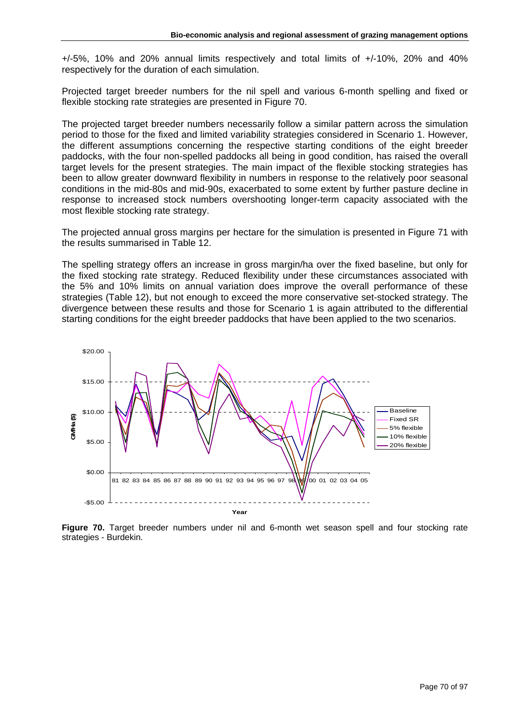+/-5%, 10% and 20% annual limits respectively and total limits of +/-10%, 20% and 40% respectively for the duration of each simulation.

Projected target breeder numbers for the nil spell and various 6-month spelling and fixed or flexible stocking rate strategies are presented in Figure 70.

The projected target breeder numbers necessarily follow a similar pattern across the simulation period to those for the fixed and limited variability strategies considered in Scenario 1. However, the different assumptions concerning the respective starting conditions of the eight breeder paddocks, with the four non-spelled paddocks all being in good condition, has raised the overall target levels for the present strategies. The main impact of the flexible stocking strategies has been to allow greater downward flexibility in numbers in response to the relatively poor seasonal conditions in the mid-80s and mid-90s, exacerbated to some extent by further pasture decline in response to increased stock numbers overshooting longer-term capacity associated with the most flexible stocking rate strategy.

The projected annual gross margins per hectare for the simulation is presented in Figure 71 with the results summarised in Table 12.

The spelling strategy offers an increase in gross margin/ha over the fixed baseline, but only for the fixed stocking rate strategy. Reduced flexibility under these circumstances associated with the 5% and 10% limits on annual variation does improve the overall performance of these strategies (Table 12), but not enough to exceed the more conservative set-stocked strategy. The divergence between these results and those for Scenario 1 is again attributed to the differential starting conditions for the eight breeder paddocks that have been applied to the two scenarios.



**Figure 70.** Target breeder numbers under nil and 6-month wet season spell and four stocking rate strategies - Burdekin.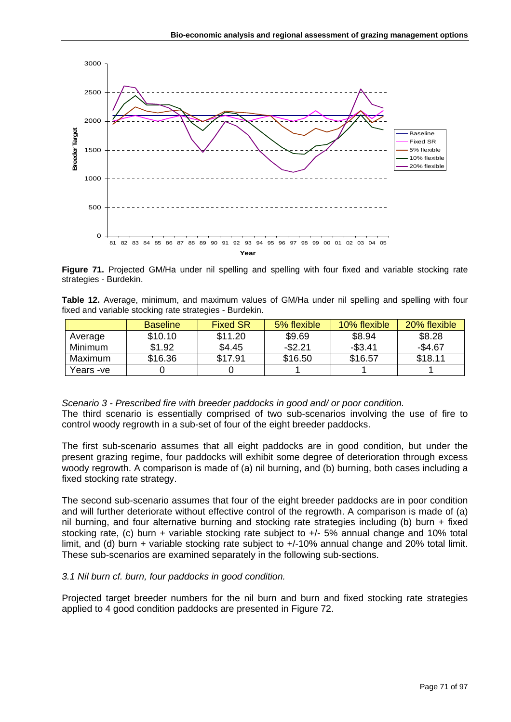

**Figure 71.** Projected GM/Ha under nil spelling and spelling with four fixed and variable stocking rate strategies - Burdekin.

**Table 12.** Average, minimum, and maximum values of GM/Ha under nil spelling and spelling with four fixed and variable stocking rate strategies - Burdekin.

|                | <b>Baseline</b> | <b>Fixed SR</b> | 5% flexible | 10% flexible | 20% flexible |
|----------------|-----------------|-----------------|-------------|--------------|--------------|
| Average        | \$10.10         | \$11.20         | \$9.69      | \$8.94       | \$8.28       |
| <b>Minimum</b> | \$1.92          | \$4.45          | $-$ \$2.21  | $-$ \$3.41   | $-$4.67$     |
| Maximum        | \$16.36         | \$17.91         | \$16.50     | \$16.57      | \$18.11      |
| Years -ve      |                 |                 |             |              |              |

### *Scenario 3 - Prescribed fire with breeder paddocks in good and/ or poor condition.*

The third scenario is essentially comprised of two sub-scenarios involving the use of fire to control woody regrowth in a sub-set of four of the eight breeder paddocks.

The first sub-scenario assumes that all eight paddocks are in good condition, but under the present grazing regime, four paddocks will exhibit some degree of deterioration through excess woody regrowth. A comparison is made of (a) nil burning, and (b) burning, both cases including a fixed stocking rate strategy.

The second sub-scenario assumes that four of the eight breeder paddocks are in poor condition and will further deteriorate without effective control of the regrowth. A comparison is made of (a) nil burning, and four alternative burning and stocking rate strategies including (b) burn + fixed stocking rate, (c) burn + variable stocking rate subject to +/- 5% annual change and 10% total limit, and (d) burn + variable stocking rate subject to +/-10% annual change and 20% total limit. These sub-scenarios are examined separately in the following sub-sections.

### *3.1 Nil burn cf. burn, four paddocks in good condition.*

Projected target breeder numbers for the nil burn and burn and fixed stocking rate strategies applied to 4 good condition paddocks are presented in Figure 72.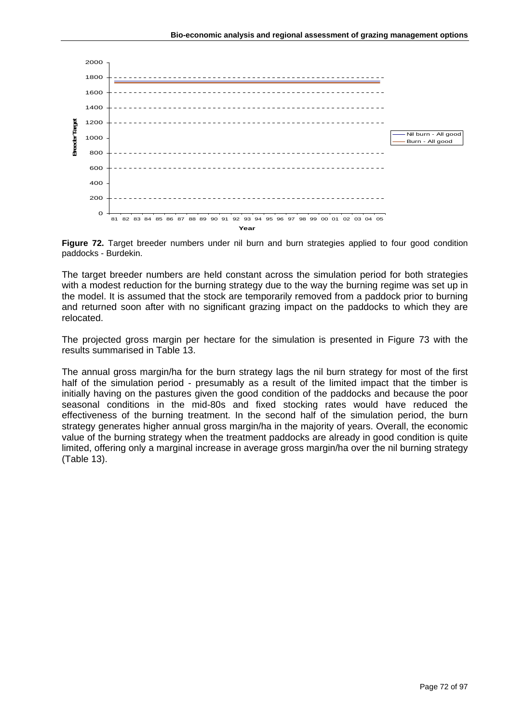

**Figure 72.** Target breeder numbers under nil burn and burn strategies applied to four good condition paddocks - Burdekin.

The target breeder numbers are held constant across the simulation period for both strategies with a modest reduction for the burning strategy due to the way the burning regime was set up in the model. It is assumed that the stock are temporarily removed from a paddock prior to burning and returned soon after with no significant grazing impact on the paddocks to which they are relocated.

The projected gross margin per hectare for the simulation is presented in Figure 73 with the results summarised in Table 13.

The annual gross margin/ha for the burn strategy lags the nil burn strategy for most of the first half of the simulation period - presumably as a result of the limited impact that the timber is initially having on the pastures given the good condition of the paddocks and because the poor seasonal conditions in the mid-80s and fixed stocking rates would have reduced the effectiveness of the burning treatment. In the second half of the simulation period, the burn strategy generates higher annual gross margin/ha in the majority of years. Overall, the economic value of the burning strategy when the treatment paddocks are already in good condition is quite limited, offering only a marginal increase in average gross margin/ha over the nil burning strategy (Table 13).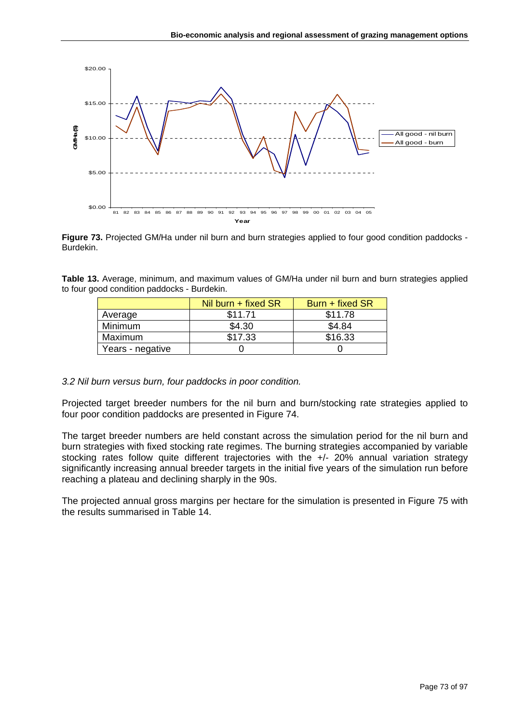

**Figure 73.** Projected GM/Ha under nil burn and burn strategies applied to four good condition paddocks - Burdekin.

**Table 13.** Average, minimum, and maximum values of GM/Ha under nil burn and burn strategies applied to four good condition paddocks - Burdekin.

|                  | Nil burn $+$ fixed SR | Burn + fixed SR |
|------------------|-----------------------|-----------------|
| Average          | \$11.71               | \$11.78         |
| Minimum          | \$4.30                | \$4.84          |
| Maximum          | \$17.33               | \$16.33         |
| Years - negative |                       |                 |

#### *3.2 Nil burn versus burn, four paddocks in poor condition.*

Projected target breeder numbers for the nil burn and burn/stocking rate strategies applied to four poor condition paddocks are presented in Figure 74.

The target breeder numbers are held constant across the simulation period for the nil burn and burn strategies with fixed stocking rate regimes. The burning strategies accompanied by variable stocking rates follow quite different trajectories with the +/- 20% annual variation strategy significantly increasing annual breeder targets in the initial five years of the simulation run before reaching a plateau and declining sharply in the 90s.

The projected annual gross margins per hectare for the simulation is presented in Figure 75 with the results summarised in Table 14.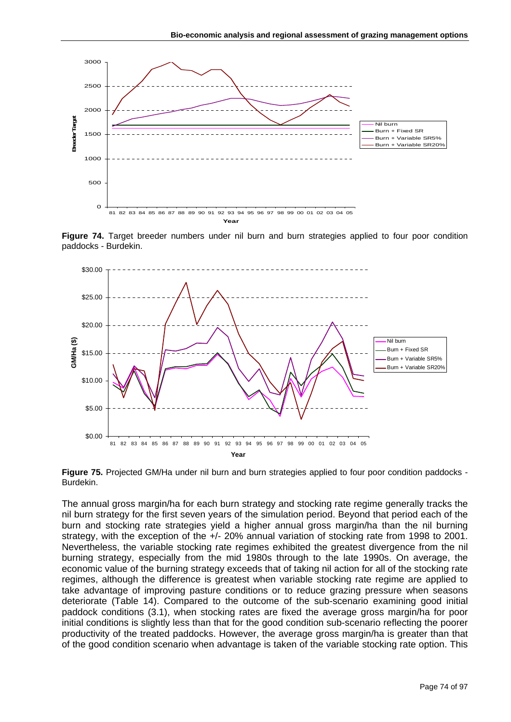

**Figure 74.** Target breeder numbers under nil burn and burn strategies applied to four poor condition paddocks - Burdekin.



**Figure 75.** Projected GM/Ha under nil burn and burn strategies applied to four poor condition paddocks - Burdekin.

The annual gross margin/ha for each burn strategy and stocking rate regime generally tracks the nil burn strategy for the first seven years of the simulation period. Beyond that period each of the burn and stocking rate strategies yield a higher annual gross margin/ha than the nil burning strategy, with the exception of the +/- 20% annual variation of stocking rate from 1998 to 2001. Nevertheless, the variable stocking rate regimes exhibited the greatest divergence from the nil burning strategy, especially from the mid 1980s through to the late 1990s. On average, the economic value of the burning strategy exceeds that of taking nil action for all of the stocking rate regimes, although the difference is greatest when variable stocking rate regime are applied to take advantage of improving pasture conditions or to reduce grazing pressure when seasons deteriorate (Table 14). Compared to the outcome of the sub-scenario examining good initial paddock conditions (3.1), when stocking rates are fixed the average gross margin/ha for poor initial conditions is slightly less than that for the good condition sub-scenario reflecting the poorer productivity of the treated paddocks. However, the average gross margin/ha is greater than that of the good condition scenario when advantage is taken of the variable stocking rate option. This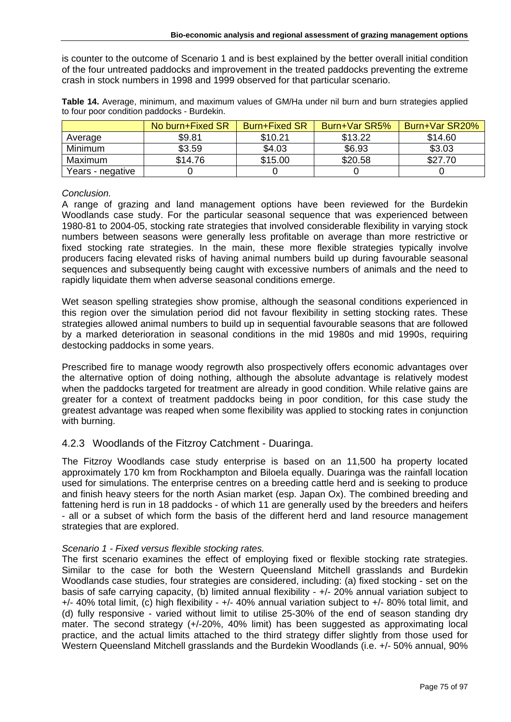is counter to the outcome of Scenario 1 and is best explained by the better overall initial condition of the four untreated paddocks and improvement in the treated paddocks preventing the extreme crash in stock numbers in 1998 and 1999 observed for that particular scenario.

|                  | No burn+Fixed SR | <b>Burn+Fixed SR</b> | Burn+Var SR5% | Burn+Var SR20% |
|------------------|------------------|----------------------|---------------|----------------|
| Average          | \$9.81           | \$10.21              | \$13.22       | \$14.60        |
| Minimum          | \$3.59           | \$4.03               | \$6.93        | \$3.03         |
| Maximum          | \$14.76          | \$15.00              | \$20.58       | \$27.70        |
| Years - negative |                  |                      |               |                |

**Table 14.** Average, minimum, and maximum values of GM/Ha under nil burn and burn strategies applied to four poor condition paddocks - Burdekin.

### *Conclusion.*

A range of grazing and land management options have been reviewed for the Burdekin Woodlands case study. For the particular seasonal sequence that was experienced between 1980-81 to 2004-05, stocking rate strategies that involved considerable flexibility in varying stock numbers between seasons were generally less profitable on average than more restrictive or fixed stocking rate strategies. In the main, these more flexible strategies typically involve producers facing elevated risks of having animal numbers build up during favourable seasonal sequences and subsequently being caught with excessive numbers of animals and the need to rapidly liquidate them when adverse seasonal conditions emerge.

Wet season spelling strategies show promise, although the seasonal conditions experienced in this region over the simulation period did not favour flexibility in setting stocking rates. These strategies allowed animal numbers to build up in sequential favourable seasons that are followed by a marked deterioration in seasonal conditions in the mid 1980s and mid 1990s, requiring destocking paddocks in some years.

Prescribed fire to manage woody regrowth also prospectively offers economic advantages over the alternative option of doing nothing, although the absolute advantage is relatively modest when the paddocks targeted for treatment are already in good condition. While relative gains are greater for a context of treatment paddocks being in poor condition, for this case study the greatest advantage was reaped when some flexibility was applied to stocking rates in conjunction with burning.

## 4.2.3 Woodlands of the Fitzroy Catchment - Duaringa.

The Fitzroy Woodlands case study enterprise is based on an 11,500 ha property located approximately 170 km from Rockhampton and Biloela equally. Duaringa was the rainfall location used for simulations. The enterprise centres on a breeding cattle herd and is seeking to produce and finish heavy steers for the north Asian market (esp. Japan Ox). The combined breeding and fattening herd is run in 18 paddocks - of which 11 are generally used by the breeders and heifers - all or a subset of which form the basis of the different herd and land resource management strategies that are explored.

## *Scenario 1 - Fixed versus flexible stocking rates.*

The first scenario examines the effect of employing fixed or flexible stocking rate strategies. Similar to the case for both the Western Queensland Mitchell grasslands and Burdekin Woodlands case studies, four strategies are considered, including: (a) fixed stocking - set on the basis of safe carrying capacity, (b) limited annual flexibility - +/- 20% annual variation subject to +/- 40% total limit, (c) high flexibility - +/- 40% annual variation subject to +/- 80% total limit, and (d) fully responsive - varied without limit to utilise 25-30% of the end of season standing dry mater. The second strategy (+/-20%, 40% limit) has been suggested as approximating local practice, and the actual limits attached to the third strategy differ slightly from those used for Western Queensland Mitchell grasslands and the Burdekin Woodlands (i.e. +/- 50% annual, 90%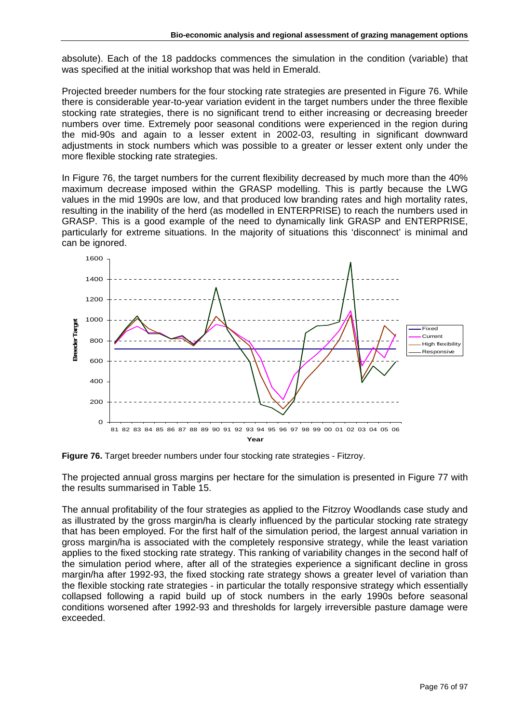absolute). Each of the 18 paddocks commences the simulation in the condition (variable) that was specified at the initial workshop that was held in Emerald.

Projected breeder numbers for the four stocking rate strategies are presented in Figure 76. While there is considerable year-to-year variation evident in the target numbers under the three flexible stocking rate strategies, there is no significant trend to either increasing or decreasing breeder numbers over time. Extremely poor seasonal conditions were experienced in the region during the mid-90s and again to a lesser extent in 2002-03, resulting in significant downward adjustments in stock numbers which was possible to a greater or lesser extent only under the more flexible stocking rate strategies.

In Figure 76, the target numbers for the current flexibility decreased by much more than the 40% maximum decrease imposed within the GRASP modelling. This is partly because the LWG values in the mid 1990s are low, and that produced low branding rates and high mortality rates, resulting in the inability of the herd (as modelled in ENTERPRISE) to reach the numbers used in GRASP. This is a good example of the need to dynamically link GRASP and ENTERPRISE, particularly for extreme situations. In the majority of situations this 'disconnect' is minimal and can be ignored.



**Figure 76.** Target breeder numbers under four stocking rate strategies - Fitzroy.

The projected annual gross margins per hectare for the simulation is presented in Figure 77 with the results summarised in Table 15.

The annual profitability of the four strategies as applied to the Fitzroy Woodlands case study and as illustrated by the gross margin/ha is clearly influenced by the particular stocking rate strategy that has been employed. For the first half of the simulation period, the largest annual variation in gross margin/ha is associated with the completely responsive strategy, while the least variation applies to the fixed stocking rate strategy. This ranking of variability changes in the second half of the simulation period where, after all of the strategies experience a significant decline in gross margin/ha after 1992-93, the fixed stocking rate strategy shows a greater level of variation than the flexible stocking rate strategies - in particular the totally responsive strategy which essentially collapsed following a rapid build up of stock numbers in the early 1990s before seasonal conditions worsened after 1992-93 and thresholds for largely irreversible pasture damage were exceeded.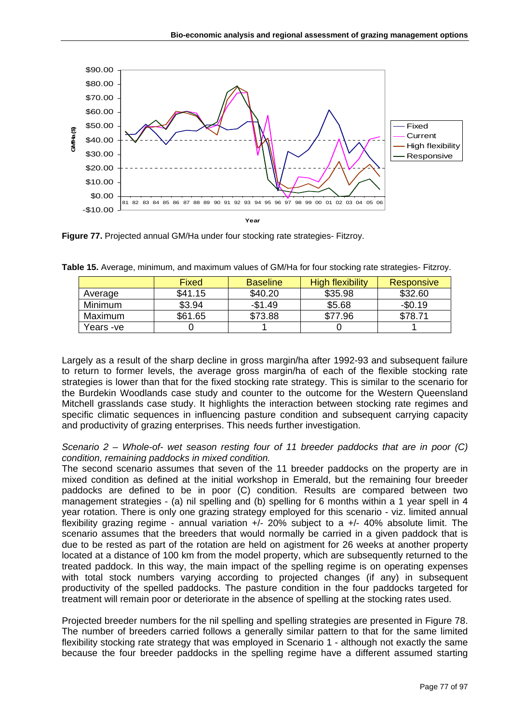

**Figure 77.** Projected annual GM/Ha under four stocking rate strategies- Fitzroy.

|                | Fixed   | <b>Baseline</b> | <b>High flexibility</b> | <b>Responsive</b> |
|----------------|---------|-----------------|-------------------------|-------------------|
| Average        | \$41.15 | \$40.20         | \$35.98                 | \$32.60           |
| <b>Minimum</b> | \$3.94  | $-$1.49$        | \$5.68                  | $-$0.19$          |
| Maximum        | \$61.65 | \$73.88         | \$77.96                 | \$78.71           |
| Years -ve      |         |                 |                         |                   |

**Table 15.** Average, minimum, and maximum values of GM/Ha for four stocking rate strategies- Fitzroy.

Largely as a result of the sharp decline in gross margin/ha after 1992-93 and subsequent failure to return to former levels, the average gross margin/ha of each of the flexible stocking rate strategies is lower than that for the fixed stocking rate strategy. This is similar to the scenario for the Burdekin Woodlands case study and counter to the outcome for the Western Queensland Mitchell grasslands case study. It highlights the interaction between stocking rate regimes and specific climatic sequences in influencing pasture condition and subsequent carrying capacity and productivity of grazing enterprises. This needs further investigation.

*Scenario 2 – Whole-of- wet season resting four of 11 breeder paddocks that are in poor (C) condition, remaining paddocks in mixed condition.* 

The second scenario assumes that seven of the 11 breeder paddocks on the property are in mixed condition as defined at the initial workshop in Emerald, but the remaining four breeder paddocks are defined to be in poor (C) condition. Results are compared between two management strategies - (a) nil spelling and (b) spelling for 6 months within a 1 year spell in 4 year rotation. There is only one grazing strategy employed for this scenario - viz. limited annual flexibility grazing regime - annual variation  $+/- 20\%$  subject to a  $+/- 40\%$  absolute limit. The scenario assumes that the breeders that would normally be carried in a given paddock that is due to be rested as part of the rotation are held on agistment for 26 weeks at another property located at a distance of 100 km from the model property, which are subsequently returned to the treated paddock. In this way, the main impact of the spelling regime is on operating expenses with total stock numbers varying according to projected changes (if any) in subsequent productivity of the spelled paddocks. The pasture condition in the four paddocks targeted for treatment will remain poor or deteriorate in the absence of spelling at the stocking rates used.

Projected breeder numbers for the nil spelling and spelling strategies are presented in Figure 78. The number of breeders carried follows a generally similar pattern to that for the same limited flexibility stocking rate strategy that was employed in Scenario 1 - although not exactly the same because the four breeder paddocks in the spelling regime have a different assumed starting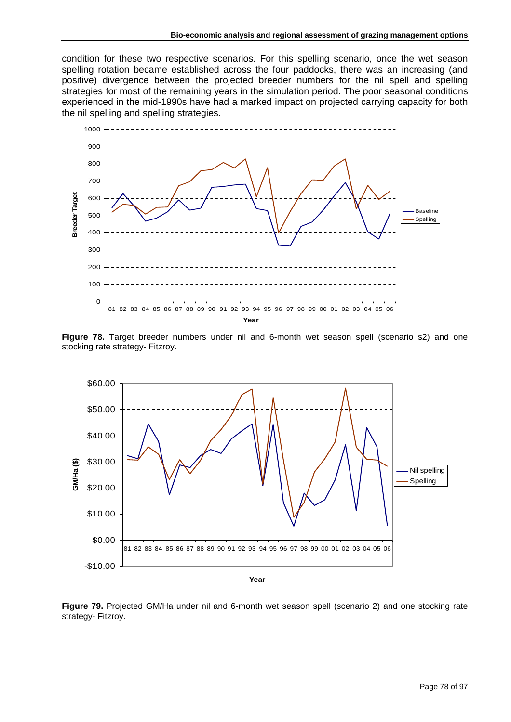condition for these two respective scenarios. For this spelling scenario, once the wet season spelling rotation became established across the four paddocks, there was an increasing (and positive) divergence between the projected breeder numbers for the nil spell and spelling strategies for most of the remaining years in the simulation period. The poor seasonal conditions experienced in the mid-1990s have had a marked impact on projected carrying capacity for both the nil spelling and spelling strategies.



**Figure 78.** Target breeder numbers under nil and 6-month wet season spell (scenario s2) and one stocking rate strategy- Fitzroy.



**Figure 79.** Projected GM/Ha under nil and 6-month wet season spell (scenario 2) and one stocking rate strategy- Fitzroy.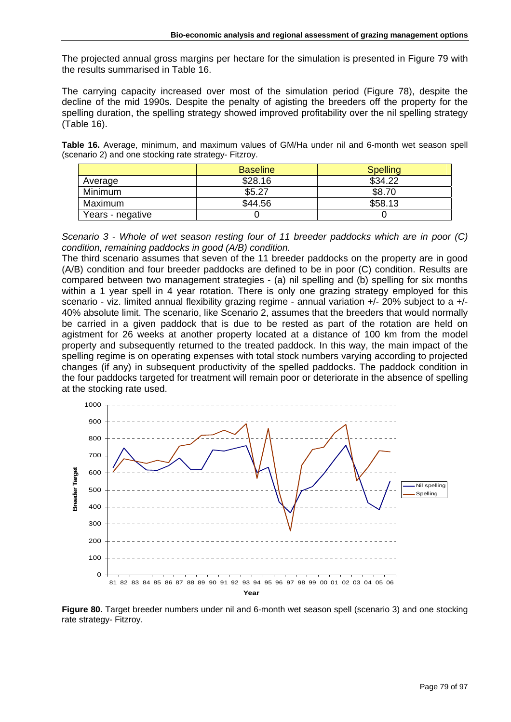The projected annual gross margins per hectare for the simulation is presented in Figure 79 with the results summarised in Table 16.

The carrying capacity increased over most of the simulation period (Figure 78), despite the decline of the mid 1990s. Despite the penalty of agisting the breeders off the property for the spelling duration, the spelling strategy showed improved profitability over the nil spelling strategy (Table 16).

**Table 16.** Average, minimum, and maximum values of GM/Ha under nil and 6-month wet season spell (scenario 2) and one stocking rate strategy- Fitzroy.

|                  | <b>Baseline</b> | <b>Spelling</b> |
|------------------|-----------------|-----------------|
| Average          | \$28.16         | \$34.22         |
| <b>Minimum</b>   | \$5.27          | \$8.70          |
| Maximum          | \$44.56         | \$58.13         |
| Years - negative |                 |                 |

*Scenario 3 - Whole of wet season resting four of 11 breeder paddocks which are in poor (C) condition, remaining paddocks in good (A/B) condition.* 

The third scenario assumes that seven of the 11 breeder paddocks on the property are in good (A/B) condition and four breeder paddocks are defined to be in poor (C) condition. Results are compared between two management strategies - (a) nil spelling and (b) spelling for six months within a 1 year spell in 4 year rotation. There is only one grazing strategy employed for this scenario - viz. limited annual flexibility grazing regime - annual variation +/- 20% subject to a +/- 40% absolute limit. The scenario, like Scenario 2, assumes that the breeders that would normally be carried in a given paddock that is due to be rested as part of the rotation are held on agistment for 26 weeks at another property located at a distance of 100 km from the model property and subsequently returned to the treated paddock. In this way, the main impact of the spelling regime is on operating expenses with total stock numbers varying according to projected changes (if any) in subsequent productivity of the spelled paddocks. The paddock condition in the four paddocks targeted for treatment will remain poor or deteriorate in the absence of spelling at the stocking rate used.



**Figure 80.** Target breeder numbers under nil and 6-month wet season spell (scenario 3) and one stocking rate strategy- Fitzroy.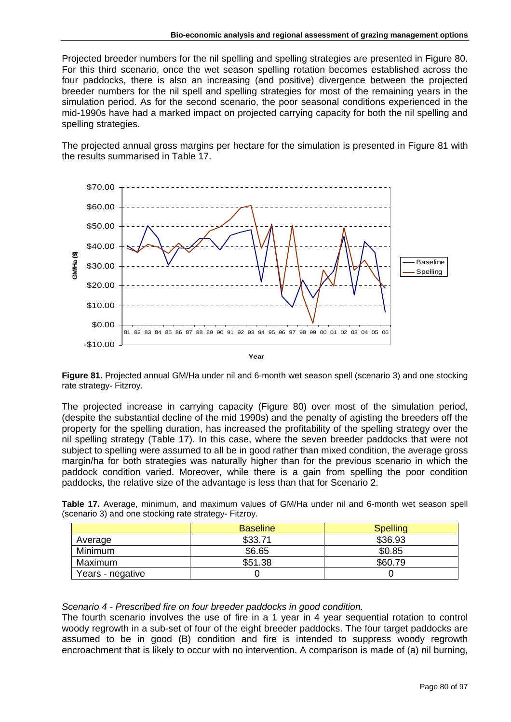Projected breeder numbers for the nil spelling and spelling strategies are presented in Figure 80. For this third scenario, once the wet season spelling rotation becomes established across the four paddocks, there is also an increasing (and positive) divergence between the projected breeder numbers for the nil spell and spelling strategies for most of the remaining years in the simulation period. As for the second scenario, the poor seasonal conditions experienced in the mid-1990s have had a marked impact on projected carrying capacity for both the nil spelling and spelling strategies.

The projected annual gross margins per hectare for the simulation is presented in Figure 81 with the results summarised in Table 17.



**Figure 81.** Projected annual GM/Ha under nil and 6-month wet season spell (scenario 3) and one stocking rate strategy- Fitzroy.

The projected increase in carrying capacity (Figure 80) over most of the simulation period, (despite the substantial decline of the mid 1990s) and the penalty of agisting the breeders off the property for the spelling duration, has increased the profitability of the spelling strategy over the nil spelling strategy (Table 17). In this case, where the seven breeder paddocks that were not subject to spelling were assumed to all be in good rather than mixed condition, the average gross margin/ha for both strategies was naturally higher than for the previous scenario in which the paddock condition varied. Moreover, while there is a gain from spelling the poor condition paddocks, the relative size of the advantage is less than that for Scenario 2.

| $\frac{1}{2}$    |                 |                 |
|------------------|-----------------|-----------------|
|                  | <b>Baseline</b> | <b>Spelling</b> |
| Average          | \$33.71         | \$36.93         |
| <b>Minimum</b>   | \$6.65          | \$0.85          |
| Maximum          | \$51.38         | \$60.79         |
| Years - negative |                 |                 |

**Table 17.** Average, minimum, and maximum values of GM/Ha under nil and 6-month wet season spell (scenario 3) and one stocking rate strategy- Fitzroy.

#### *Scenario 4 - Prescribed fire on four breeder paddocks in good condition.*

The fourth scenario involves the use of fire in a 1 year in 4 year sequential rotation to control woody regrowth in a sub-set of four of the eight breeder paddocks. The four target paddocks are assumed to be in good (B) condition and fire is intended to suppress woody regrowth encroachment that is likely to occur with no intervention. A comparison is made of (a) nil burning,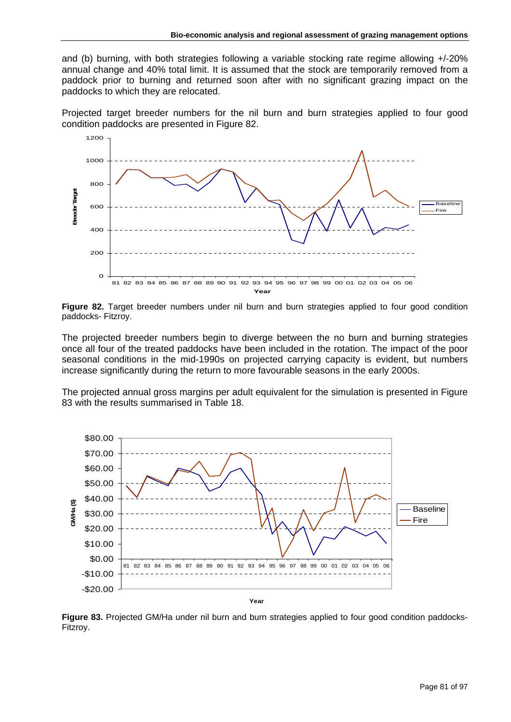and (b) burning, with both strategies following a variable stocking rate regime allowing +/-20% annual change and 40% total limit. It is assumed that the stock are temporarily removed from a paddock prior to burning and returned soon after with no significant grazing impact on the paddocks to which they are relocated.

Projected target breeder numbers for the nil burn and burn strategies applied to four good condition paddocks are presented in Figure 82.



**Figure 82.** Target breeder numbers under nil burn and burn strategies applied to four good condition paddocks- Fitzroy.

The projected breeder numbers begin to diverge between the no burn and burning strategies once all four of the treated paddocks have been included in the rotation. The impact of the poor seasonal conditions in the mid-1990s on projected carrying capacity is evident, but numbers increase significantly during the return to more favourable seasons in the early 2000s.

The projected annual gross margins per adult equivalent for the simulation is presented in Figure 83 with the results summarised in Table 18.



**Figure 83.** Projected GM/Ha under nil burn and burn strategies applied to four good condition paddocks-Fitzroy.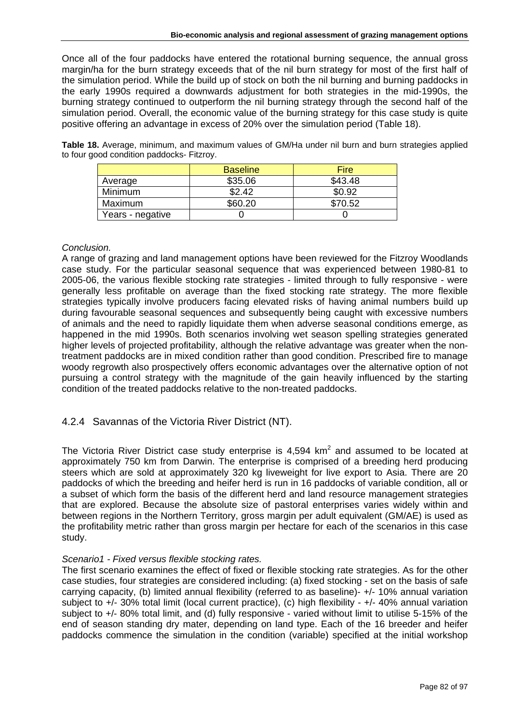Once all of the four paddocks have entered the rotational burning sequence, the annual gross margin/ha for the burn strategy exceeds that of the nil burn strategy for most of the first half of the simulation period. While the build up of stock on both the nil burning and burning paddocks in the early 1990s required a downwards adjustment for both strategies in the mid-1990s, the burning strategy continued to outperform the nil burning strategy through the second half of the simulation period. Overall, the economic value of the burning strategy for this case study is quite positive offering an advantage in excess of 20% over the simulation period (Table 18).

**Table 18.** Average, minimum, and maximum values of GM/Ha under nil burn and burn strategies applied to four good condition paddocks- Fitzroy.

|                  | <b>Baseline</b> | <b>Fire</b> |
|------------------|-----------------|-------------|
| Average          | \$35.06         | \$43.48     |
| <b>Minimum</b>   | \$2.42          | \$0.92      |
| Maximum          | \$60.20         | \$70.52     |
| Years - negative |                 |             |

### *Conclusion.*

A range of grazing and land management options have been reviewed for the Fitzroy Woodlands case study. For the particular seasonal sequence that was experienced between 1980-81 to 2005-06, the various flexible stocking rate strategies - limited through to fully responsive - were generally less profitable on average than the fixed stocking rate strategy. The more flexible strategies typically involve producers facing elevated risks of having animal numbers build up during favourable seasonal sequences and subsequently being caught with excessive numbers of animals and the need to rapidly liquidate them when adverse seasonal conditions emerge, as happened in the mid 1990s. Both scenarios involving wet season spelling strategies generated higher levels of projected profitability, although the relative advantage was greater when the nontreatment paddocks are in mixed condition rather than good condition. Prescribed fire to manage woody regrowth also prospectively offers economic advantages over the alternative option of not pursuing a control strategy with the magnitude of the gain heavily influenced by the starting condition of the treated paddocks relative to the non-treated paddocks.

## 4.2.4 Savannas of the Victoria River District (NT).

The Victoria River District case study enterprise is  $4,594$  km<sup>2</sup> and assumed to be located at approximately 750 km from Darwin. The enterprise is comprised of a breeding herd producing steers which are sold at approximately 320 kg liveweight for live export to Asia. There are 20 paddocks of which the breeding and heifer herd is run in 16 paddocks of variable condition, all or a subset of which form the basis of the different herd and land resource management strategies that are explored. Because the absolute size of pastoral enterprises varies widely within and between regions in the Northern Territory, gross margin per adult equivalent (GM/AE) is used as the profitability metric rather than gross margin per hectare for each of the scenarios in this case study.

## *Scenario1 - Fixed versus flexible stocking rates.*

The first scenario examines the effect of fixed or flexible stocking rate strategies. As for the other case studies, four strategies are considered including: (a) fixed stocking - set on the basis of safe carrying capacity, (b) limited annual flexibility (referred to as baseline)- +/- 10% annual variation subject to +/- 30% total limit (local current practice), (c) high flexibility - +/- 40% annual variation subject to +/- 80% total limit, and (d) fully responsive - varied without limit to utilise 5-15% of the end of season standing dry mater, depending on land type. Each of the 16 breeder and heifer paddocks commence the simulation in the condition (variable) specified at the initial workshop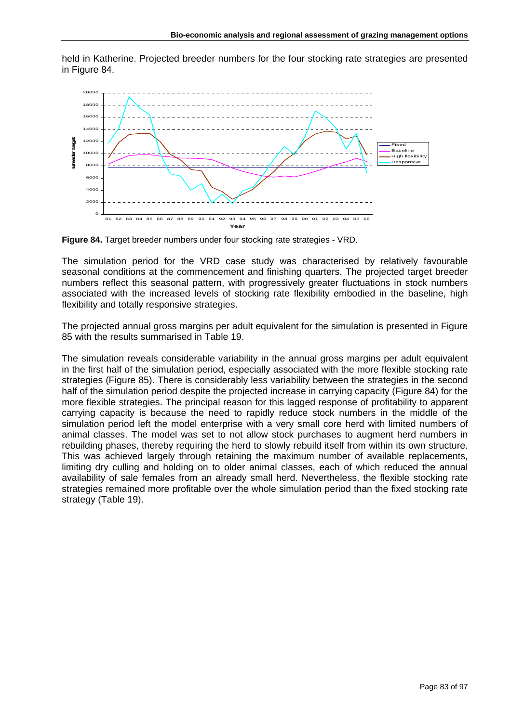held in Katherine. Projected breeder numbers for the four stocking rate strategies are presented in Figure 84.



**Figure 84.** Target breeder numbers under four stocking rate strategies - VRD.

The simulation period for the VRD case study was characterised by relatively favourable seasonal conditions at the commencement and finishing quarters. The projected target breeder numbers reflect this seasonal pattern, with progressively greater fluctuations in stock numbers associated with the increased levels of stocking rate flexibility embodied in the baseline, high flexibility and totally responsive strategies.

The projected annual gross margins per adult equivalent for the simulation is presented in Figure 85 with the results summarised in Table 19.

The simulation reveals considerable variability in the annual gross margins per adult equivalent in the first half of the simulation period, especially associated with the more flexible stocking rate strategies (Figure 85). There is considerably less variability between the strategies in the second half of the simulation period despite the projected increase in carrying capacity (Figure 84) for the more flexible strategies. The principal reason for this lagged response of profitability to apparent carrying capacity is because the need to rapidly reduce stock numbers in the middle of the simulation period left the model enterprise with a very small core herd with limited numbers of animal classes. The model was set to not allow stock purchases to augment herd numbers in rebuilding phases, thereby requiring the herd to slowly rebuild itself from within its own structure. This was achieved largely through retaining the maximum number of available replacements, limiting dry culling and holding on to older animal classes, each of which reduced the annual availability of sale females from an already small herd. Nevertheless, the flexible stocking rate strategies remained more profitable over the whole simulation period than the fixed stocking rate strategy (Table 19).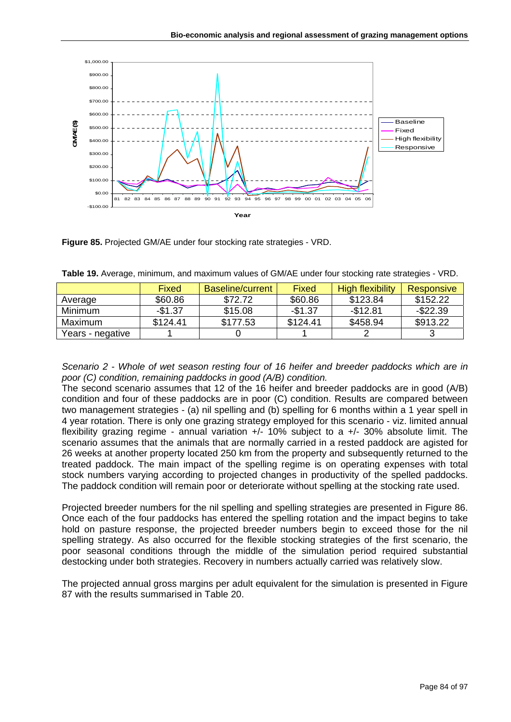

**Figure 85.** Projected GM/AE under four stocking rate strategies - VRD.

|                  | Fixed    | <b>Baseline/current</b> | Fixed    | High flexibility | <b>Responsive</b> |
|------------------|----------|-------------------------|----------|------------------|-------------------|
| Average          | \$60.86  | \$72.72                 | \$60.86  | \$123.84         | \$152.22          |
| Minimum          | $-$1.37$ | \$15.08                 | -\$1.37  | $-$12.81$        | $-$22.39$         |
| Maximum          | \$124.41 | \$177.53                | \$124.41 | \$458.94         | \$913.22          |
| Years - negative |          |                         |          |                  |                   |

| Table 19. Average, minimum, and maximum values of GM/AE under four stocking rate strategies - VRD. |
|----------------------------------------------------------------------------------------------------|
|----------------------------------------------------------------------------------------------------|

*Scenario 2 - Whole of wet season resting four of 16 heifer and breeder paddocks which are in poor (C) condition, remaining paddocks in good (A/B) condition.* 

The second scenario assumes that 12 of the 16 heifer and breeder paddocks are in good (A/B) condition and four of these paddocks are in poor (C) condition. Results are compared between two management strategies - (a) nil spelling and (b) spelling for 6 months within a 1 year spell in 4 year rotation. There is only one grazing strategy employed for this scenario - viz. limited annual flexibility grazing regime - annual variation +/- 10% subject to a +/- 30% absolute limit. The scenario assumes that the animals that are normally carried in a rested paddock are agisted for 26 weeks at another property located 250 km from the property and subsequently returned to the treated paddock. The main impact of the spelling regime is on operating expenses with total stock numbers varying according to projected changes in productivity of the spelled paddocks. The paddock condition will remain poor or deteriorate without spelling at the stocking rate used.

Projected breeder numbers for the nil spelling and spelling strategies are presented in Figure 86. Once each of the four paddocks has entered the spelling rotation and the impact begins to take hold on pasture response, the projected breeder numbers begin to exceed those for the nil spelling strategy. As also occurred for the flexible stocking strategies of the first scenario, the poor seasonal conditions through the middle of the simulation period required substantial destocking under both strategies. Recovery in numbers actually carried was relatively slow.

The projected annual gross margins per adult equivalent for the simulation is presented in Figure 87 with the results summarised in Table 20.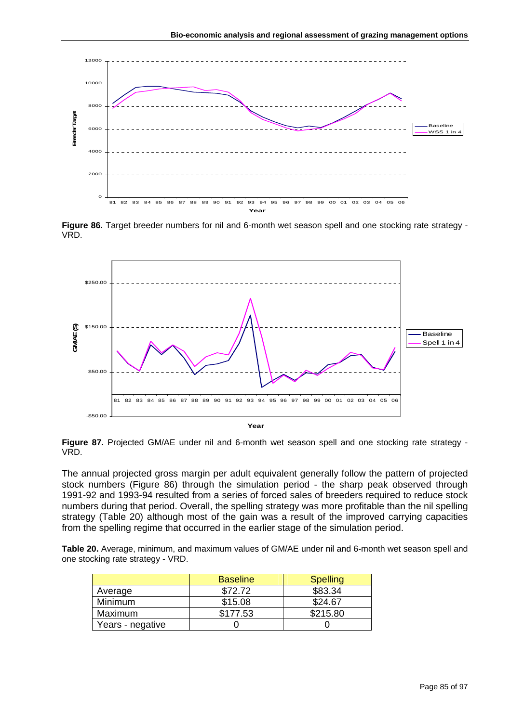

**Figure 86.** Target breeder numbers for nil and 6-month wet season spell and one stocking rate strategy - VRD.



**Figure 87.** Projected GM/AE under nil and 6-month wet season spell and one stocking rate strategy - VRD.

The annual projected gross margin per adult equivalent generally follow the pattern of projected stock numbers (Figure 86) through the simulation period - the sharp peak observed through 1991-92 and 1993-94 resulted from a series of forced sales of breeders required to reduce stock numbers during that period. Overall, the spelling strategy was more profitable than the nil spelling strategy (Table 20) although most of the gain was a result of the improved carrying capacities from the spelling regime that occurred in the earlier stage of the simulation period.

**Table 20.** Average, minimum, and maximum values of GM/AE under nil and 6-month wet season spell and one stocking rate strategy - VRD.

|                  | <b>Baseline</b> | <b>Spelling</b> |
|------------------|-----------------|-----------------|
| Average          | \$72.72         | \$83.34         |
| Minimum          | \$15.08         | \$24.67         |
| Maximum          | \$177.53        | \$215.80        |
| Years - negative |                 |                 |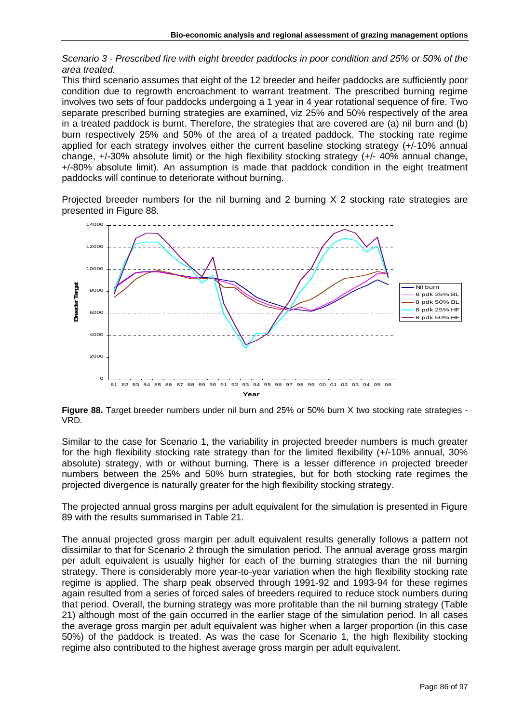*Scenario 3 - Prescribed fire with eight breeder paddocks in poor condition and 25% or 50% of the area treated.* 

This third scenario assumes that eight of the 12 breeder and heifer paddocks are sufficiently poor condition due to regrowth encroachment to warrant treatment. The prescribed burning regime involves two sets of four paddocks undergoing a 1 year in 4 year rotational sequence of fire. Two separate prescribed burning strategies are examined, viz 25% and 50% respectively of the area in a treated paddock is burnt. Therefore, the strategies that are covered are (a) nil burn and (b) burn respectively 25% and 50% of the area of a treated paddock. The stocking rate regime applied for each strategy involves either the current baseline stocking strategy (+/-10% annual change, +/-30% absolute limit) or the high flexibility stocking strategy (+/- 40% annual change, +/-80% absolute limit). An assumption is made that paddock condition in the eight treatment paddocks will continue to deteriorate without burning.

Projected breeder numbers for the nil burning and 2 burning X 2 stocking rate strategies are presented in Figure 88.



**Figure 88.** Target breeder numbers under nil burn and 25% or 50% burn X two stocking rate strategies - VRD.

Similar to the case for Scenario 1, the variability in projected breeder numbers is much greater for the high flexibility stocking rate strategy than for the limited flexibility (+/-10% annual, 30% absolute) strategy, with or without burning. There is a lesser difference in projected breeder numbers between the 25% and 50% burn strategies, but for both stocking rate regimes the projected divergence is naturally greater for the high flexibility stocking strategy.

The projected annual gross margins per adult equivalent for the simulation is presented in Figure 89 with the results summarised in Table 21.

The annual projected gross margin per adult equivalent results generally follows a pattern not dissimilar to that for Scenario 2 through the simulation period. The annual average gross margin per adult equivalent is usually higher for each of the burning strategies than the nil burning strategy. There is considerably more year-to-year variation when the high flexibility stocking rate regime is applied. The sharp peak observed through 1991-92 and 1993-94 for these regimes again resulted from a series of forced sales of breeders required to reduce stock numbers during that period. Overall, the burning strategy was more profitable than the nil burning strategy (Table 21) although most of the gain occurred in the earlier stage of the simulation period. In all cases the average gross margin per adult equivalent was higher when a larger proportion (in this case 50%) of the paddock is treated. As was the case for Scenario 1, the high flexibility stocking regime also contributed to the highest average gross margin per adult equivalent.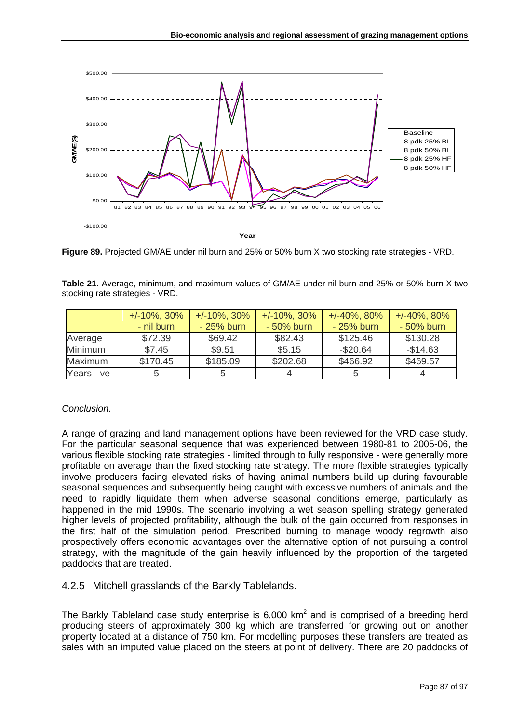

 **Figure 89.** Projected GM/AE under nil burn and 25% or 50% burn X two stocking rate strategies - VRD.

**Table 21.** Average, minimum, and maximum values of GM/AE under nil burn and 25% or 50% burn X two stocking rate strategies - VRD.

|            | $+/-10\%$ , 30% | $+/-10\%$ , 30% | $+/-10\%$ , 30% | $+/-40\%$ , 80% | $+/-40\%$ , 80% |
|------------|-----------------|-----------------|-----------------|-----------------|-----------------|
|            | - nil burn      | $-25%$ burn     | $-50\%$ burn    | $-25%$ burn     | $-50\%$ burn    |
| Average    | \$72.39         | \$69.42         | \$82.43         | \$125.46        | \$130.28        |
| Minimum    | \$7.45          | \$9.51          | \$5.15          | $-$20.64$       | $-$14.63$       |
| Maximum    | \$170.45        | \$185.09        | \$202.68        | \$466.92        | \$469.57        |
| Years - ve |                 |                 |                 |                 |                 |

## *Conclusion.*

A range of grazing and land management options have been reviewed for the VRD case study. For the particular seasonal sequence that was experienced between 1980-81 to 2005-06, the various flexible stocking rate strategies - limited through to fully responsive - were generally more profitable on average than the fixed stocking rate strategy. The more flexible strategies typically involve producers facing elevated risks of having animal numbers build up during favourable seasonal sequences and subsequently being caught with excessive numbers of animals and the need to rapidly liquidate them when adverse seasonal conditions emerge, particularly as happened in the mid 1990s. The scenario involving a wet season spelling strategy generated higher levels of projected profitability, although the bulk of the gain occurred from responses in the first half of the simulation period. Prescribed burning to manage woody regrowth also prospectively offers economic advantages over the alternative option of not pursuing a control strategy, with the magnitude of the gain heavily influenced by the proportion of the targeted paddocks that are treated.

4.2.5 Mitchell grasslands of the Barkly Tablelands.

The Barkly Tableland case study enterprise is 6,000 km<sup>2</sup> and is comprised of a breeding herd producing steers of approximately 300 kg which are transferred for growing out on another property located at a distance of 750 km. For modelling purposes these transfers are treated as sales with an imputed value placed on the steers at point of delivery. There are 20 paddocks of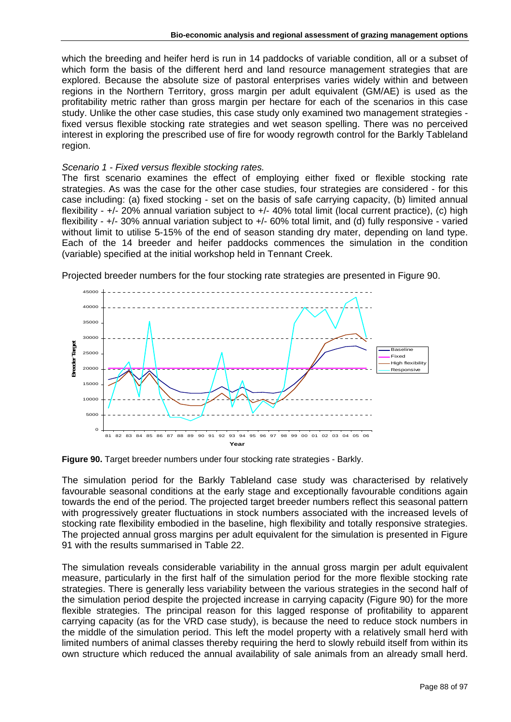which the breeding and heifer herd is run in 14 paddocks of variable condition, all or a subset of which form the basis of the different herd and land resource management strategies that are explored. Because the absolute size of pastoral enterprises varies widely within and between regions in the Northern Territory, gross margin per adult equivalent (GM/AE) is used as the profitability metric rather than gross margin per hectare for each of the scenarios in this case study. Unlike the other case studies, this case study only examined two management strategies fixed versus flexible stocking rate strategies and wet season spelling. There was no perceived interest in exploring the prescribed use of fire for woody regrowth control for the Barkly Tableland region.

#### *Scenario 1 - Fixed versus flexible stocking rates.*

The first scenario examines the effect of employing either fixed or flexible stocking rate strategies. As was the case for the other case studies, four strategies are considered - for this case including: (a) fixed stocking - set on the basis of safe carrying capacity, (b) limited annual flexibility -  $+/-$  20% annual variation subject to  $+/-$  40% total limit (local current practice), (c) high flexibility - +/- 30% annual variation subject to +/- 60% total limit, and (d) fully responsive - varied without limit to utilise 5-15% of the end of season standing dry mater, depending on land type. Each of the 14 breeder and heifer paddocks commences the simulation in the condition (variable) specified at the initial workshop held in Tennant Creek.



Projected breeder numbers for the four stocking rate strategies are presented in Figure 90.

**Figure 90.** Target breeder numbers under four stocking rate strategies - Barkly.

The simulation period for the Barkly Tableland case study was characterised by relatively favourable seasonal conditions at the early stage and exceptionally favourable conditions again towards the end of the period. The projected target breeder numbers reflect this seasonal pattern with progressively greater fluctuations in stock numbers associated with the increased levels of stocking rate flexibility embodied in the baseline, high flexibility and totally responsive strategies. The projected annual gross margins per adult equivalent for the simulation is presented in Figure 91 with the results summarised in Table 22.

The simulation reveals considerable variability in the annual gross margin per adult equivalent measure, particularly in the first half of the simulation period for the more flexible stocking rate strategies. There is generally less variability between the various strategies in the second half of the simulation period despite the projected increase in carrying capacity (Figure 90) for the more flexible strategies. The principal reason for this lagged response of profitability to apparent carrying capacity (as for the VRD case study), is because the need to reduce stock numbers in the middle of the simulation period. This left the model property with a relatively small herd with limited numbers of animal classes thereby requiring the herd to slowly rebuild itself from within its own structure which reduced the annual availability of sale animals from an already small herd.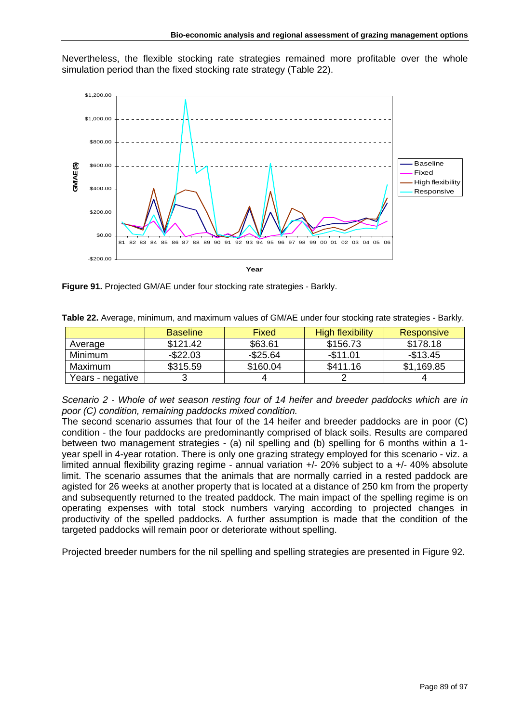Nevertheless, the flexible stocking rate strategies remained more profitable over the whole simulation period than the fixed stocking rate strategy (Table 22).



**Figure 91.** Projected GM/AE under four stocking rate strategies - Barkly.

|                  | <b>Baseline</b> | Fixed       | High flexibility | Responsive |
|------------------|-----------------|-------------|------------------|------------|
| Average          | \$121.42        | \$63.61     | \$156.73         | \$178.18   |
| <b>Minimum</b>   | $-$ \$22.03     | $-$ \$25.64 | $-$11.01$        | $-$13.45$  |
| Maximum          | \$315.59        | \$160.04    | \$411.16         | \$1,169.85 |
| Years - negative |                 |             |                  |            |

**Table 22.** Average, minimum, and maximum values of GM/AE under four stocking rate strategies - Barkly.

*Scenario 2 - Whole of wet season resting four of 14 heifer and breeder paddocks which are in poor (C) condition, remaining paddocks mixed condition.* 

The second scenario assumes that four of the 14 heifer and breeder paddocks are in poor (C) condition - the four paddocks are predominantly comprised of black soils. Results are compared between two management strategies - (a) nil spelling and (b) spelling for 6 months within a 1 year spell in 4-year rotation. There is only one grazing strategy employed for this scenario - viz. a limited annual flexibility grazing regime - annual variation +/- 20% subject to a +/- 40% absolute limit. The scenario assumes that the animals that are normally carried in a rested paddock are agisted for 26 weeks at another property that is located at a distance of 250 km from the property and subsequently returned to the treated paddock. The main impact of the spelling regime is on operating expenses with total stock numbers varying according to projected changes in productivity of the spelled paddocks. A further assumption is made that the condition of the targeted paddocks will remain poor or deteriorate without spelling.

Projected breeder numbers for the nil spelling and spelling strategies are presented in Figure 92.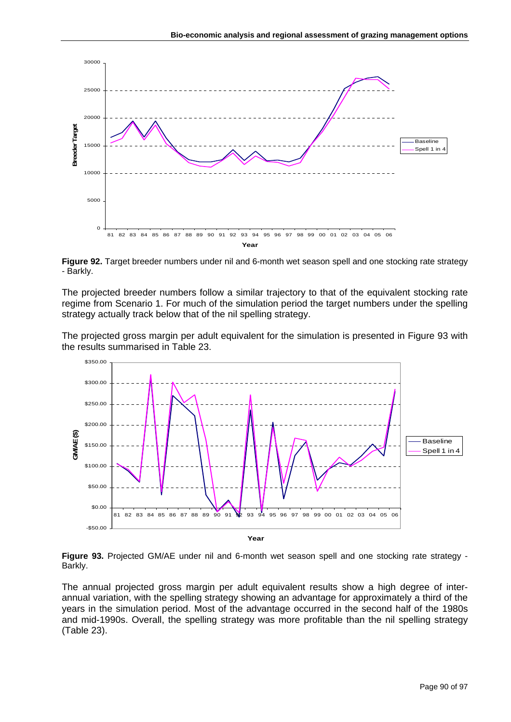

**Figure 92.** Target breeder numbers under nil and 6-month wet season spell and one stocking rate strategy - Barkly.

The projected breeder numbers follow a similar trajectory to that of the equivalent stocking rate regime from Scenario 1. For much of the simulation period the target numbers under the spelling strategy actually track below that of the nil spelling strategy.

The projected gross margin per adult equivalent for the simulation is presented in Figure 93 with the results summarised in Table 23.



**Figure 93.** Projected GM/AE under nil and 6-month wet season spell and one stocking rate strategy - Barkly.

The annual projected gross margin per adult equivalent results show a high degree of interannual variation, with the spelling strategy showing an advantage for approximately a third of the years in the simulation period. Most of the advantage occurred in the second half of the 1980s and mid-1990s. Overall, the spelling strategy was more profitable than the nil spelling strategy (Table 23).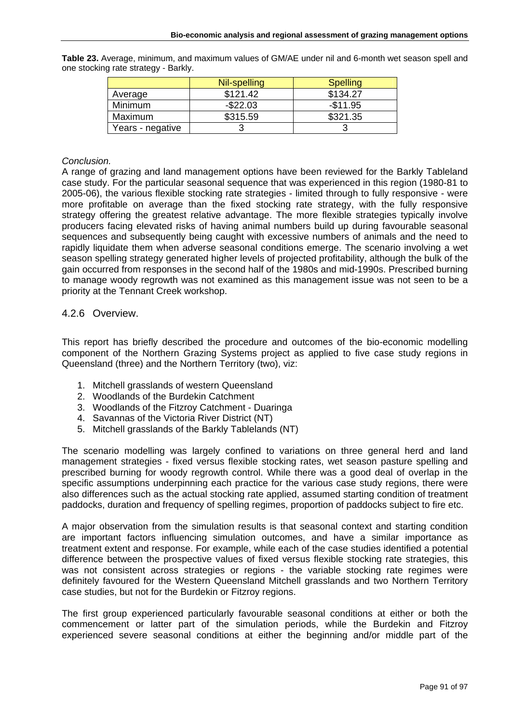|                  | Nil-spelling | <b>Spelling</b> |
|------------------|--------------|-----------------|
| Average          | \$121.42     | \$134.27        |
| Minimum          | $-$ \$22.03  | $-$11.95$       |
| Maximum          | \$315.59     | \$321.35        |
| Years - negative |              |                 |

**Table 23.** Average, minimum, and maximum values of GM/AE under nil and 6-month wet season spell and one stocking rate strategy - Barkly.

### *Conclusion.*

A range of grazing and land management options have been reviewed for the Barkly Tableland case study. For the particular seasonal sequence that was experienced in this region (1980-81 to 2005-06), the various flexible stocking rate strategies - limited through to fully responsive - were more profitable on average than the fixed stocking rate strategy, with the fully responsive strategy offering the greatest relative advantage. The more flexible strategies typically involve producers facing elevated risks of having animal numbers build up during favourable seasonal sequences and subsequently being caught with excessive numbers of animals and the need to rapidly liquidate them when adverse seasonal conditions emerge. The scenario involving a wet season spelling strategy generated higher levels of projected profitability, although the bulk of the gain occurred from responses in the second half of the 1980s and mid-1990s. Prescribed burning to manage woody regrowth was not examined as this management issue was not seen to be a priority at the Tennant Creek workshop.

## 4.2.6 Overview.

This report has briefly described the procedure and outcomes of the bio-economic modelling component of the Northern Grazing Systems project as applied to five case study regions in Queensland (three) and the Northern Territory (two), viz:

- 1. Mitchell grasslands of western Queensland
- 2. Woodlands of the Burdekin Catchment
- 3. Woodlands of the Fitzroy Catchment Duaringa
- 4. Savannas of the Victoria River District (NT)
- 5. Mitchell grasslands of the Barkly Tablelands (NT)

The scenario modelling was largely confined to variations on three general herd and land management strategies - fixed versus flexible stocking rates, wet season pasture spelling and prescribed burning for woody regrowth control. While there was a good deal of overlap in the specific assumptions underpinning each practice for the various case study regions, there were also differences such as the actual stocking rate applied, assumed starting condition of treatment paddocks, duration and frequency of spelling regimes, proportion of paddocks subject to fire etc.

A major observation from the simulation results is that seasonal context and starting condition are important factors influencing simulation outcomes, and have a similar importance as treatment extent and response. For example, while each of the case studies identified a potential difference between the prospective values of fixed versus flexible stocking rate strategies, this was not consistent across strategies or regions - the variable stocking rate regimes were definitely favoured for the Western Queensland Mitchell grasslands and two Northern Territory case studies, but not for the Burdekin or Fitzroy regions.

The first group experienced particularly favourable seasonal conditions at either or both the commencement or latter part of the simulation periods, while the Burdekin and Fitzroy experienced severe seasonal conditions at either the beginning and/or middle part of the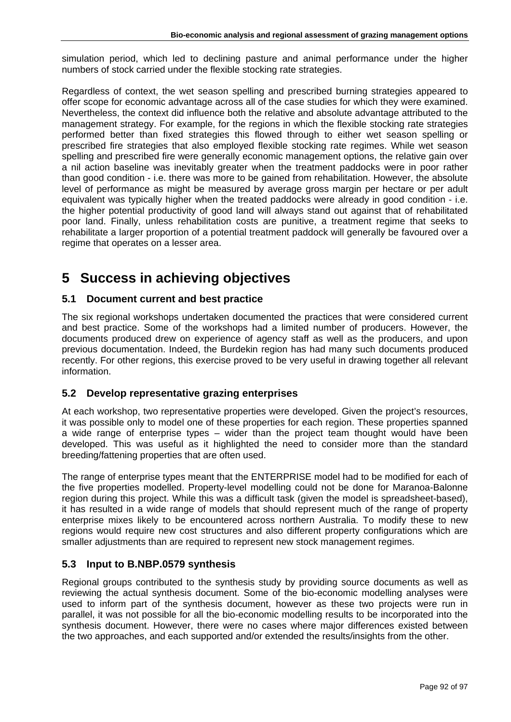simulation period, which led to declining pasture and animal performance under the higher numbers of stock carried under the flexible stocking rate strategies.

Regardless of context, the wet season spelling and prescribed burning strategies appeared to offer scope for economic advantage across all of the case studies for which they were examined. Nevertheless, the context did influence both the relative and absolute advantage attributed to the management strategy. For example, for the regions in which the flexible stocking rate strategies performed better than fixed strategies this flowed through to either wet season spelling or prescribed fire strategies that also employed flexible stocking rate regimes. While wet season spelling and prescribed fire were generally economic management options, the relative gain over a nil action baseline was inevitably greater when the treatment paddocks were in poor rather than good condition - i.e. there was more to be gained from rehabilitation. However, the absolute level of performance as might be measured by average gross margin per hectare or per adult equivalent was typically higher when the treated paddocks were already in good condition - i.e. the higher potential productivity of good land will always stand out against that of rehabilitated poor land. Finally, unless rehabilitation costs are punitive, a treatment regime that seeks to rehabilitate a larger proportion of a potential treatment paddock will generally be favoured over a regime that operates on a lesser area.

# **5 Success in achieving objectives**

## **5.1 Document current and best practice**

The six regional workshops undertaken documented the practices that were considered current and best practice. Some of the workshops had a limited number of producers. However, the documents produced drew on experience of agency staff as well as the producers, and upon previous documentation. Indeed, the Burdekin region has had many such documents produced recently. For other regions, this exercise proved to be very useful in drawing together all relevant information.

## **5.2 Develop representative grazing enterprises**

At each workshop, two representative properties were developed. Given the project's resources, it was possible only to model one of these properties for each region. These properties spanned a wide range of enterprise types – wider than the project team thought would have been developed. This was useful as it highlighted the need to consider more than the standard breeding/fattening properties that are often used.

The range of enterprise types meant that the ENTERPRISE model had to be modified for each of the five properties modelled. Property-level modelling could not be done for Maranoa-Balonne region during this project. While this was a difficult task (given the model is spreadsheet-based), it has resulted in a wide range of models that should represent much of the range of property enterprise mixes likely to be encountered across northern Australia. To modify these to new regions would require new cost structures and also different property configurations which are smaller adjustments than are required to represent new stock management regimes.

## **5.3 Input to B.NBP.0579 synthesis**

Regional groups contributed to the synthesis study by providing source documents as well as reviewing the actual synthesis document. Some of the bio-economic modelling analyses were used to inform part of the synthesis document, however as these two projects were run in parallel, it was not possible for all the bio-economic modelling results to be incorporated into the synthesis document. However, there were no cases where major differences existed between the two approaches, and each supported and/or extended the results/insights from the other.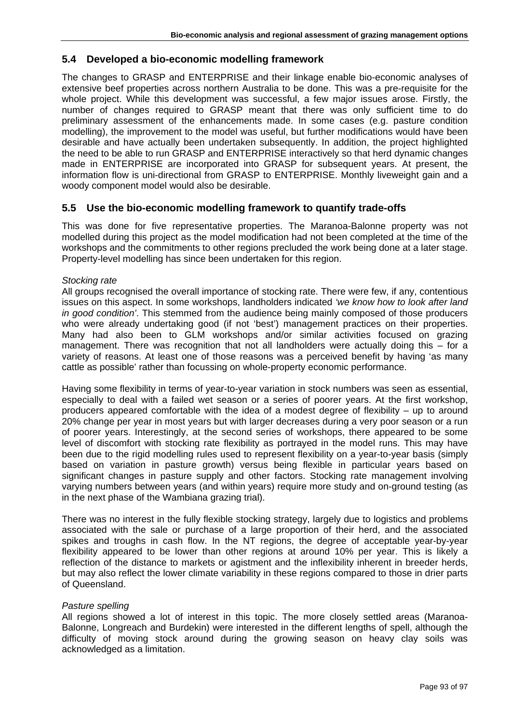## **5.4 Developed a bio-economic modelling framework**

The changes to GRASP and ENTERPRISE and their linkage enable bio-economic analyses of extensive beef properties across northern Australia to be done. This was a pre-requisite for the whole project. While this development was successful, a few major issues arose. Firstly, the number of changes required to GRASP meant that there was only sufficient time to do preliminary assessment of the enhancements made. In some cases (e.g. pasture condition modelling), the improvement to the model was useful, but further modifications would have been desirable and have actually been undertaken subsequently. In addition, the project highlighted the need to be able to run GRASP and ENTERPRISE interactively so that herd dynamic changes made in ENTERPRISE are incorporated into GRASP for subsequent years. At present, the information flow is uni-directional from GRASP to ENTERPRISE. Monthly liveweight gain and a woody component model would also be desirable.

## **5.5 Use the bio-economic modelling framework to quantify trade-offs**

This was done for five representative properties. The Maranoa-Balonne property was not modelled during this project as the model modification had not been completed at the time of the workshops and the commitments to other regions precluded the work being done at a later stage. Property-level modelling has since been undertaken for this region.

### *Stocking rate*

All groups recognised the overall importance of stocking rate. There were few, if any, contentious issues on this aspect. In some workshops, landholders indicated *'we know how to look after land in good condition'*. This stemmed from the audience being mainly composed of those producers who were already undertaking good (if not 'best') management practices on their properties. Many had also been to GLM workshops and/or similar activities focused on grazing management. There was recognition that not all landholders were actually doing this – for a variety of reasons. At least one of those reasons was a perceived benefit by having 'as many cattle as possible' rather than focussing on whole-property economic performance.

Having some flexibility in terms of year-to-year variation in stock numbers was seen as essential, especially to deal with a failed wet season or a series of poorer years. At the first workshop, producers appeared comfortable with the idea of a modest degree of flexibility – up to around 20% change per year in most years but with larger decreases during a very poor season or a run of poorer years. Interestingly, at the second series of workshops, there appeared to be some level of discomfort with stocking rate flexibility as portrayed in the model runs. This may have been due to the rigid modelling rules used to represent flexibility on a year-to-year basis (simply based on variation in pasture growth) versus being flexible in particular years based on significant changes in pasture supply and other factors. Stocking rate management involving varying numbers between years (and within years) require more study and on-ground testing (as in the next phase of the Wambiana grazing trial).

There was no interest in the fully flexible stocking strategy, largely due to logistics and problems associated with the sale or purchase of a large proportion of their herd, and the associated spikes and troughs in cash flow. In the NT regions, the degree of acceptable year-by-year flexibility appeared to be lower than other regions at around 10% per year. This is likely a reflection of the distance to markets or agistment and the inflexibility inherent in breeder herds, but may also reflect the lower climate variability in these regions compared to those in drier parts of Queensland.

#### *Pasture spelling*

All regions showed a lot of interest in this topic. The more closely settled areas (Maranoa-Balonne, Longreach and Burdekin) were interested in the different lengths of spell, although the difficulty of moving stock around during the growing season on heavy clay soils was acknowledged as a limitation.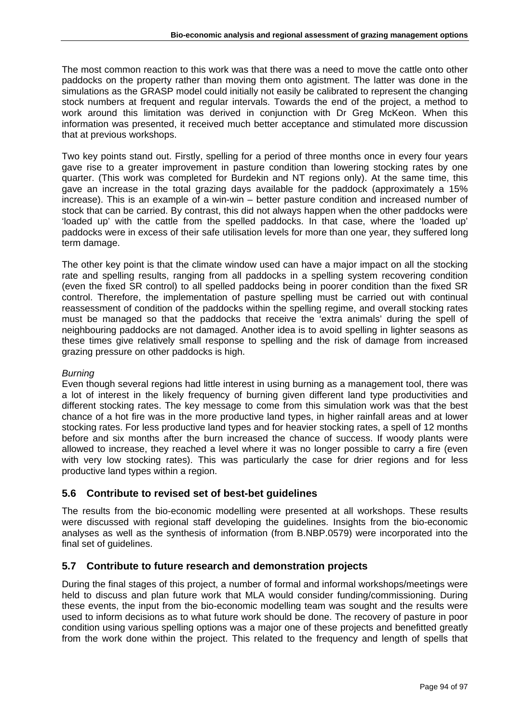The most common reaction to this work was that there was a need to move the cattle onto other paddocks on the property rather than moving them onto agistment. The latter was done in the simulations as the GRASP model could initially not easily be calibrated to represent the changing stock numbers at frequent and regular intervals. Towards the end of the project, a method to work around this limitation was derived in conjunction with Dr Greg McKeon. When this information was presented, it received much better acceptance and stimulated more discussion that at previous workshops.

Two key points stand out. Firstly, spelling for a period of three months once in every four years gave rise to a greater improvement in pasture condition than lowering stocking rates by one quarter. (This work was completed for Burdekin and NT regions only). At the same time, this gave an increase in the total grazing days available for the paddock (approximately a 15% increase). This is an example of a win-win – better pasture condition and increased number of stock that can be carried. By contrast, this did not always happen when the other paddocks were 'loaded up' with the cattle from the spelled paddocks. In that case, where the 'loaded up' paddocks were in excess of their safe utilisation levels for more than one year, they suffered long term damage.

The other key point is that the climate window used can have a major impact on all the stocking rate and spelling results, ranging from all paddocks in a spelling system recovering condition (even the fixed SR control) to all spelled paddocks being in poorer condition than the fixed SR control. Therefore, the implementation of pasture spelling must be carried out with continual reassessment of condition of the paddocks within the spelling regime, and overall stocking rates must be managed so that the paddocks that receive the 'extra animals' during the spell of neighbouring paddocks are not damaged. Another idea is to avoid spelling in lighter seasons as these times give relatively small response to spelling and the risk of damage from increased grazing pressure on other paddocks is high.

#### *Burning*

Even though several regions had little interest in using burning as a management tool, there was a lot of interest in the likely frequency of burning given different land type productivities and different stocking rates. The key message to come from this simulation work was that the best chance of a hot fire was in the more productive land types, in higher rainfall areas and at lower stocking rates. For less productive land types and for heavier stocking rates, a spell of 12 months before and six months after the burn increased the chance of success. If woody plants were allowed to increase, they reached a level where it was no longer possible to carry a fire (even with very low stocking rates). This was particularly the case for drier regions and for less productive land types within a region.

## **5.6 Contribute to revised set of best-bet guidelines**

The results from the bio-economic modelling were presented at all workshops. These results were discussed with regional staff developing the guidelines. Insights from the bio-economic analyses as well as the synthesis of information (from B.NBP.0579) were incorporated into the final set of guidelines.

## **5.7 Contribute to future research and demonstration projects**

During the final stages of this project, a number of formal and informal workshops/meetings were held to discuss and plan future work that MLA would consider funding/commissioning. During these events, the input from the bio-economic modelling team was sought and the results were used to inform decisions as to what future work should be done. The recovery of pasture in poor condition using various spelling options was a major one of these projects and benefitted greatly from the work done within the project. This related to the frequency and length of spells that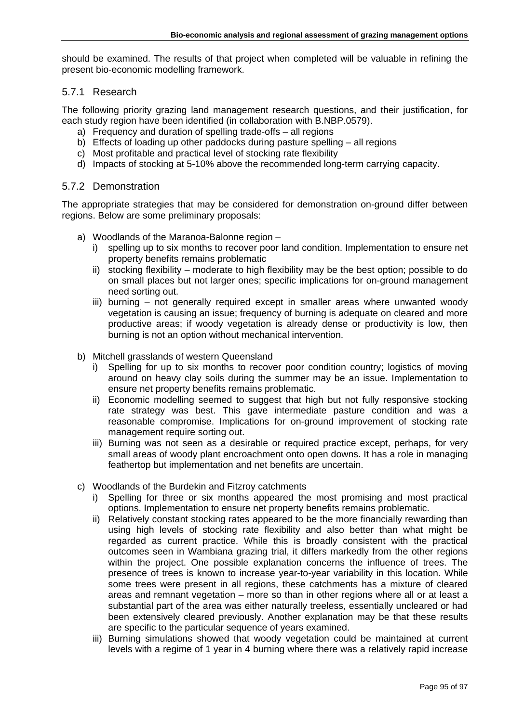should be examined. The results of that project when completed will be valuable in refining the present bio-economic modelling framework.

## 5.7.1 Research

The following priority grazing land management research questions, and their justification, for each study region have been identified (in collaboration with B.NBP.0579).

- a) Frequency and duration of spelling trade-offs all regions
- b) Effects of loading up other paddocks during pasture spelling all regions
- c) Most profitable and practical level of stocking rate flexibility
- d) Impacts of stocking at 5-10% above the recommended long-term carrying capacity.

### 5.7.2 Demonstration

The appropriate strategies that may be considered for demonstration on-ground differ between regions. Below are some preliminary proposals:

- a) Woodlands of the Maranoa-Balonne region
	- i) spelling up to six months to recover poor land condition. Implementation to ensure net property benefits remains problematic
	- ii) stocking flexibility moderate to high flexibility may be the best option; possible to do on small places but not larger ones; specific implications for on-ground management need sorting out.
	- iii) burning not generally required except in smaller areas where unwanted woody vegetation is causing an issue; frequency of burning is adequate on cleared and more productive areas; if woody vegetation is already dense or productivity is low, then burning is not an option without mechanical intervention.
- b) Mitchell grasslands of western Queensland
	- i) Spelling for up to six months to recover poor condition country; logistics of moving around on heavy clay soils during the summer may be an issue. Implementation to ensure net property benefits remains problematic.
	- ii) Economic modelling seemed to suggest that high but not fully responsive stocking rate strategy was best. This gave intermediate pasture condition and was a reasonable compromise. Implications for on-ground improvement of stocking rate management require sorting out.
	- iii) Burning was not seen as a desirable or required practice except, perhaps, for very small areas of woody plant encroachment onto open downs. It has a role in managing feathertop but implementation and net benefits are uncertain.
- c) Woodlands of the Burdekin and Fitzroy catchments
	- i) Spelling for three or six months appeared the most promising and most practical options. Implementation to ensure net property benefits remains problematic.
	- ii) Relatively constant stocking rates appeared to be the more financially rewarding than using high levels of stocking rate flexibility and also better than what might be regarded as current practice. While this is broadly consistent with the practical outcomes seen in Wambiana grazing trial, it differs markedly from the other regions within the project. One possible explanation concerns the influence of trees. The presence of trees is known to increase year-to-year variability in this location. While some trees were present in all regions, these catchments has a mixture of cleared areas and remnant vegetation – more so than in other regions where all or at least a substantial part of the area was either naturally treeless, essentially uncleared or had been extensively cleared previously. Another explanation may be that these results are specific to the particular sequence of years examined.
	- iii) Burning simulations showed that woody vegetation could be maintained at current levels with a regime of 1 year in 4 burning where there was a relatively rapid increase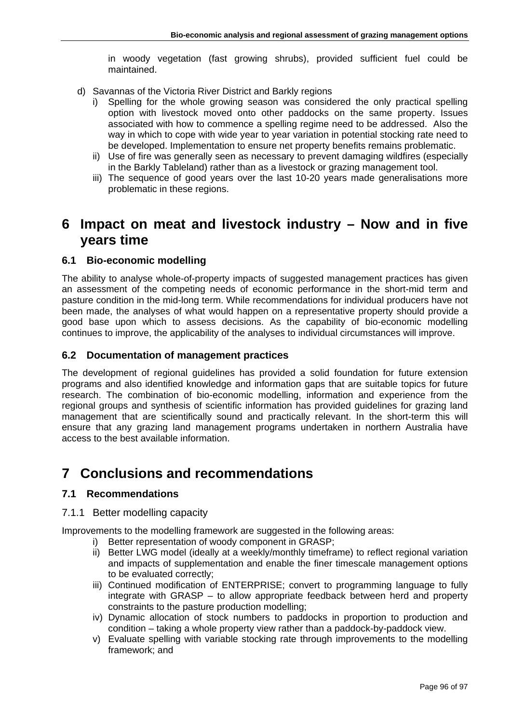in woody vegetation (fast growing shrubs), provided sufficient fuel could be maintained.

- d) Savannas of the Victoria River District and Barkly regions
	- i) Spelling for the whole growing season was considered the only practical spelling option with livestock moved onto other paddocks on the same property. Issues associated with how to commence a spelling regime need to be addressed. Also the way in which to cope with wide year to year variation in potential stocking rate need to be developed. Implementation to ensure net property benefits remains problematic.
	- ii) Use of fire was generally seen as necessary to prevent damaging wildfires (especially in the Barkly Tableland) rather than as a livestock or grazing management tool.
	- iii) The sequence of good years over the last 10-20 years made generalisations more problematic in these regions.

## **6 Impact on meat and livestock industry – Now and in five years time**

## **6.1 Bio-economic modelling**

The ability to analyse whole-of-property impacts of suggested management practices has given an assessment of the competing needs of economic performance in the short-mid term and pasture condition in the mid-long term. While recommendations for individual producers have not been made, the analyses of what would happen on a representative property should provide a good base upon which to assess decisions. As the capability of bio-economic modelling continues to improve, the applicability of the analyses to individual circumstances will improve.

## **6.2 Documentation of management practices**

The development of regional guidelines has provided a solid foundation for future extension programs and also identified knowledge and information gaps that are suitable topics for future research. The combination of bio-economic modelling, information and experience from the regional groups and synthesis of scientific information has provided guidelines for grazing land management that are scientifically sound and practically relevant. In the short-term this will ensure that any grazing land management programs undertaken in northern Australia have access to the best available information.

## **7 Conclusions and recommendations**

## **7.1 Recommendations**

## 7.1.1 Better modelling capacity

Improvements to the modelling framework are suggested in the following areas:

- i) Better representation of woody component in GRASP;
- ii) Better LWG model (ideally at a weekly/monthly timeframe) to reflect regional variation and impacts of supplementation and enable the finer timescale management options to be evaluated correctly;
- iii) Continued modification of ENTERPRISE; convert to programming language to fully integrate with GRASP – to allow appropriate feedback between herd and property constraints to the pasture production modelling;
- iv) Dynamic allocation of stock numbers to paddocks in proportion to production and condition – taking a whole property view rather than a paddock-by-paddock view.
- v) Evaluate spelling with variable stocking rate through improvements to the modelling framework; and